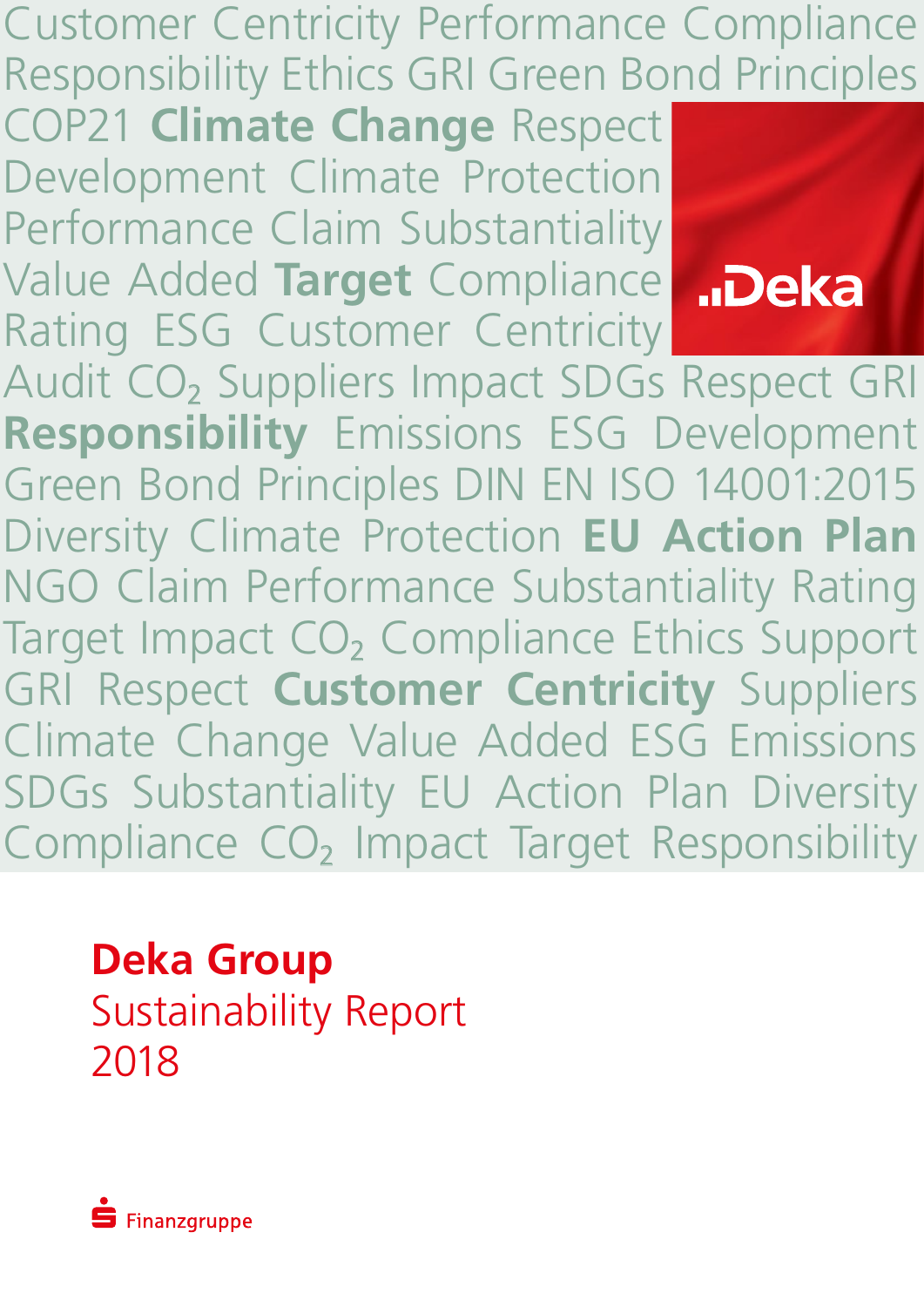Customer Centricity Performance Compliance Responsibility Ethics GRI Green Bond Principles

COP21 **Climate Change** Respect Development Climate Protection Performance Claim Substantiality Value Added **Target** Compliance Rating ESG Customer Centricity



Audit CO<sub>2</sub> Suppliers Impact SDGs Respect GRI **Responsibility** Emissions ESG Development Green Bond Principles DIN EN ISO 14001:2015 Diversity Climate Protection **EU Action Plan**  NGO Claim Performance Substantiality Rating Target Impact CO<sub>2</sub> Compliance Ethics Support GRI Respect **Customer Centricity** Suppliers Climate Change Value Added ESG Emissions SDGs Substantiality EU Action Plan Diversity Compliance CO<sub>2</sub> Impact Target Responsibility

**Deka Group**  Sustainability Report 2018

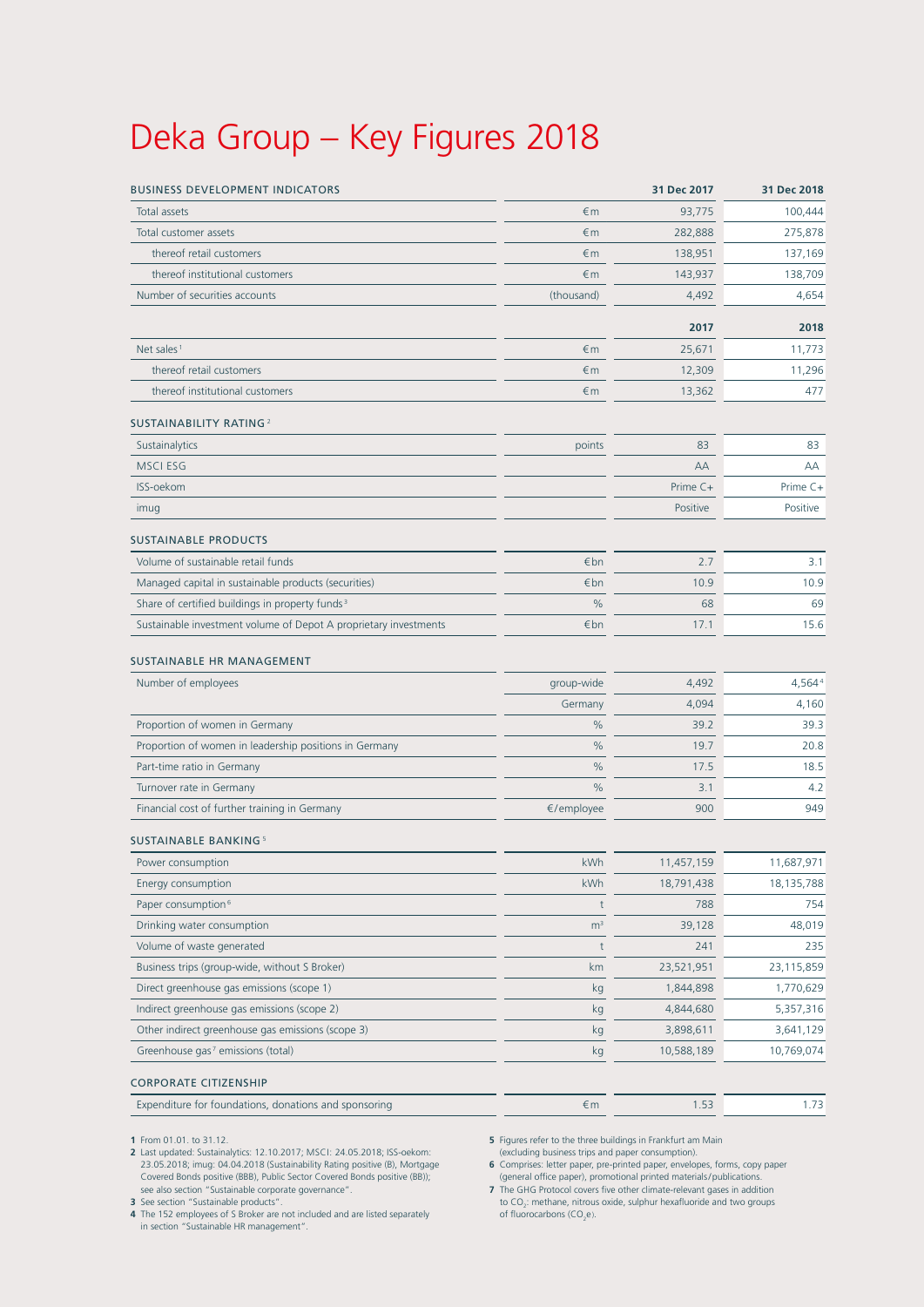# Deka Group – Key Figures 2018

| <b>BUSINESS DEVELOPMENT INDICATORS</b>                           |                | 31 Dec 2017 | 31 Dec 2018        |
|------------------------------------------------------------------|----------------|-------------|--------------------|
| Total assets                                                     | $\n  Im\n$     | 93,775      | 100,444            |
| Total customer assets                                            | $\n  Im\n$     | 282,888     | 275,878            |
| thereof retail customers                                         | €m             | 138,951     | 137,169            |
| thereof institutional customers                                  | €m             | 143,937     | 138,709            |
| Number of securities accounts                                    | (thousand)     | 4,492       | 4,654              |
|                                                                  |                | 2017        | 2018               |
| Net sales <sup>1</sup>                                           | $\n  Im\n$     | 25,671      | 11,773             |
| thereof retail customers                                         | $\n  Im\n$     | 12,309      | 11,296             |
| thereof institutional customers                                  | $\n  Im\n$     | 13,362      | 477                |
| <b>SUSTAINABILITY RATING 2</b>                                   |                |             |                    |
| Sustainalytics                                                   | points         | 83          | 83                 |
| <b>MSCI ESG</b>                                                  |                | AA          | AA                 |
| ISS-oekom                                                        |                | Prime C+    | Prime C+           |
| imug                                                             |                | Positive    | Positive           |
| SUSTAINABLE PRODUCTS                                             |                |             |                    |
| Volume of sustainable retail funds                               | €bn            | 2.7         | 3.1                |
| Managed capital in sustainable products (securities)             | €bn            | 10.9        | 10.9               |
| Share of certified buildings in property funds <sup>3</sup>      | $\frac{0}{0}$  | 68          | 69                 |
| Sustainable investment volume of Depot A proprietary investments | €bn            | 17.1        | 15.6               |
| SUSTAINABLE HR MANAGEMENT                                        |                |             |                    |
| Number of employees                                              | group-wide     | 4,492       | 4,564 <sup>4</sup> |
|                                                                  | Germany        | 4,094       | 4,160              |
| Proportion of women in Germany                                   | %              | 39.2        | 39.3               |
| Proportion of women in leadership positions in Germany           | %              | 19.7        | 20.8               |
| Part-time ratio in Germany                                       | %              | 17.5        | 18.5               |
| Turnover rate in Germany                                         | $\%$           | 3.1         | 4.2                |
| Financial cost of further training in Germany                    | €/employee     | 900         | 949                |
| SUSTAINABLE BANKING <sup>5</sup>                                 |                |             |                    |
| Power consumption                                                | kWh            | 11,457,159  | 11,687,971         |
| Energy consumption                                               | kWh            | 18,791,438  | 18,135,788         |
| Paper consumption <sup>6</sup>                                   | t              | 788         | 754                |
| Drinking water consumption                                       | m <sup>3</sup> | 39,128      | 48,019             |
| Volume of waste generated                                        | t              | 241         | 235                |
| Business trips (group-wide, without S Broker)                    | km             | 23,521,951  | 23,115,859         |
| Direct greenhouse gas emissions (scope 1)                        | kg             | 1,844,898   | 1,770,629          |
| Indirect greenhouse gas emissions (scope 2)                      | kg             | 4,844,680   | 5,357,316          |
| Other indirect greenhouse gas emissions (scope 3)                | kg             | 3,898,611   | 3,641,129          |
| Greenhouse gas <sup>7</sup> emissions (total)                    | kg             | 10,588,189  | 10,769,074         |
| CORPORATE CITIZENSHIP                                            |                |             |                    |

Expenditure for foundations, donations and sponsoring €m 1.53 1.73

**1** From 01.01. to 31.12.

2 Last updated: Sustainalytics: 12.10.2017; MSCI: 24.05.2018; ISS-oekom:<br>23.05.2018; imug: 04.04.2018 (Sustainability Rating positive (B), Mortgage<br>Covered Bonds positive (BBB), Public Sector Covered Bonds positive (BB)); see also section "Sustainable corporate governance".

**3** See section "Sustainable products".

**4** The 152 employees of S Broker are not included and are listed separately in section "Sustainable HR management".

**5** Figures refer to the three buildings in Frankfurt am Main (excluding business trips and paper consumption).

- **6** Comprises: letter paper, pre-printed paper, envelopes, forms, copy paper (general office paper), promotional printed materials/publications.
- **7** The GHG Protocol covers five other climate-relevant gases in addition to  $CO_2$ : methane, nitrous oxide, sulphur hexafluoride and two groups of fluorocarbons  $(CO_2e)$ .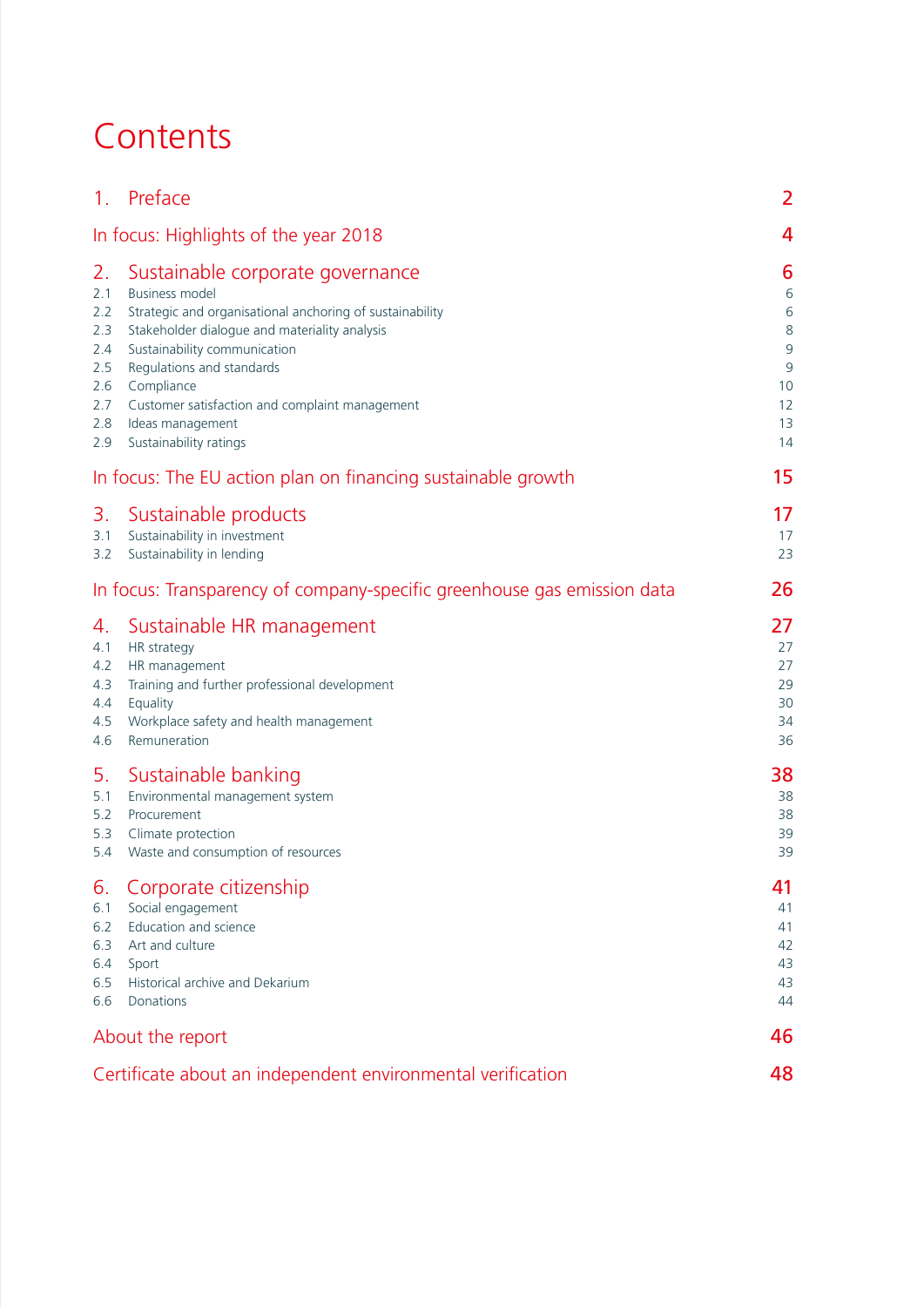## **Contents**

| 1 <sub>1</sub>                                                    | Preface                                                                                                                                                                                                                                                                                                                                           | 2                                                                  |
|-------------------------------------------------------------------|---------------------------------------------------------------------------------------------------------------------------------------------------------------------------------------------------------------------------------------------------------------------------------------------------------------------------------------------------|--------------------------------------------------------------------|
|                                                                   | In focus: Highlights of the year 2018                                                                                                                                                                                                                                                                                                             | 4                                                                  |
| 2.<br>2.1<br>2.2<br>2.3<br>2.4<br>2.5<br>2.6<br>2.7<br>2.8<br>2.9 | Sustainable corporate governance<br><b>Business model</b><br>Strategic and organisational anchoring of sustainability<br>Stakeholder dialogue and materiality analysis<br>Sustainability communication<br>Regulations and standards<br>Compliance<br>Customer satisfaction and complaint management<br>Ideas management<br>Sustainability ratings | 6<br>6<br>6<br>$\,8\,$<br>$\mathsf 9$<br>9<br>10<br>12<br>13<br>14 |
|                                                                   | In focus: The EU action plan on financing sustainable growth                                                                                                                                                                                                                                                                                      | 15                                                                 |
| 3.<br>3.1<br>3.2                                                  | Sustainable products<br>Sustainability in investment<br>Sustainability in lending                                                                                                                                                                                                                                                                 | 17<br>17<br>23                                                     |
|                                                                   | In focus: Transparency of company-specific greenhouse gas emission data                                                                                                                                                                                                                                                                           | 26                                                                 |
| 4.<br>4.1<br>4.2<br>4.3<br>4.4<br>4.5<br>4.6                      | Sustainable HR management<br>HR strategy<br>HR management<br>Training and further professional development<br>Equality<br>Workplace safety and health management<br>Remuneration                                                                                                                                                                  | 27<br>27<br>27<br>29<br>30<br>34<br>36                             |
| 5.<br>5.1<br>5.2<br>5.3<br>5.4                                    | Sustainable banking<br>Environmental management system<br>Procurement<br>Climate protection<br>Waste and consumption of resources                                                                                                                                                                                                                 | 38<br>38<br>38<br>39<br>39                                         |
| 6.1<br>6.2<br>6.3<br>6.4<br>6.5<br>6.6                            | 6. Corporate citizenship<br>Social engagement<br>Education and science<br>Art and culture<br>Sport<br>Historical archive and Dekarium<br>Donations                                                                                                                                                                                                | 41<br>41<br>41<br>42<br>43<br>43<br>44                             |
|                                                                   | About the report                                                                                                                                                                                                                                                                                                                                  | 46                                                                 |
|                                                                   | Certificate about an independent environmental verification                                                                                                                                                                                                                                                                                       | 48                                                                 |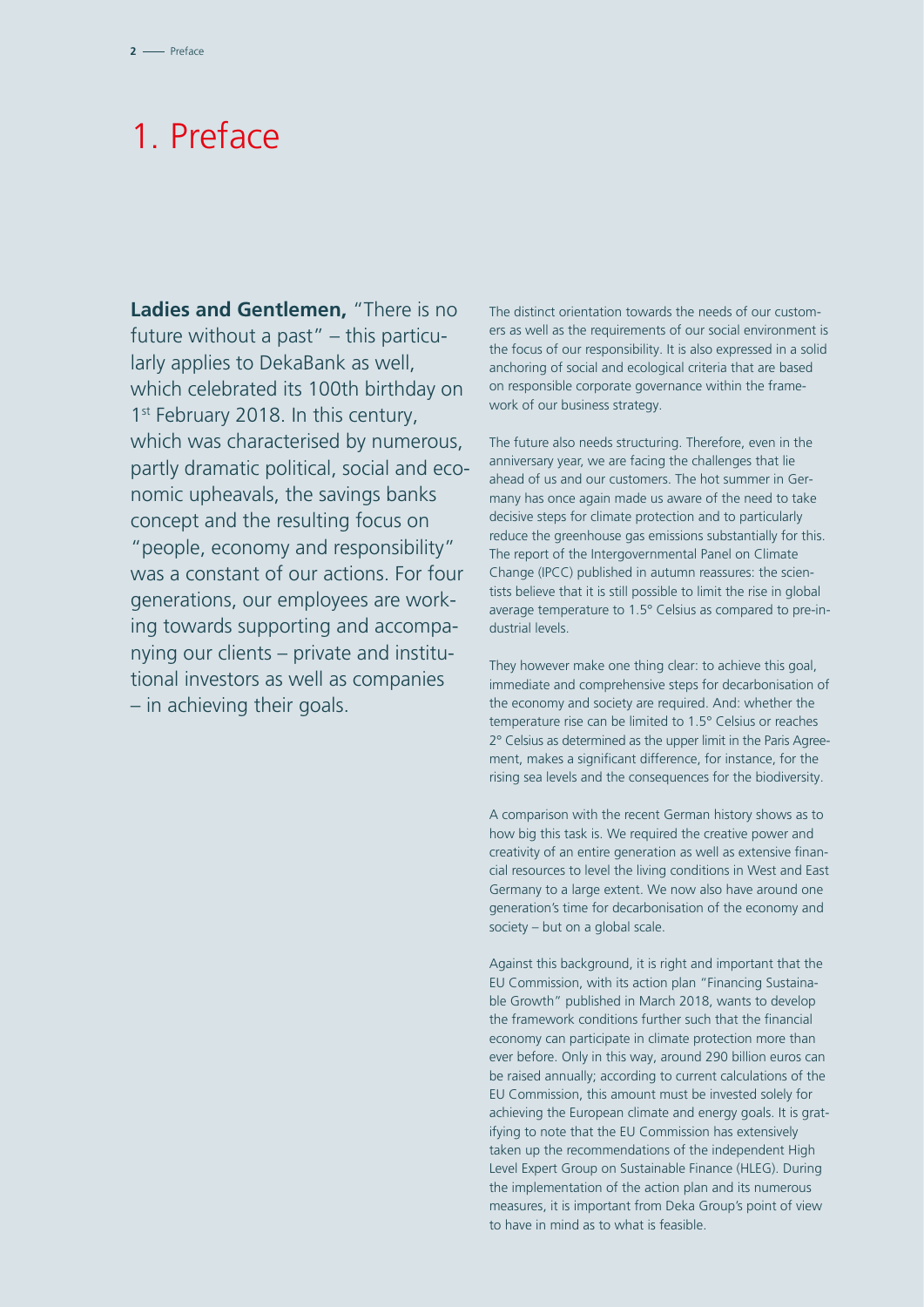## 1. Preface

**Ladies and Gentlemen,** "There is no future without a past" – this particularly applies to DekaBank as well, which celebrated its 100th birthday on 1<sup>st</sup> February 2018. In this century, which was characterised by numerous, partly dramatic political, social and economic upheavals, the savings banks concept and the resulting focus on "people, economy and responsibility" was a constant of our actions. For four generations, our employees are working towards supporting and accompanying our clients – private and institutional investors as well as companies – in achieving their goals.

The distinct orientation towards the needs of our customers as well as the requirements of our social environment is the focus of our responsibility. It is also expressed in a solid anchoring of social and ecological criteria that are based on responsible corporate governance within the framework of our business strategy.

The future also needs structuring. Therefore, even in the anniversary year, we are facing the challenges that lie ahead of us and our customers. The hot summer in Germany has once again made us aware of the need to take decisive steps for climate protection and to particularly reduce the greenhouse gas emissions substantially for this. The report of the Intergovernmental Panel on Climate Change (IPCC) published in autumn reassures: the scientists believe that it is still possible to limit the rise in global average temperature to 1.5° Celsius as compared to pre-industrial levels.

They however make one thing clear: to achieve this goal, immediate and comprehensive steps for decarbonisation of the economy and society are required. And: whether the temperature rise can be limited to 1.5° Celsius or reaches 2° Celsius as determined as the upper limit in the Paris Agreement, makes a significant difference, for instance, for the rising sea levels and the consequences for the biodiversity.

A comparison with the recent German history shows as to how big this task is. We required the creative power and creativity of an entire generation as well as extensive financial resources to level the living conditions in West and East Germany to a large extent. We now also have around one generation's time for decarbonisation of the economy and society – but on a global scale.

Against this background, it is right and important that the EU Commission, with its action plan "Financing Sustainable Growth" published in March 2018, wants to develop the framework conditions further such that the financial economy can participate in climate protection more than ever before. Only in this way, around 290 billion euros can be raised annually; according to current calculations of the EU Commission, this amount must be invested solely for achieving the European climate and energy goals. It is gratifying to note that the EU Commission has extensively taken up the recommendations of the independent High Level Expert Group on Sustainable Finance (HLEG). During the implementation of the action plan and its numerous measures, it is important from Deka Group's point of view to have in mind as to what is feasible.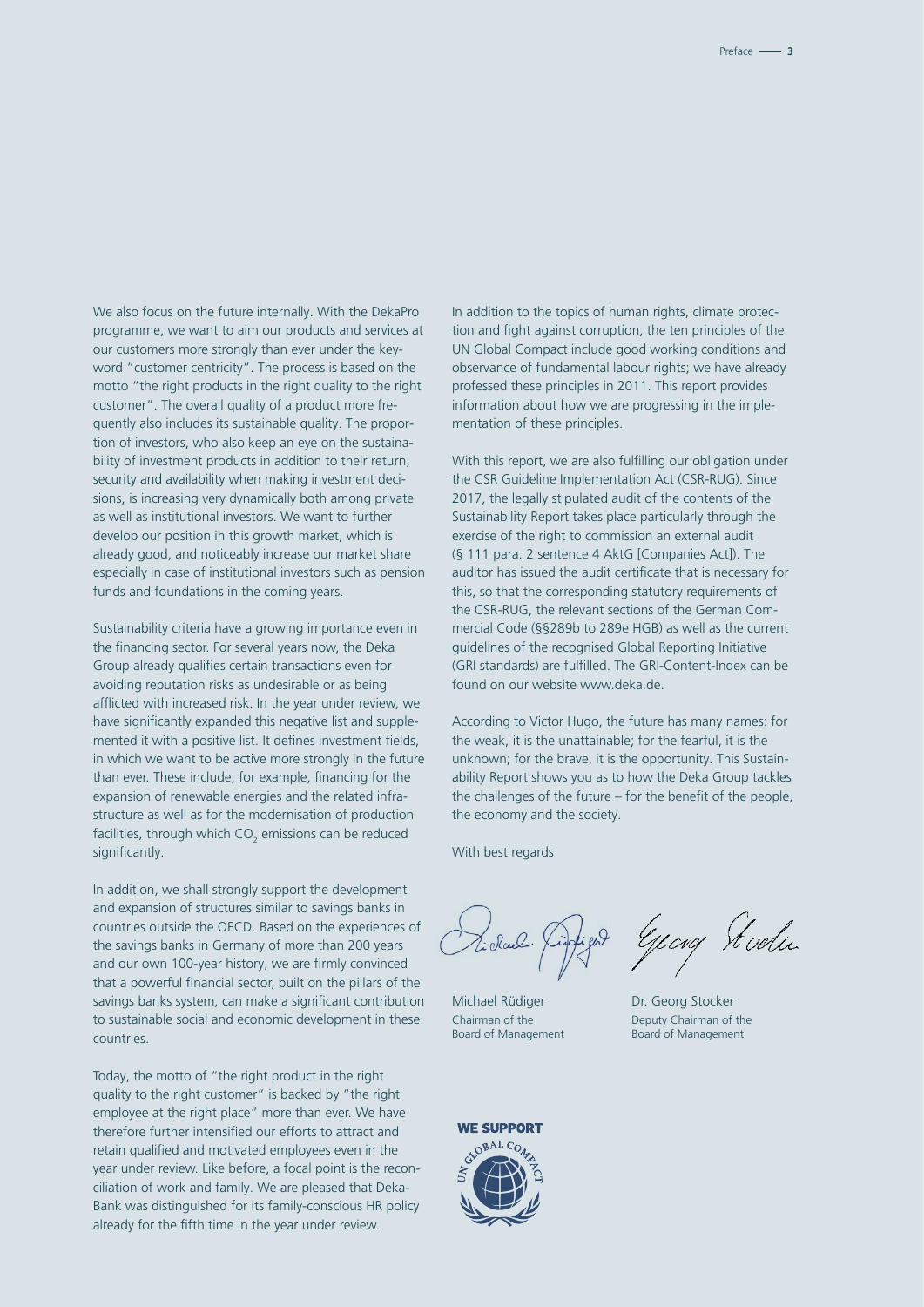We also focus on the future internally. With the DekaPro programme, we want to aim our products and services at our customers more strongly than ever under the keyword "customer centricity". The process is based on the motto "the right products in the right quality to the right customer". The overall quality of a product more frequently also includes its sustainable quality. The proportion of investors, who also keep an eye on the sustainability of investment products in addition to their return, security and availability when making investment decisions, is increasing very dynamically both among private as well as institutional investors. We want to further develop our position in this growth market, which is already good, and noticeably increase our market share especially in case of institutional investors such as pension funds and foundations in the coming years.

Sustainability criteria have a growing importance even in the financing sector. For several years now, the Deka Group already qualifies certain transactions even for avoiding reputation risks as undesirable or as being afflicted with increased risk. In the year under review, we have significantly expanded this negative list and supplemented it with a positive list. It defines investment fields, in which we want to be active more strongly in the future than ever. These include, for example, financing for the expansion of renewable energies and the related infrastructure as well as for the modernisation of production facilities, through which  $CO_2$  emissions can be reduced significantly.

In addition, we shall strongly support the development and expansion of structures similar to savings banks in countries outside the OECD. Based on the experiences of the savings banks in Germany of more than 200 years and our own 100-year history, we are firmly convinced that a powerful financial sector, built on the pillars of the savings banks system, can make a significant contribution to sustainable social and economic development in these countries.

Today, the motto of "the right product in the right quality to the right customer" is backed by "the right employee at the right place" more than ever. We have therefore further intensified our efforts to attract and retain qualified and motivated employees even in the year under review. Like before, a focal point is the reconciliation of work and family. We are pleased that Deka-Bank was distinguished for its family-conscious HR policy already for the fifth time in the year under review.

In addition to the topics of human rights, climate protection and fight against corruption, the ten principles of the UN Global Compact include good working conditions and observance of fundamental labour rights; we have already professed these principles in 2011. This report provides information about how we are progressing in the implementation of these principles.

With this report, we are also fulfilling our obligation under the CSR Guideline Implementation Act (CSR-RUG). Since 2017, the legally stipulated audit of the contents of the Sustainability Report takes place particularly through the exercise of the right to commission an external audit (§ 111 para. 2 sentence 4 AktG [Companies Act]). The auditor has issued the audit certificate that is necessary for this, so that the corresponding statutory requirements of the CSR-RUG, the relevant sections of the German Commercial Code (§§289b to 289e HGB) as well as the current guidelines of the recognised Global Reporting Initiative (GRI standards) are fulfilled. The GRI-Content-Index can be found on our website www.deka.de.

According to Victor Hugo, the future has many names: for the weak, it is the unattainable; for the fearful, it is the unknown; for the brave, it is the opportunity. This Sustainability Report shows you as to how the Deka Group tackles the challenges of the future – for the benefit of the people, the economy and the society.

With best regards

Michael Rüdiger Chairman of the Board of Management

Figur Georg Stocke

Dr. Georg Stocker Deputy Chairman of the Board of Management

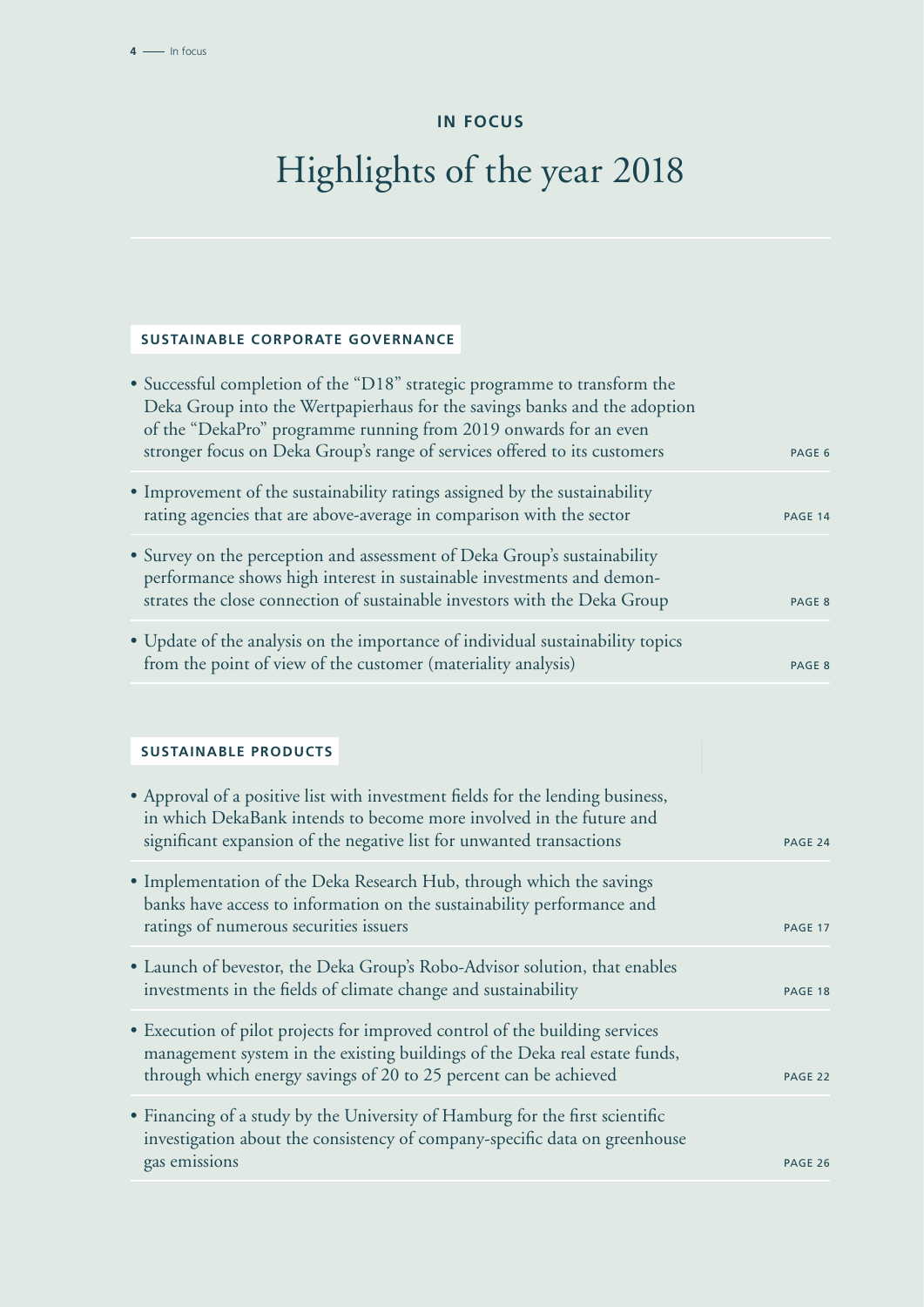## **IN FOCUS**

# Highlights of the year 2018

## **SUSTAINABLE CORPORATE GOVERNANCE**

| • Successful completion of the "D18" strategic programme to transform the<br>Deka Group into the Wertpapierhaus for the savings banks and the adoption<br>of the "DekaPro" programme running from 2019 onwards for an even<br>stronger focus on Deka Group's range of services offered to its customers | PAGE 6  |
|---------------------------------------------------------------------------------------------------------------------------------------------------------------------------------------------------------------------------------------------------------------------------------------------------------|---------|
| • Improvement of the sustainability ratings assigned by the sustainability<br>rating agencies that are above-average in comparison with the sector                                                                                                                                                      | PAGE 14 |
| • Survey on the perception and assessment of Deka Group's sustainability<br>performance shows high interest in sustainable investments and demon-<br>strates the close connection of sustainable investors with the Deka Group                                                                          | PAGE 8  |
| • Update of the analysis on the importance of individual sustainability topics<br>from the point of view of the customer (materiality analysis)                                                                                                                                                         | PAGE 8  |

## **SUSTAINABLE PRODUCTS**

| • Approval of a positive list with investment fields for the lending business,<br>in which DekaBank intends to become more involved in the future and<br>significant expansion of the negative list for unwanted transactions | PAGE 24 |
|-------------------------------------------------------------------------------------------------------------------------------------------------------------------------------------------------------------------------------|---------|
| • Implementation of the Deka Research Hub, through which the savings<br>banks have access to information on the sustainability performance and<br>ratings of numerous securities issuers                                      | PAGE 17 |
| • Launch of bevestor, the Deka Group's Robo-Advisor solution, that enables<br>investments in the fields of climate change and sustainability                                                                                  | PAGE 18 |
| • Execution of pilot projects for improved control of the building services<br>management system in the existing buildings of the Deka real estate funds,<br>through which energy savings of 20 to 25 percent can be achieved | PAGE 22 |
| • Financing of a study by the University of Hamburg for the first scientific<br>investigation about the consistency of company-specific data on greenhouse<br>gas emissions                                                   | PAGE 26 |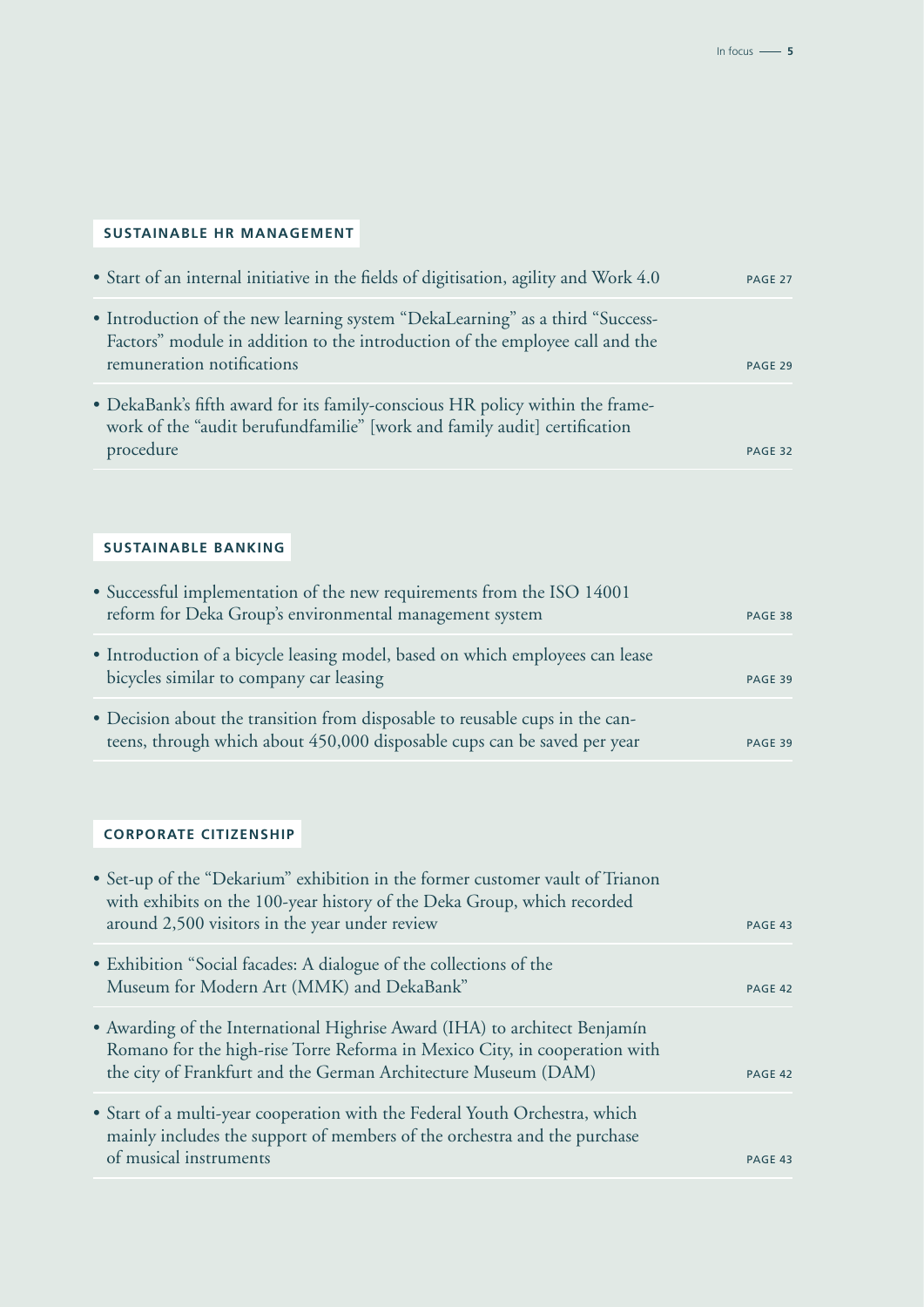## **SUSTAINABLE HR MANAGEMENT**

| • Start of an internal initiative in the fields of digitisation, agility and Work 4.0                                                                                                       | PAGE 27 |
|---------------------------------------------------------------------------------------------------------------------------------------------------------------------------------------------|---------|
| • Introduction of the new learning system "DekaLearning" as a third "Success-<br>Factors" module in addition to the introduction of the employee call and the<br>remuneration notifications | PAGE 29 |
| • DekaBank's fifth award for its family-conscious HR policy within the frame-<br>work of the "audit berufundfamilie" [work and family audit] certification<br>procedure                     | PAGE 32 |

## **SUSTAINABLE BANKING**

| • Successful implementation of the new requirements from the ISO 14001<br>reform for Deka Group's environmental management system                        | PAGE 38 |
|----------------------------------------------------------------------------------------------------------------------------------------------------------|---------|
| • Introduction of a bicycle leasing model, based on which employees can lease<br>bicycles similar to company car leasing                                 | PAGE 39 |
| • Decision about the transition from disposable to reusable cups in the can-<br>teens, through which about 450,000 disposable cups can be saved per year | PAGE 39 |

## **CORPORATE CITIZENSHIP**

| • Set-up of the "Dekarium" exhibition in the former customer vault of Trianon<br>with exhibits on the 100-year history of the Deka Group, which recorded<br>around 2,500 visitors in the year under review                 | PAGE 43 |
|----------------------------------------------------------------------------------------------------------------------------------------------------------------------------------------------------------------------------|---------|
| • Exhibition "Social facades: A dialogue of the collections of the<br>Museum for Modern Art (MMK) and DekaBank"                                                                                                            | PAGE 42 |
| • Awarding of the International Highrise Award (IHA) to architect Benjamín<br>Romano for the high-rise Torre Reforma in Mexico City, in cooperation with<br>the city of Frankfurt and the German Architecture Museum (DAM) | PAGE 42 |
| • Start of a multi-year cooperation with the Federal Youth Orchestra, which<br>mainly includes the support of members of the orchestra and the purchase<br>of musical instruments                                          | PAGE 43 |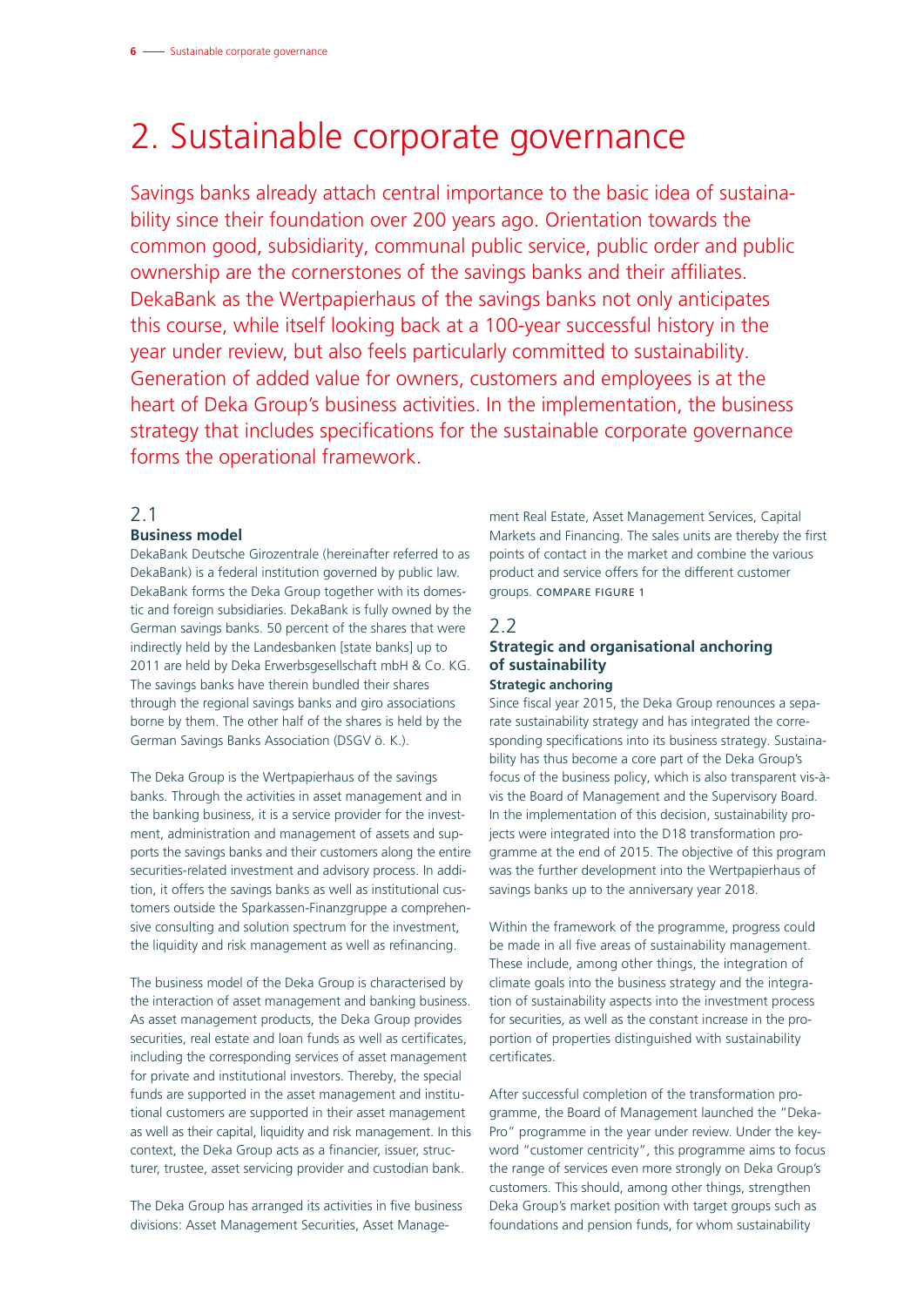## 2. Sustainable corporate governance

Savings banks already attach central importance to the basic idea of sustainability since their foundation over 200 years ago. Orientation towards the common good, subsidiarity, communal public service, public order and public ownership are the cornerstones of the savings banks and their affiliates. DekaBank as the Wertpapierhaus of the savings banks not only anticipates this course, while itself looking back at a 100-year successful history in the year under review, but also feels particularly committed to sustainability. Generation of added value for owners, customers and employees is at the heart of Deka Group's business activities. In the implementation, the business strategy that includes specifications for the sustainable corporate governance forms the operational framework.

## 2.1

### **Business model**

DekaBank Deutsche Girozentrale (hereinafter referred to as DekaBank) is a federal institution governed by public law. DekaBank forms the Deka Group together with its domestic and foreign subsidiaries. DekaBank is fully owned by the German savings banks. 50 percent of the shares that were indirectly held by the Landesbanken [state banks] up to 2011 are held by Deka Erwerbsgesellschaft mbH & Co. KG. The savings banks have therein bundled their shares through the regional savings banks and giro associations borne by them. The other half of the shares is held by the German Savings Banks Association (DSGV ö. K.).

The Deka Group is the Wertpapierhaus of the savings banks. Through the activities in asset management and in the banking business, it is a service provider for the investment, administration and management of assets and supports the savings banks and their customers along the entire securities-related investment and advisory process. In addition, it offers the savings banks as well as institutional customers outside the Sparkassen-Finanzgruppe a comprehensive consulting and solution spectrum for the investment, the liquidity and risk management as well as refinancing.

The business model of the Deka Group is characterised by the interaction of asset management and banking business. As asset management products, the Deka Group provides securities, real estate and loan funds as well as certificates, including the corresponding services of asset management for private and institutional investors. Thereby, the special funds are supported in the asset management and institutional customers are supported in their asset management as well as their capital, liquidity and risk management. In this context, the Deka Group acts as a financier, issuer, structurer, trustee, asset servicing provider and custodian bank.

The Deka Group has arranged its activities in five business divisions: Asset Management Securities, Asset Manage-

ment Real Estate, Asset Management Services, Capital Markets and Financing. The sales units are thereby the first points of contact in the market and combine the various product and service offers for the different customer groups. COMPARE FIGURE 1

### 2.2 **Strategic and organisational anchoring of sustainability Strategic anchoring**

Since fiscal year 2015, the Deka Group renounces a separate sustainability strategy and has integrated the corresponding specifications into its business strategy. Sustainability has thus become a core part of the Deka Group's focus of the business policy, which is also transparent vis-àvis the Board of Management and the Supervisory Board. In the implementation of this decision, sustainability projects were integrated into the D18 transformation programme at the end of 2015. The objective of this program was the further development into the Wertpapierhaus of savings banks up to the anniversary year 2018.

Within the framework of the programme, progress could be made in all five areas of sustainability management. These include, among other things, the integration of climate goals into the business strategy and the integration of sustainability aspects into the investment process for securities, as well as the constant increase in the proportion of properties distinguished with sustainability certificates.

After successful completion of the transformation programme, the Board of Management launched the "Deka-Pro" programme in the year under review. Under the keyword "customer centricity", this programme aims to focus the range of services even more strongly on Deka Group's customers. This should, among other things, strengthen Deka Group's market position with target groups such as foundations and pension funds, for whom sustainability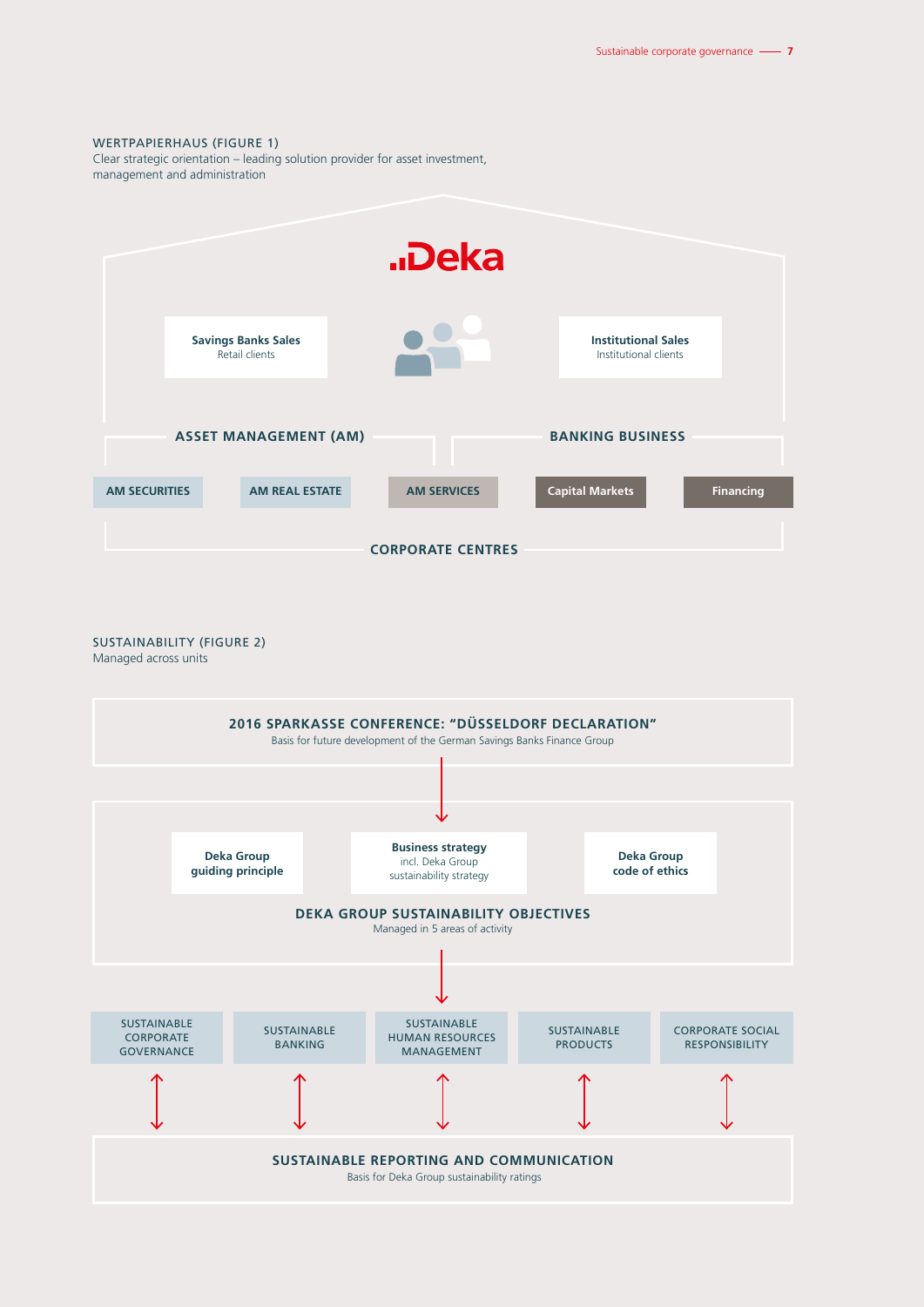#### WERTPAPIERHAUS (FIGURE 1)

Clear strategic orientation – leading solution provider for asset investment, management and administration



SUSTAINABILITY (FIGURE 2) Managed across units

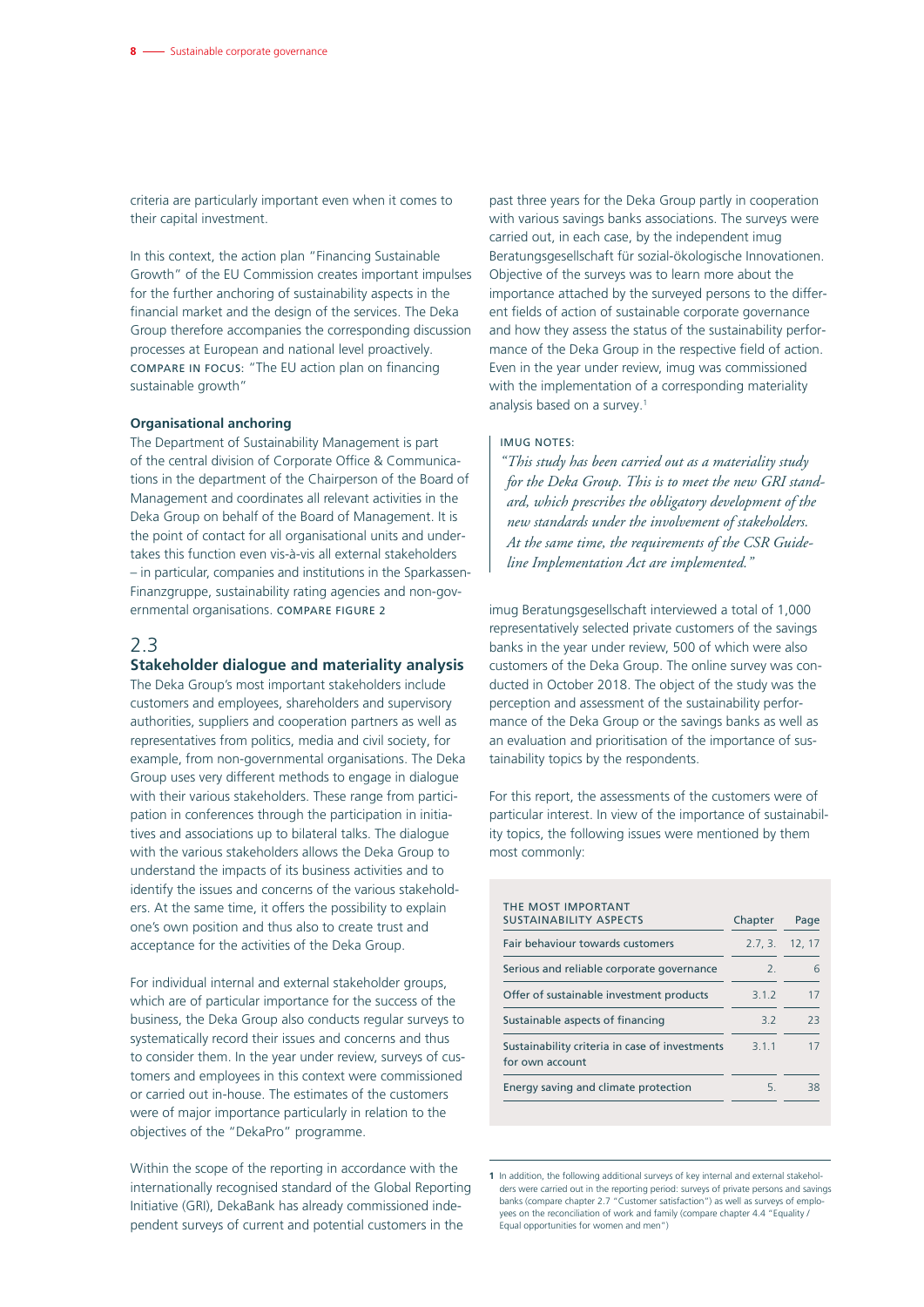criteria are particularly important even when it comes to their capital investment.

In this context, the action plan "Financing Sustainable Growth" of the EU Commission creates important impulses for the further anchoring of sustainability aspects in the financial market and the design of the services. The Deka Group therefore accompanies the corresponding discussion processes at European and national level proactively. COMPARE IN FOCUS: "The EU action plan on financing sustainable growth"

#### **Organisational anchoring**

The Department of Sustainability Management is part of the central division of Corporate Office & Communications in the department of the Chairperson of the Board of Management and coordinates all relevant activities in the Deka Group on behalf of the Board of Management. It is the point of contact for all organisational units and undertakes this function even vis-à-vis all external stakeholders – in particular, companies and institutions in the Sparkassen-Finanzgruppe, sustainability rating agencies and non-governmental organisations. COMPARE FIGURE 2

## 2.3

#### **Stakeholder dialogue and materiality analysis**

The Deka Group's most important stakeholders include customers and employees, shareholders and supervisory authorities, suppliers and cooperation partners as well as representatives from politics, media and civil society, for example, from non-governmental organisations. The Deka Group uses very different methods to engage in dialogue with their various stakeholders. These range from participation in conferences through the participation in initiatives and associations up to bilateral talks. The dialogue with the various stakeholders allows the Deka Group to understand the impacts of its business activities and to identify the issues and concerns of the various stakeholders. At the same time, it offers the possibility to explain one's own position and thus also to create trust and acceptance for the activities of the Deka Group.

For individual internal and external stakeholder groups, which are of particular importance for the success of the business, the Deka Group also conducts regular surveys to systematically record their issues and concerns and thus to consider them. In the year under review, surveys of customers and employees in this context were commissioned or carried out in-house. The estimates of the customers were of major importance particularly in relation to the objectives of the "DekaPro" programme.

Within the scope of the reporting in accordance with the internationally recognised standard of the Global Reporting Initiative (GRI), DekaBank has already commissioned independent surveys of current and potential customers in the

past three years for the Deka Group partly in cooperation with various savings banks associations. The surveys were carried out, in each case, by the independent imug Beratungsgesellschaft für sozial-ökologische Innovationen. Objective of the surveys was to learn more about the importance attached by the surveyed persons to the different fields of action of sustainable corporate governance and how they assess the status of the sustainability performance of the Deka Group in the respective field of action. Even in the year under review, imug was commissioned with the implementation of a corresponding materiality analysis based on a survey.1

#### IMUG NOTES:

*"This study has been carried out as a materiality study for the Deka Group. This is to meet the new GRI standard, which prescribes the obligatory development of the new standards under the involvement of stakeholders. At the same time, the requirements of the CSR Guideline Implementation Act are implemented."*

imug Beratungsgesellschaft interviewed a total of 1,000 representatively selected private customers of the savings banks in the year under review, 500 of which were also customers of the Deka Group. The online survey was conducted in October 2018. The object of the study was the perception and assessment of the sustainability performance of the Deka Group or the savings banks as well as an evaluation and prioritisation of the importance of sustainability topics by the respondents.

For this report, the assessments of the customers were of particular interest. In view of the importance of sustainability topics, the following issues were mentioned by them most commonly:

| THE MOST IMPORTANT<br><b>SUSTAINABILITY ASPECTS</b>               | Chapter       | Page   |
|-------------------------------------------------------------------|---------------|--------|
| Fair behaviour towards customers                                  | 2.7, 3.       | 12, 17 |
| Serious and reliable corporate governance                         | $\mathcal{L}$ | 6      |
| Offer of sustainable investment products                          | 3.1.2         | 17     |
| Sustainable aspects of financing                                  | 3.2           | 73     |
| Sustainability criteria in case of investments<br>for own account | 3 1 1         | 17     |
| Energy saving and climate protection                              | 5.            | 38     |

**<sup>1</sup>** In addition, the following additional surveys of key internal and external stakeholders were carried out in the reporting period: surveys of private persons and savings banks (compare chapter 2.7 "Customer satisfaction") as well as surveys of employees on the reconciliation of work and family (compare chapter 4.4 "Equality / Equal opportunities for women and men")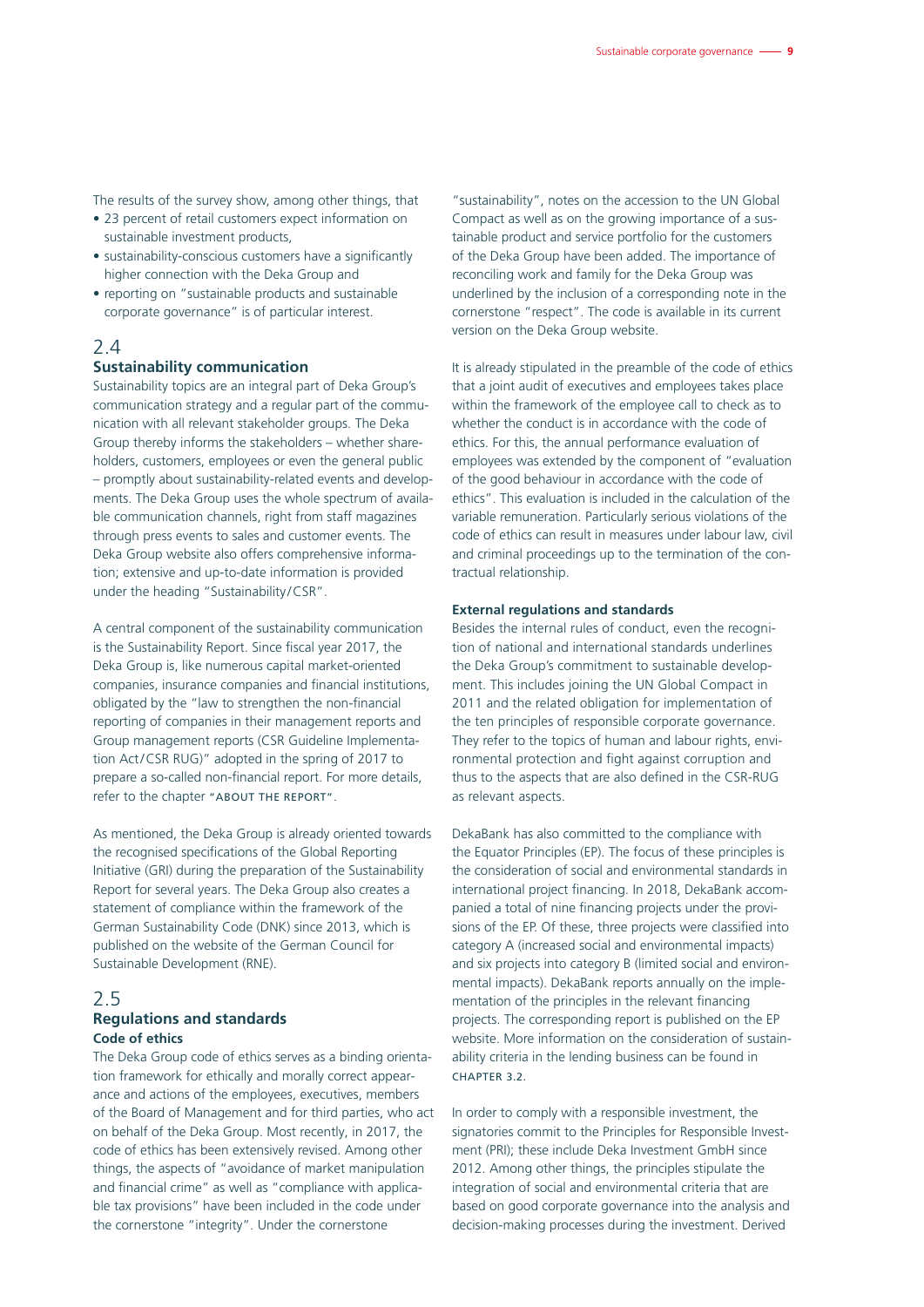The results of the survey show, among other things, that

- 23 percent of retail customers expect information on sustainable investment products,
- sustainability-conscious customers have a significantly higher connection with the Deka Group and
- reporting on "sustainable products and sustainable corporate governance" is of particular interest.

## 2.4

#### **Sustainability communication**

Sustainability topics are an integral part of Deka Group's communication strategy and a regular part of the communication with all relevant stakeholder groups. The Deka Group thereby informs the stakeholders – whether shareholders, customers, employees or even the general public – promptly about sustainability-related events and developments. The Deka Group uses the whole spectrum of available communication channels, right from staff magazines through press events to sales and customer events. The Deka Group website also offers comprehensive information; extensive and up-to-date information is provided under the heading "Sustainability /CSR".

A central component of the sustainability communication is the Sustainability Report. Since fiscal year 2017, the Deka Group is, like numerous capital market-oriented companies, insurance companies and financial institutions, obligated by the "law to strengthen the non-financial reporting of companies in their management reports and Group management reports (CSR Guideline Implementation Act/CSR RUG)" adopted in the spring of 2017 to prepare a so-called non-financial report. For more details, refer to the chapter "ABOUT THE REPORT".

As mentioned, the Deka Group is already oriented towards the recognised specifications of the Global Reporting Initiative (GRI) during the preparation of the Sustainability Report for several years. The Deka Group also creates a statement of compliance within the framework of the German Sustainability Code (DNK) since 2013, which is published on the website of the German Council for Sustainable Development (RNE).

## 2.5 **Regulations and standards Code of ethics**

The Deka Group code of ethics serves as a binding orientation framework for ethically and morally correct appearance and actions of the employees, executives, members of the Board of Management and for third parties, who act on behalf of the Deka Group. Most recently, in 2017, the code of ethics has been extensively revised. Among other things, the aspects of "avoidance of market manipulation and financial crime" as well as "compliance with applicable tax provisions" have been included in the code under the cornerstone "integrity". Under the cornerstone

"sustainability", notes on the accession to the UN Global Compact as well as on the growing importance of a sustainable product and service portfolio for the customers of the Deka Group have been added. The importance of reconciling work and family for the Deka Group was underlined by the inclusion of a corresponding note in the cornerstone "respect". The code is available in its current version on the Deka Group website.

It is already stipulated in the preamble of the code of ethics that a joint audit of executives and employees takes place within the framework of the employee call to check as to whether the conduct is in accordance with the code of ethics. For this, the annual performance evaluation of employees was extended by the component of "evaluation of the good behaviour in accordance with the code of ethics". This evaluation is included in the calculation of the variable remuneration. Particularly serious violations of the code of ethics can result in measures under labour law, civil and criminal proceedings up to the termination of the contractual relationship.

#### **External regulations and standards**

Besides the internal rules of conduct, even the recognition of national and international standards underlines the Deka Group's commitment to sustainable development. This includes joining the UN Global Compact in 2011 and the related obligation for implementation of the ten principles of responsible corporate governance. They refer to the topics of human and labour rights, environmental protection and fight against corruption and thus to the aspects that are also defined in the CSR-RUG as relevant aspects.

DekaBank has also committed to the compliance with the Equator Principles (EP). The focus of these principles is the consideration of social and environmental standards in international project financing. In 2018, DekaBank accompanied a total of nine financing projects under the provisions of the EP. Of these, three projects were classified into category A (increased social and environmental impacts) and six projects into category B (limited social and environmental impacts). DekaBank reports annually on the implementation of the principles in the relevant financing projects. The corresponding report is published on the EP website. More information on the consideration of sustainability criteria in the lending business can be found in CHAPTER 3.2.

In order to comply with a responsible investment, the signatories commit to the Principles for Responsible Investment (PRI); these include Deka Investment GmbH since 2012. Among other things, the principles stipulate the integration of social and environmental criteria that are based on good corporate governance into the analysis and decision-making processes during the investment. Derived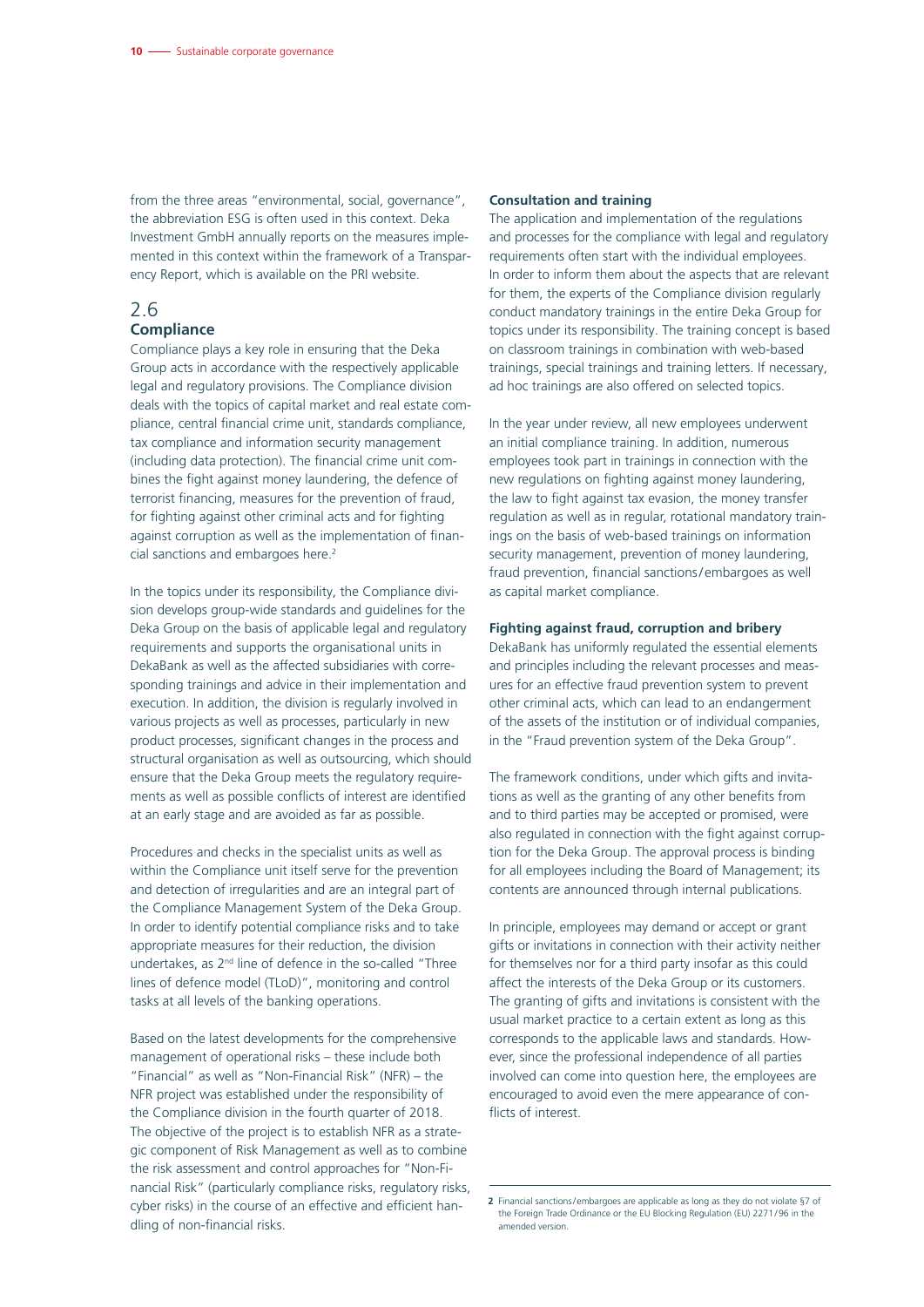from the three areas "environmental, social, governance", the abbreviation ESG is often used in this context. Deka Investment GmbH annually reports on the measures implemented in this context within the framework of a Transparency Report, which is available on the PRI website.

## 2.6

## **Compliance**

Compliance plays a key role in ensuring that the Deka Group acts in accordance with the respectively applicable legal and regulatory provisions. The Compliance division deals with the topics of capital market and real estate compliance, central financial crime unit, standards compliance, tax compliance and information security management (including data protection). The financial crime unit combines the fight against money laundering, the defence of terrorist financing, measures for the prevention of fraud, for fighting against other criminal acts and for fighting against corruption as well as the implementation of financial sanctions and embargoes here.<sup>2</sup>

In the topics under its responsibility, the Compliance division develops group-wide standards and guidelines for the Deka Group on the basis of applicable legal and regulatory requirements and supports the organisational units in DekaBank as well as the affected subsidiaries with corresponding trainings and advice in their implementation and execution. In addition, the division is regularly involved in various projects as well as processes, particularly in new product processes, significant changes in the process and structural organisation as well as outsourcing, which should ensure that the Deka Group meets the regulatory requirements as well as possible conflicts of interest are identified at an early stage and are avoided as far as possible.

Procedures and checks in the specialist units as well as within the Compliance unit itself serve for the prevention and detection of irregularities and are an integral part of the Compliance Management System of the Deka Group. In order to identify potential compliance risks and to take appropriate measures for their reduction, the division undertakes, as 2nd line of defence in the so-called "Three lines of defence model (TLoD)", monitoring and control tasks at all levels of the banking operations.

Based on the latest developments for the comprehensive management of operational risks – these include both "Financial" as well as "Non-Financial Risk" (NFR) – the NFR project was established under the responsibility of the Compliance division in the fourth quarter of 2018. The objective of the project is to establish NFR as a strategic component of Risk Management as well as to combine the risk assessment and control approaches for "Non-Financial Risk" (particularly compliance risks, regulatory risks, cyber risks) in the course of an effective and efficient handling of non-financial risks.

#### **Consultation and training**

The application and implementation of the regulations and processes for the compliance with legal and regulatory requirements often start with the individual employees. In order to inform them about the aspects that are relevant for them, the experts of the Compliance division regularly conduct mandatory trainings in the entire Deka Group for topics under its responsibility. The training concept is based on classroom trainings in combination with web-based trainings, special trainings and training letters. If necessary, ad hoc trainings are also offered on selected topics.

In the year under review, all new employees underwent an initial compliance training. In addition, numerous employees took part in trainings in connection with the new regulations on fighting against money laundering, the law to fight against tax evasion, the money transfer regulation as well as in regular, rotational mandatory trainings on the basis of web-based trainings on information security management, prevention of money laundering, fraud prevention, financial sanctions/embargoes as well as capital market compliance.

#### **Fighting against fraud, corruption and bribery**

DekaBank has uniformly regulated the essential elements and principles including the relevant processes and measures for an effective fraud prevention system to prevent other criminal acts, which can lead to an endangerment of the assets of the institution or of individual companies, in the "Fraud prevention system of the Deka Group".

The framework conditions, under which gifts and invitations as well as the granting of any other benefits from and to third parties may be accepted or promised, were also regulated in connection with the fight against corruption for the Deka Group. The approval process is binding for all employees including the Board of Management; its contents are announced through internal publications.

In principle, employees may demand or accept or grant gifts or invitations in connection with their activity neither for themselves nor for a third party insofar as this could affect the interests of the Deka Group or its customers. The granting of gifts and invitations is consistent with the usual market practice to a certain extent as long as this corresponds to the applicable laws and standards. However, since the professional independence of all parties involved can come into question here, the employees are encouraged to avoid even the mere appearance of conflicts of interest

**<sup>2</sup>** Financial sanctions/embargoes are applicable as long as they do not violate §7 of the Foreign Trade Ordinance or the EU Blocking Regulation (EU) 2271/96 in the amended version.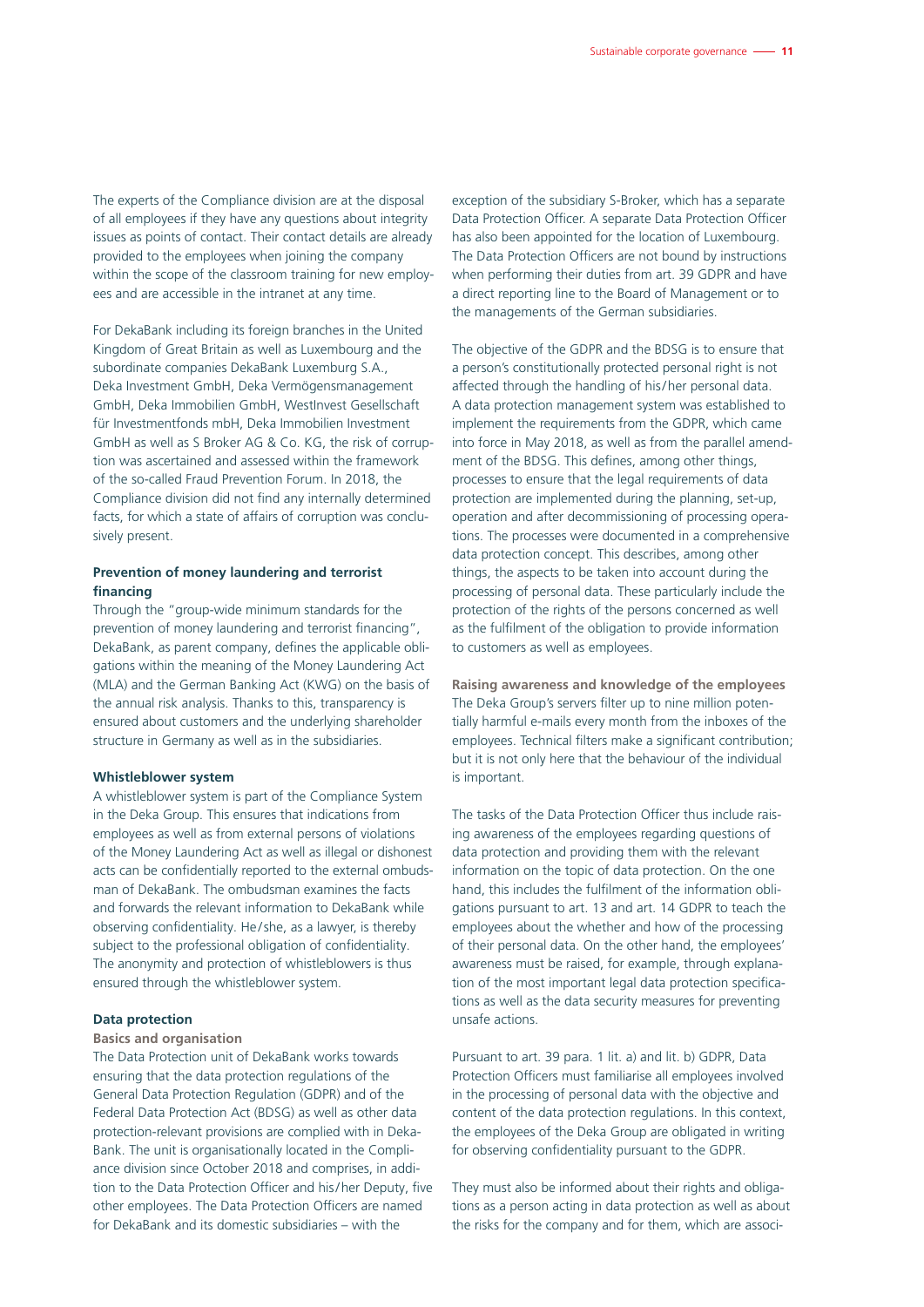The experts of the Compliance division are at the disposal of all employees if they have any questions about integrity issues as points of contact. Their contact details are already provided to the employees when joining the company within the scope of the classroom training for new employees and are accessible in the intranet at any time.

For DekaBank including its foreign branches in the United Kingdom of Great Britain as well as Luxembourg and the subordinate companies DekaBank Luxemburg S.A., Deka Investment GmbH, Deka Vermögensmanagement GmbH, Deka Immobilien GmbH, WestInvest Gesellschaft für Investmentfonds mbH, Deka Immobilien Investment GmbH as well as S Broker AG & Co. KG, the risk of corruption was ascertained and assessed within the framework of the so-called Fraud Prevention Forum. In 2018, the Compliance division did not find any internally determined facts, for which a state of affairs of corruption was conclusively present.

### **Prevention of money laundering and terrorist financing**

Through the "group-wide minimum standards for the prevention of money laundering and terrorist financing", DekaBank, as parent company, defines the applicable obligations within the meaning of the Money Laundering Act (MLA) and the German Banking Act (KWG) on the basis of the annual risk analysis. Thanks to this, transparency is ensured about customers and the underlying shareholder structure in Germany as well as in the subsidiaries.

#### **Whistleblower system**

A whistleblower system is part of the Compliance System in the Deka Group. This ensures that indications from employees as well as from external persons of violations of the Money Laundering Act as well as illegal or dishonest acts can be confidentially reported to the external ombudsman of DekaBank. The ombudsman examines the facts and forwards the relevant information to DekaBank while observing confidentiality. He/she, as a lawyer, is thereby subject to the professional obligation of confidentiality. The anonymity and protection of whistleblowers is thus ensured through the whistleblower system.

#### **Data protection**

#### **Basics and organisation**

The Data Protection unit of DekaBank works towards ensuring that the data protection regulations of the General Data Protection Regulation (GDPR) and of the Federal Data Protection Act (BDSG) as well as other data protection-relevant provisions are complied with in Deka-Bank. The unit is organisationally located in the Compliance division since October 2018 and comprises, in addition to the Data Protection Officer and his/her Deputy, five other employees. The Data Protection Officers are named for DekaBank and its domestic subsidiaries – with the

exception of the subsidiary S-Broker, which has a separate Data Protection Officer. A separate Data Protection Officer has also been appointed for the location of Luxembourg. The Data Protection Officers are not bound by instructions when performing their duties from art. 39 GDPR and have a direct reporting line to the Board of Management or to the managements of the German subsidiaries.

The objective of the GDPR and the BDSG is to ensure that a person's constitutionally protected personal right is not affected through the handling of his/her personal data. A data protection management system was established to implement the requirements from the GDPR, which came into force in May 2018, as well as from the parallel amendment of the BDSG. This defines, among other things, processes to ensure that the legal requirements of data protection are implemented during the planning, set-up, operation and after decommissioning of processing operations. The processes were documented in a comprehensive data protection concept. This describes, among other things, the aspects to be taken into account during the processing of personal data. These particularly include the protection of the rights of the persons concerned as well as the fulfilment of the obligation to provide information to customers as well as employees.

**Raising awareness and knowledge of the employees** The Deka Group's servers filter up to nine million potentially harmful e-mails every month from the inboxes of the employees. Technical filters make a significant contribution; but it is not only here that the behaviour of the individual is important.

The tasks of the Data Protection Officer thus include raising awareness of the employees regarding questions of data protection and providing them with the relevant information on the topic of data protection. On the one hand, this includes the fulfilment of the information obligations pursuant to art. 13 and art. 14 GDPR to teach the employees about the whether and how of the processing of their personal data. On the other hand, the employees' awareness must be raised, for example, through explanation of the most important legal data protection specifications as well as the data security measures for preventing unsafe actions.

Pursuant to art. 39 para. 1 lit. a) and lit. b) GDPR, Data Protection Officers must familiarise all employees involved in the processing of personal data with the objective and content of the data protection regulations. In this context, the employees of the Deka Group are obligated in writing for observing confidentiality pursuant to the GDPR.

They must also be informed about their rights and obligations as a person acting in data protection as well as about the risks for the company and for them, which are associ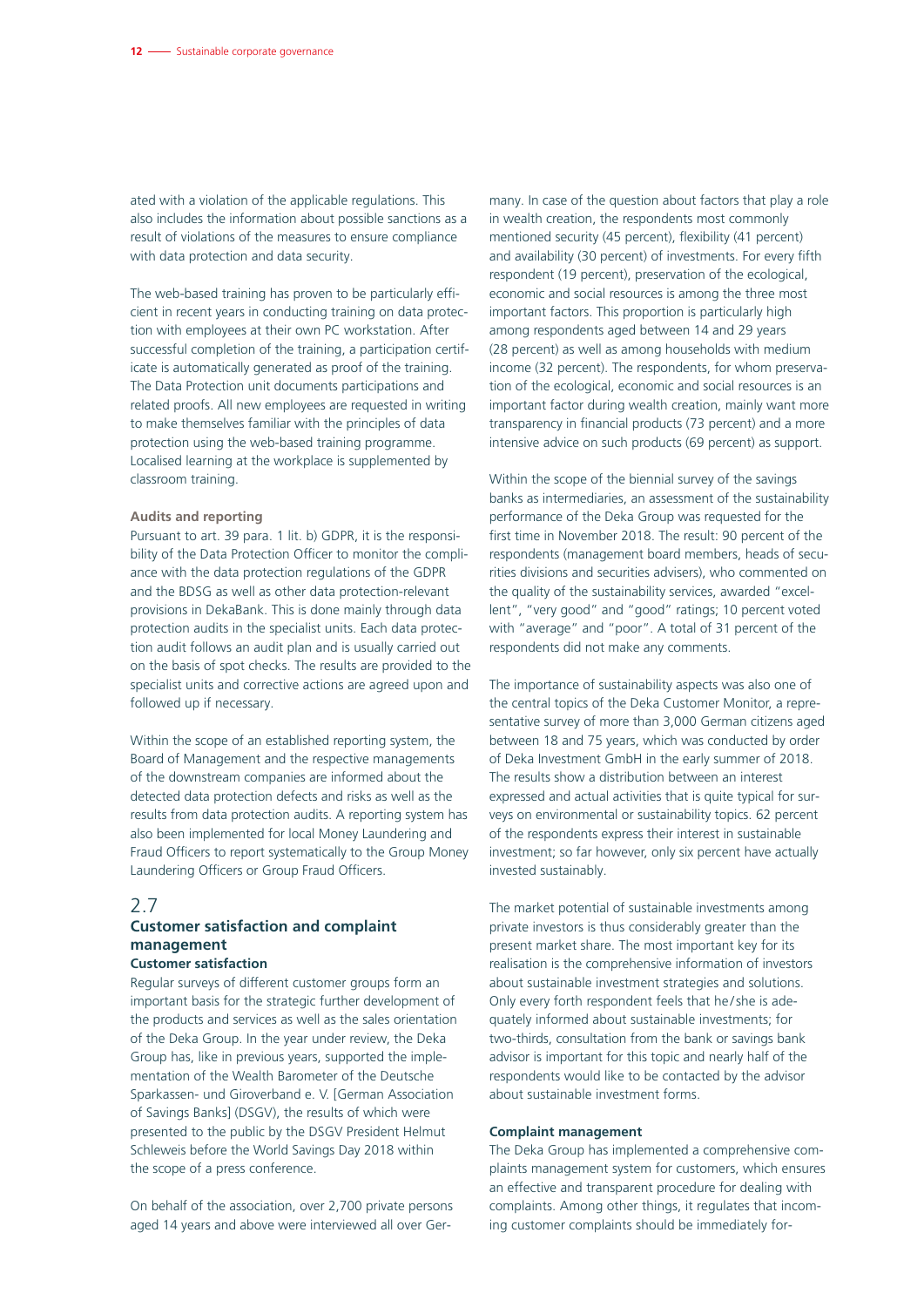ated with a violation of the applicable regulations. This also includes the information about possible sanctions as a result of violations of the measures to ensure compliance with data protection and data security.

The web-based training has proven to be particularly efficient in recent years in conducting training on data protection with employees at their own PC workstation. After successful completion of the training, a participation certificate is automatically generated as proof of the training. The Data Protection unit documents participations and related proofs. All new employees are requested in writing to make themselves familiar with the principles of data protection using the web-based training programme. Localised learning at the workplace is supplemented by classroom training.

#### **Audits and reporting**

Pursuant to art. 39 para. 1 lit. b) GDPR, it is the responsibility of the Data Protection Officer to monitor the compliance with the data protection regulations of the GDPR and the BDSG as well as other data protection-relevant provisions in DekaBank. This is done mainly through data protection audits in the specialist units. Each data protection audit follows an audit plan and is usually carried out on the basis of spot checks. The results are provided to the specialist units and corrective actions are agreed upon and followed up if necessary.

Within the scope of an established reporting system, the Board of Management and the respective managements of the downstream companies are informed about the detected data protection defects and risks as well as the results from data protection audits. A reporting system has also been implemented for local Money Laundering and Fraud Officers to report systematically to the Group Money Laundering Officers or Group Fraud Officers.

#### 2.7

## **Customer satisfaction and complaint management**

### **Customer satisfaction**

Regular surveys of different customer groups form an important basis for the strategic further development of the products and services as well as the sales orientation of the Deka Group. In the year under review, the Deka Group has, like in previous years, supported the implementation of the Wealth Barometer of the Deutsche Sparkassen- und Giroverband e. V. [German Association of Savings Banks] (DSGV), the results of which were presented to the public by the DSGV President Helmut Schleweis before the World Savings Day 2018 within the scope of a press conference.

On behalf of the association, over 2,700 private persons aged 14 years and above were interviewed all over Ger-

many. In case of the question about factors that play a role in wealth creation, the respondents most commonly mentioned security (45 percent), flexibility (41 percent) and availability (30 percent) of investments. For every fifth respondent (19 percent), preservation of the ecological, economic and social resources is among the three most important factors. This proportion is particularly high among respondents aged between 14 and 29 years (28 percent) as well as among households with medium income (32 percent). The respondents, for whom preservation of the ecological, economic and social resources is an important factor during wealth creation, mainly want more transparency in financial products (73 percent) and a more intensive advice on such products (69 percent) as support.

Within the scope of the biennial survey of the savings banks as intermediaries, an assessment of the sustainability performance of the Deka Group was requested for the first time in November 2018. The result: 90 percent of the respondents (management board members, heads of securities divisions and securities advisers), who commented on the quality of the sustainability services, awarded "excellent", "very good" and "good" ratings; 10 percent voted with "average" and "poor". A total of 31 percent of the respondents did not make any comments.

The importance of sustainability aspects was also one of the central topics of the Deka Customer Monitor, a representative survey of more than 3,000 German citizens aged between 18 and 75 years, which was conducted by order of Deka Investment GmbH in the early summer of 2018. The results show a distribution between an interest expressed and actual activities that is quite typical for surveys on environmental or sustainability topics. 62 percent of the respondents express their interest in sustainable investment; so far however, only six percent have actually invested sustainably.

The market potential of sustainable investments among private investors is thus considerably greater than the present market share. The most important key for its realisation is the comprehensive information of investors about sustainable investment strategies and solutions. Only every forth respondent feels that he /she is adequately informed about sustainable investments; for two-thirds, consultation from the bank or savings bank advisor is important for this topic and nearly half of the respondents would like to be contacted by the advisor about sustainable investment forms.

#### **Complaint management**

The Deka Group has implemented a comprehensive complaints management system for customers, which ensures an effective and transparent procedure for dealing with complaints. Among other things, it regulates that incoming customer complaints should be immediately for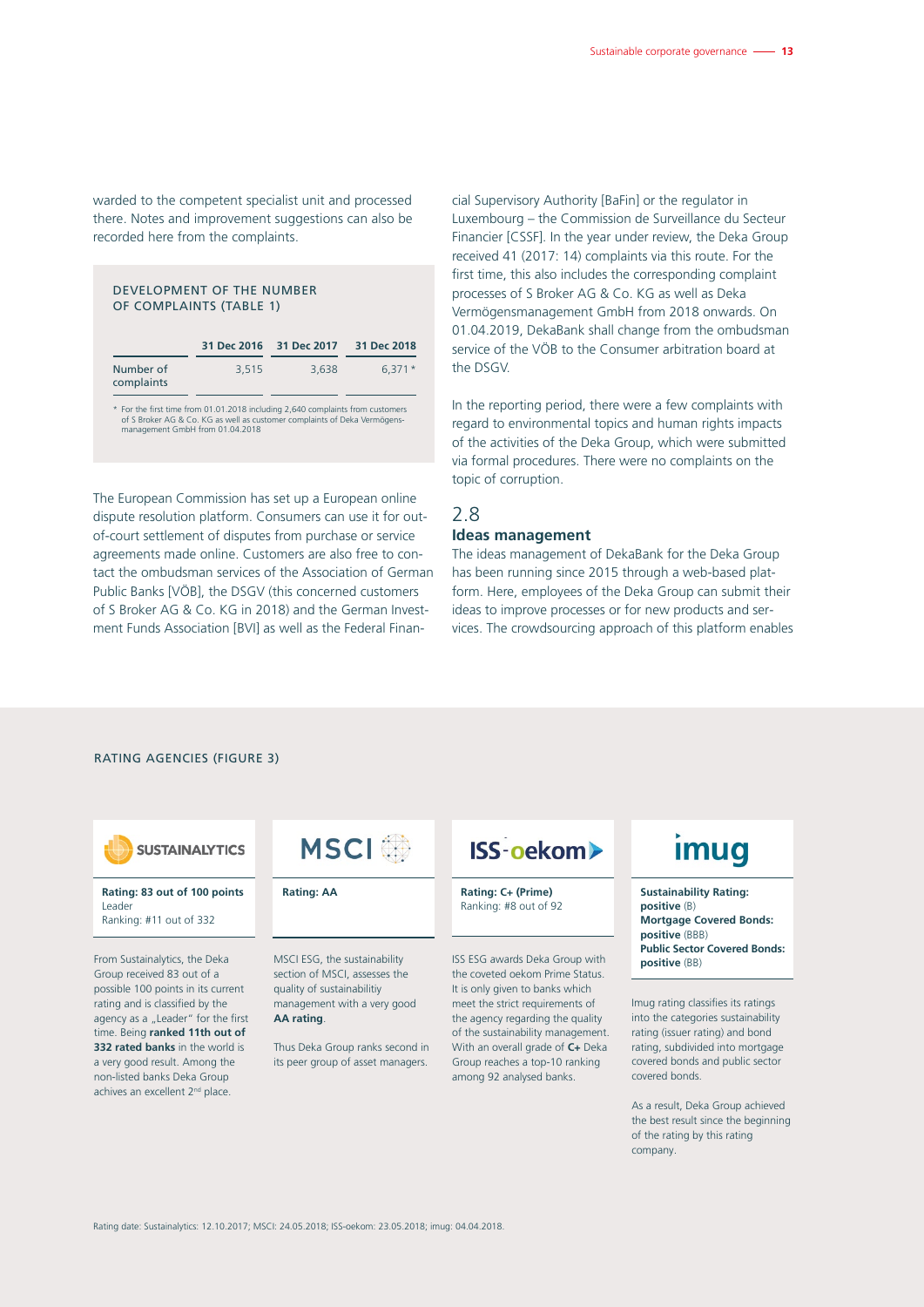warded to the competent specialist unit and processed there. Notes and improvement suggestions can also be recorded here from the complaints.

#### DEVELOPMENT OF THE NUMBER OF COMPLAINTS (TABLE 1)

|                         |       | 31 Dec 2016 31 Dec 2017 | 31 Dec 2018 |
|-------------------------|-------|-------------------------|-------------|
| Number of<br>complaints | 3.515 | 3.638                   | $6.371*$    |

\* For the first time from 01.01.2018 including 2,640 complaints from customers of S Broker AG & Co. KG as well as customer complaints of Deka Vermögensmanagement GmbH from 01.04.2018

The European Commission has set up a European online dispute resolution platform. Consumers can use it for outof-court settlement of disputes from purchase or service agreements made online. Customers are also free to contact the ombudsman services of the Association of German Public Banks [VÖB], the DSGV (this concerned customers of S Broker AG & Co. KG in 2018) and the German Investment Funds Association [BVI] as well as the Federal Financial Supervisory Authority [BaFin] or the regulator in Luxembourg – the Commission de Surveillance du Secteur Financier [CSSF]. In the year under review, the Deka Group received 41 (2017: 14) complaints via this route. For the first time, this also includes the corresponding complaint processes of S Broker AG & Co. KG as well as Deka Vermögensmanagement GmbH from 2018 onwards. On 01.04.2019, DekaBank shall change from the ombudsman service of the VÖB to the Consumer arbitration board at the DSGV.

In the reporting period, there were a few complaints with regard to environmental topics and human rights impacts of the activities of the Deka Group, which were submitted via formal procedures. There were no complaints on the topic of corruption.

## 2.8 **Ideas management**

## The ideas management of DekaBank for the Deka Group

has been running since 2015 through a web-based platform. Here, employees of the Deka Group can submit their ideas to improve processes or for new products and services. The crowdsourcing approach of this platform enables

#### RATING AGENCIES (FIGURE 3)



**Rating: 83 out of 100 points** Leader Ranking: #11 out of 332

From Sustainalytics, the Deka Group received 83 out of a possible 100 points in its current rating and is classified by the agency as a "Leader" for the first time. Being **ranked 11th out of 332 rated banks** in the world is a very good result. Among the non-listed banks Deka Group achives an excellent 2<sup>nd</sup> place.

## **MSCI**

section of MSCI, assesses the quality of sustainabilitiy management with a very good **AA rating**.

Thus Deka Group ranks second in its peer group of asset managers.

## **ISS-oekom**

**Rating: AA Rating: C+ (Prime)** Ranking: #8 out of 92

MSCI ESG, the sustainability *positive* (BB) the coveted oekom Prime Status. It is only given to banks which meet the strict requirements of the agency regarding the quality of the sustainability management. With an overall grade of **C+** Deka Group reaches a top-10 ranking among 92 analysed banks.

# **imug**

**Sustainability Rating: positive** (B) **Mortgage Covered Bonds: positive** (BBB) **Public Sector Covered Bonds:** 

Imug rating classifies its ratings into the categories sustainability rating (issuer rating) and bond rating, subdivided into mortgage covered bonds and public sector covered bonds.

As a result, Deka Group achieved the best result since the beginning of the rating by this rating company.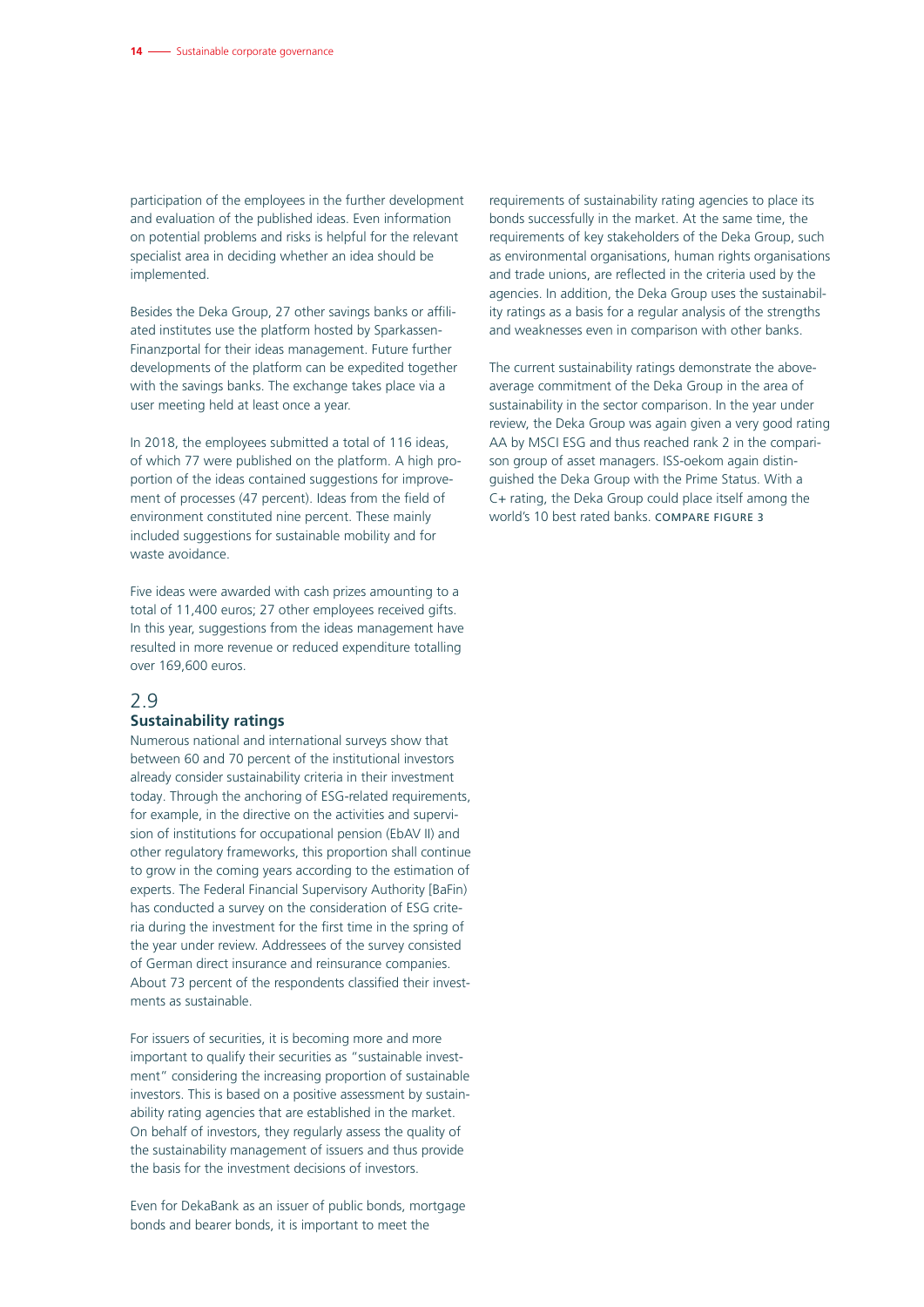participation of the employees in the further development and evaluation of the published ideas. Even information on potential problems and risks is helpful for the relevant specialist area in deciding whether an idea should be implemented.

Besides the Deka Group, 27 other savings banks or affiliated institutes use the platform hosted by Sparkassen-Finanzportal for their ideas management. Future further developments of the platform can be expedited together with the savings banks. The exchange takes place via a user meeting held at least once a year.

In 2018, the employees submitted a total of 116 ideas, of which 77 were published on the platform. A high proportion of the ideas contained suggestions for improvement of processes (47 percent). Ideas from the field of environment constituted nine percent. These mainly included suggestions for sustainable mobility and for waste avoidance.

Five ideas were awarded with cash prizes amounting to a total of 11,400 euros; 27 other employees received gifts. In this year, suggestions from the ideas management have resulted in more revenue or reduced expenditure totalling over 169,600 euros.

#### 2.9

### **Sustainability ratings**

Numerous national and international surveys show that between 60 and 70 percent of the institutional investors already consider sustainability criteria in their investment today. Through the anchoring of ESG-related requirements, for example, in the directive on the activities and supervision of institutions for occupational pension (EbAV II) and other regulatory frameworks, this proportion shall continue to grow in the coming years according to the estimation of experts. The Federal Financial Supervisory Authority [BaFin) has conducted a survey on the consideration of ESG criteria during the investment for the first time in the spring of the year under review. Addressees of the survey consisted of German direct insurance and reinsurance companies. About 73 percent of the respondents classified their investments as sustainable.

For issuers of securities, it is becoming more and more important to qualify their securities as "sustainable investment" considering the increasing proportion of sustainable investors. This is based on a positive assessment by sustainability rating agencies that are established in the market. On behalf of investors, they regularly assess the quality of the sustainability management of issuers and thus provide the basis for the investment decisions of investors.

Even for DekaBank as an issuer of public bonds, mortgage bonds and bearer bonds, it is important to meet the

requirements of sustainability rating agencies to place its bonds successfully in the market. At the same time, the requirements of key stakeholders of the Deka Group, such as environmental organisations, human rights organisations and trade unions, are reflected in the criteria used by the agencies. In addition, the Deka Group uses the sustainability ratings as a basis for a regular analysis of the strengths and weaknesses even in comparison with other banks.

The current sustainability ratings demonstrate the aboveaverage commitment of the Deka Group in the area of sustainability in the sector comparison. In the year under review, the Deka Group was again given a very good rating AA by MSCI ESG and thus reached rank 2 in the comparison group of asset managers. ISS-oekom again distinguished the Deka Group with the Prime Status. With a C+ rating, the Deka Group could place itself among the world's 10 best rated banks. COMPARE FIGURE 3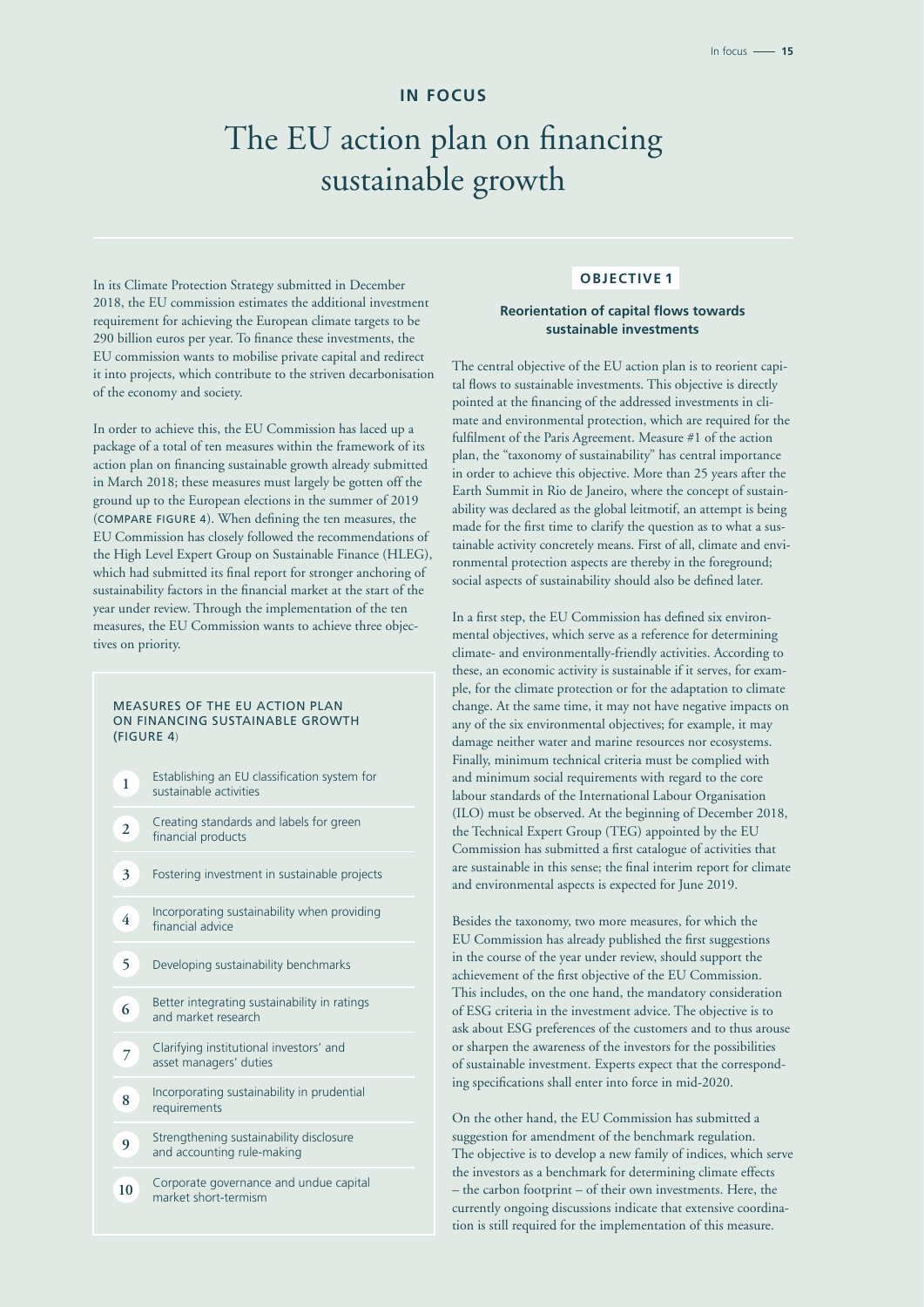### **IN FOCUS**

## The EU action plan on financing sustainable growth

In its Climate Protection Strategy submitted in December 2018, the EU commission estimates the additional investment requirement for achieving the European climate targets to be 290 billion euros per year. To finance these investments, the EU commission wants to mobilise private capital and redirect it into projects, which contribute to the striven decarbonisation of the economy and society.

In order to achieve this, the EU Commission has laced up a package of a total of ten measures within the framework of its action plan on financing sustainable growth already submitted in March 2018; these measures must largely be gotten off the ground up to the European elections in the summer of 2019 (COMPARE FIGURE 4). When defining the ten measures, the EU Commission has closely followed the recommendations of the High Level Expert Group on Sustainable Finance (HLEG), which had submitted its final report for stronger anchoring of sustainability factors in the financial market at the start of the year under review. Through the implementation of the ten measures, the EU Commission wants to achieve three objectives on priority.

#### MEASURES OF THE EU ACTION PLAN ON FINANCING SUSTAINABLE GROWTH (FIGURE 4)

- 1 Establishing an EU classification system for sustainable activities
- 2 Creating standards and labels for green financial products
- 3 Fostering investment in sustainable projects
- 4 Incorporating sustainability when providing financial advice
- 5 Developing sustainability benchmarks
- 6 Better integrating sustainability in ratings and market research
- 7 Clarifying institutional investors' and asset managers' duties
- 8 Incorporating sustainability in prudential requirements
- 9 Strengthening sustainability disclosure and accounting rule-making
- 10 Corporate governance and undue capital market short-termism

### **OBJECTIVE 1**

#### **Reorientation of capital flows towards sustainable investments**

The central objective of the EU action plan is to reorient capital flows to sustainable investments. This objective is directly pointed at the financing of the addressed investments in climate and environmental protection, which are required for the fulfilment of the Paris Agreement. Measure #1 of the action plan, the "taxonomy of sustainability" has central importance in order to achieve this objective. More than 25 years after the Earth Summit in Rio de Janeiro, where the concept of sustainability was declared as the global leitmotif, an attempt is being made for the first time to clarify the question as to what a sustainable activity concretely means. First of all, climate and environmental protection aspects are thereby in the foreground; social aspects of sustainability should also be defined later.

In a first step, the EU Commission has defined six environmental objectives, which serve as a reference for determining climate- and environmentally-friendly activities. According to these, an economic activity is sustainable if it serves, for example, for the climate protection or for the adaptation to climate change. At the same time, it may not have negative impacts on any of the six environmental objectives; for example, it may damage neither water and marine resources nor ecosystems. Finally, minimum technical criteria must be complied with and minimum social requirements with regard to the core labour standards of the International Labour Organisation (ILO) must be observed. At the beginning of December 2018, the Technical Expert Group (TEG) appointed by the EU Commission has submitted a first catalogue of activities that are sustainable in this sense; the final interim report for climate and environmental aspects is expected for June 2019.

Besides the taxonomy, two more measures, for which the EU Commission has already published the first suggestions in the course of the year under review, should support the achievement of the first objective of the EU Commission. This includes, on the one hand, the mandatory consideration of ESG criteria in the investment advice. The objective is to ask about ESG preferences of the customers and to thus arouse or sharpen the awareness of the investors for the possibilities of sustainable investment. Experts expect that the corresponding specifications shall enter into force in mid-2020.

On the other hand, the EU Commission has submitted a suggestion for amendment of the benchmark regulation. The objective is to develop a new family of indices, which serve the investors as a benchmark for determining climate effects – the carbon footprint – of their own investments. Here, the currently ongoing discussions indicate that extensive coordination is still required for the implementation of this measure.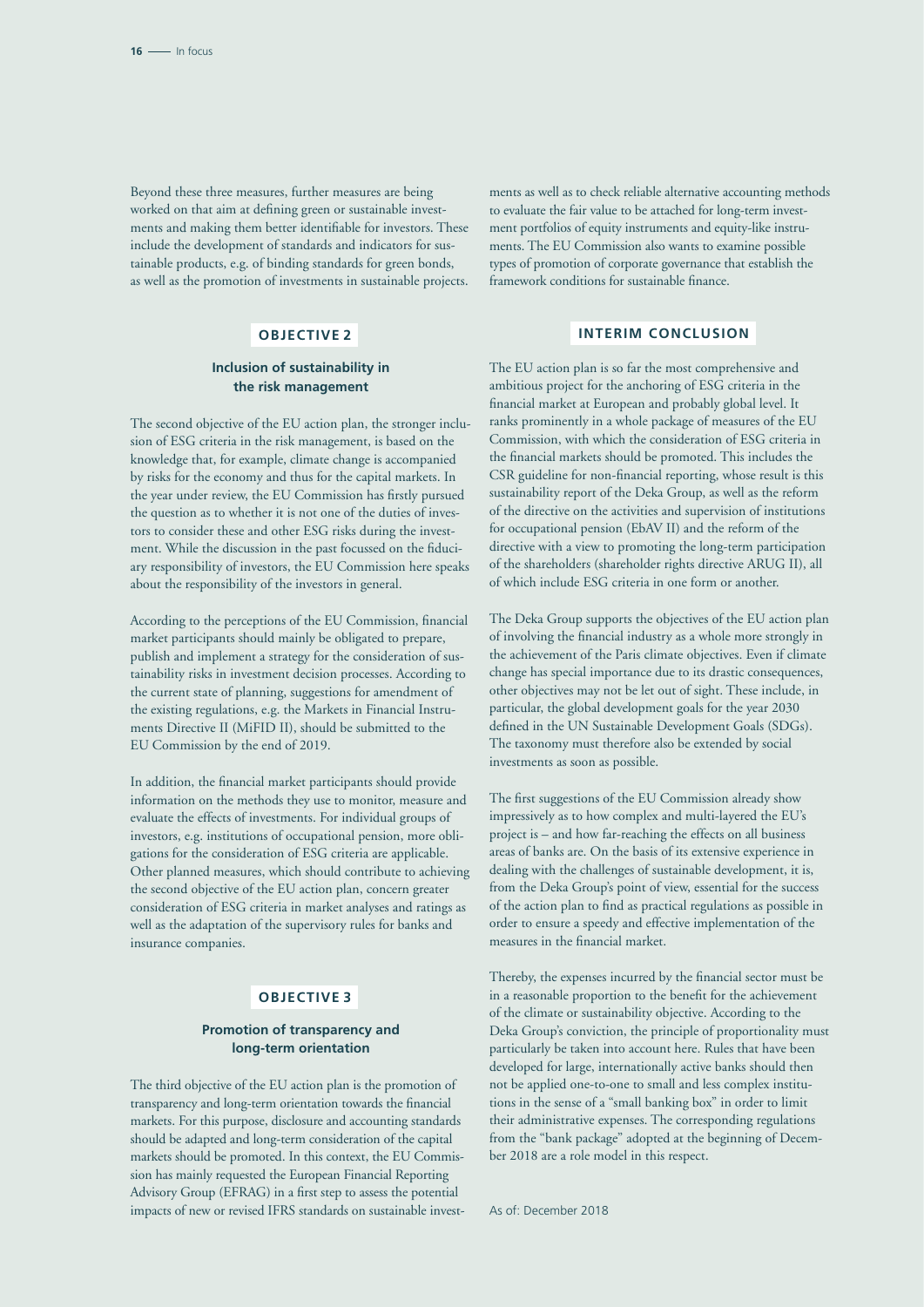Beyond these three measures, further measures are being worked on that aim at defining green or sustainable investments and making them better identifiable for investors. These include the development of standards and indicators for sustainable products, e.g. of binding standards for green bonds, as well as the promotion of investments in sustainable projects.

#### **OBJECTIVE 2**

#### **Inclusion of sustainability in the risk management**

The second objective of the EU action plan, the stronger inclusion of ESG criteria in the risk management, is based on the knowledge that, for example, climate change is accompanied by risks for the economy and thus for the capital markets. In the year under review, the EU Commission has firstly pursued the question as to whether it is not one of the duties of investors to consider these and other ESG risks during the investment. While the discussion in the past focussed on the fiduciary responsibility of investors, the EU Commission here speaks about the responsibility of the investors in general.

According to the perceptions of the EU Commission, financial market participants should mainly be obligated to prepare, publish and implement a strategy for the consideration of sustainability risks in investment decision processes. According to the current state of planning, suggestions for amendment of the existing regulations, e.g. the Markets in Financial Instruments Directive II (MiFID II), should be submitted to the EU Commission by the end of 2019.

In addition, the financial market participants should provide information on the methods they use to monitor, measure and evaluate the effects of investments. For individual groups of investors, e.g. institutions of occupational pension, more obligations for the consideration of ESG criteria are applicable. Other planned measures, which should contribute to achieving the second objective of the EU action plan, concern greater consideration of ESG criteria in market analyses and ratings as well as the adaptation of the supervisory rules for banks and insurance companies.

#### **OBJECTIVE 3**

#### **Promotion of transparency and long-term orientation**

The third objective of the EU action plan is the promotion of transparency and long-term orientation towards the financial markets. For this purpose, disclosure and accounting standards should be adapted and long-term consideration of the capital markets should be promoted. In this context, the EU Commission has mainly requested the European Financial Reporting Advisory Group (EFRAG) in a first step to assess the potential impacts of new or revised IFRS standards on sustainable investments as well as to check reliable alternative accounting methods to evaluate the fair value to be attached for long-term investment portfolios of equity instruments and equity-like instruments. The EU Commission also wants to examine possible types of promotion of corporate governance that establish the framework conditions for sustainable finance.

### **INTERIM CONCLUSION**

The EU action plan is so far the most comprehensive and ambitious project for the anchoring of ESG criteria in the financial market at European and probably global level. It ranks prominently in a whole package of measures of the EU Commission, with which the consideration of ESG criteria in the financial markets should be promoted. This includes the CSR guideline for non-financial reporting, whose result is this sustainability report of the Deka Group, as well as the reform of the directive on the activities and supervision of institutions for occupational pension (EbAV II) and the reform of the directive with a view to promoting the long-term participation of the shareholders (shareholder rights directive ARUG II), all of which include ESG criteria in one form or another.

The Deka Group supports the objectives of the EU action plan of involving the financial industry as a whole more strongly in the achievement of the Paris climate objectives. Even if climate change has special importance due to its drastic consequences, other objectives may not be let out of sight. These include, in particular, the global development goals for the year 2030 defined in the UN Sustainable Development Goals (SDGs). The taxonomy must therefore also be extended by social investments as soon as possible.

The first suggestions of the EU Commission already show impressively as to how complex and multi-layered the EU's project is – and how far-reaching the effects on all business areas of banks are. On the basis of its extensive experience in dealing with the challenges of sustainable development, it is, from the Deka Group's point of view, essential for the success of the action plan to find as practical regulations as possible in order to ensure a speedy and effective implementation of the measures in the financial market.

Thereby, the expenses incurred by the financial sector must be in a reasonable proportion to the benefit for the achievement of the climate or sustainability objective. According to the Deka Group's conviction, the principle of proportionality must particularly be taken into account here. Rules that have been developed for large, internationally active banks should then not be applied one-to-one to small and less complex institutions in the sense of a "small banking box" in order to limit their administrative expenses. The corresponding regulations from the "bank package" adopted at the beginning of December 2018 are a role model in this respect.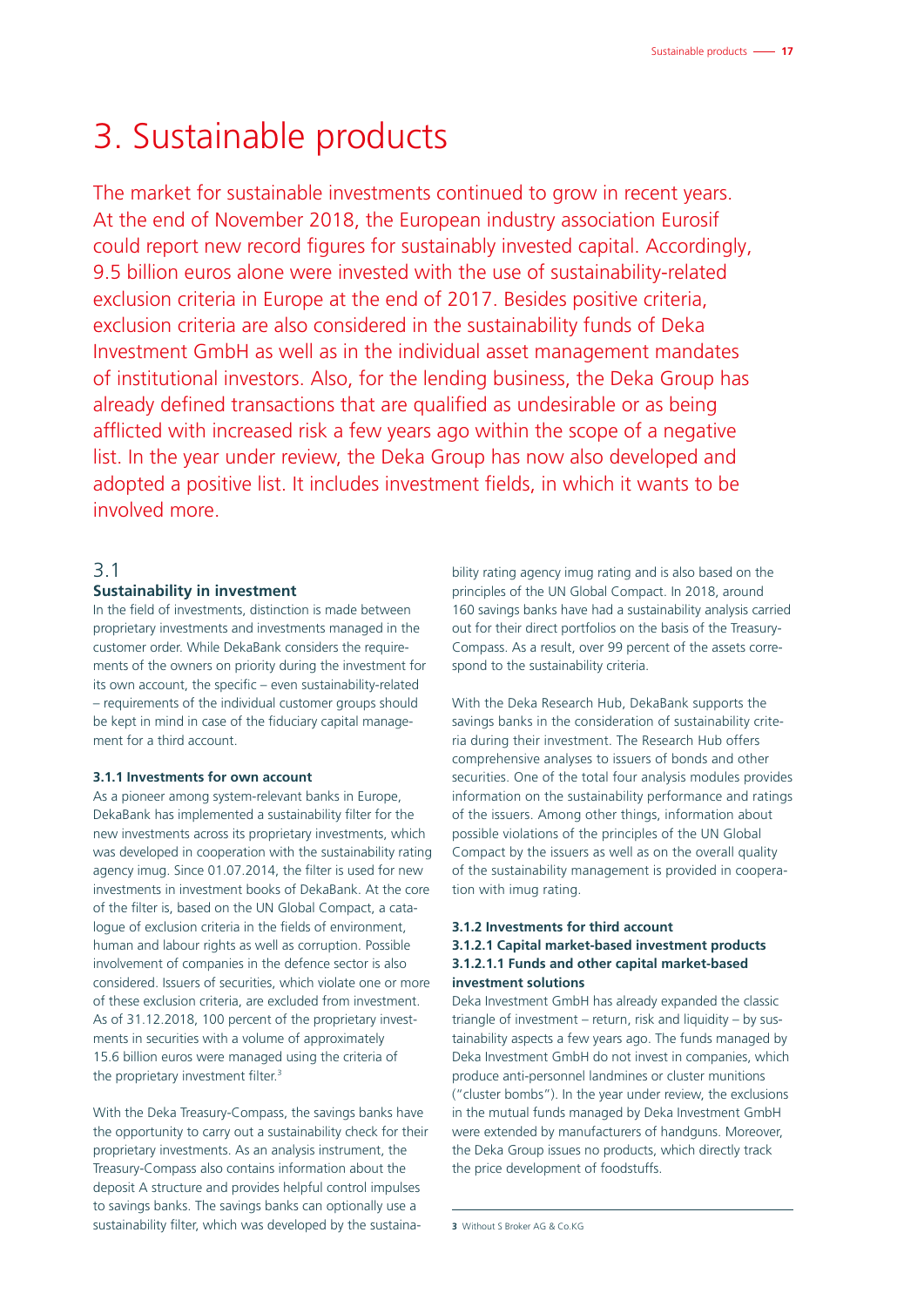## 3. Sustainable products

The market for sustainable investments continued to grow in recent years. At the end of November 2018, the European industry association Eurosif could report new record figures for sustainably invested capital. Accordingly, 9.5 billion euros alone were invested with the use of sustainability-related exclusion criteria in Europe at the end of 2017. Besides positive criteria, exclusion criteria are also considered in the sustainability funds of Deka Investment GmbH as well as in the individual asset management mandates of institutional investors. Also, for the lending business, the Deka Group has already defined transactions that are qualified as undesirable or as being afflicted with increased risk a few years ago within the scope of a negative list. In the year under review, the Deka Group has now also developed and adopted a positive list. It includes investment fields, in which it wants to be involved more.

## 3.1

#### **Sustainability in investment**

In the field of investments, distinction is made between proprietary investments and investments managed in the customer order. While DekaBank considers the requirements of the owners on priority during the investment for its own account, the specific – even sustainability-related – requirements of the individual customer groups should be kept in mind in case of the fiduciary capital management for a third account.

### **3.1.1 Investments for own account**

As a pioneer among system-relevant banks in Europe, DekaBank has implemented a sustainability filter for the new investments across its proprietary investments, which was developed in cooperation with the sustainability rating agency imug. Since 01.07.2014, the filter is used for new investments in investment books of DekaBank. At the core of the filter is, based on the UN Global Compact, a catalogue of exclusion criteria in the fields of environment, human and labour rights as well as corruption. Possible involvement of companies in the defence sector is also considered. Issuers of securities, which violate one or more of these exclusion criteria, are excluded from investment. As of 31.12.2018, 100 percent of the proprietary investments in securities with a volume of approximately 15.6 billion euros were managed using the criteria of the proprietary investment filter.<sup>3</sup>

With the Deka Treasury-Compass, the savings banks have the opportunity to carry out a sustainability check for their proprietary investments. As an analysis instrument, the Treasury-Compass also contains information about the deposit A structure and provides helpful control impulses to savings banks. The savings banks can optionally use a sustainability filter, which was developed by the sustainability rating agency imug rating and is also based on the principles of the UN Global Compact. In 2018, around 160 savings banks have had a sustainability analysis carried out for their direct portfolios on the basis of the Treasury-Compass. As a result, over 99 percent of the assets correspond to the sustainability criteria.

With the Deka Research Hub, DekaBank supports the savings banks in the consideration of sustainability criteria during their investment. The Research Hub offers comprehensive analyses to issuers of bonds and other securities. One of the total four analysis modules provides information on the sustainability performance and ratings of the issuers. Among other things, information about possible violations of the principles of the UN Global Compact by the issuers as well as on the overall quality of the sustainability management is provided in cooperation with imug rating.

#### **3.1.2 Investments for third account 3.1.2.1 Capital market-based investment products 3.1.2.1.1 Funds and other capital market-based**

#### **investment solutions**

Deka Investment GmbH has already expanded the classic triangle of investment – return, risk and liquidity – by sustainability aspects a few years ago. The funds managed by Deka Investment GmbH do not invest in companies, which produce anti-personnel landmines or cluster munitions ("cluster bombs"). In the year under review, the exclusions in the mutual funds managed by Deka Investment GmbH were extended by manufacturers of handguns. Moreover, the Deka Group issues no products, which directly track the price development of foodstuffs.

**3** Without S Broker AG & Co.KG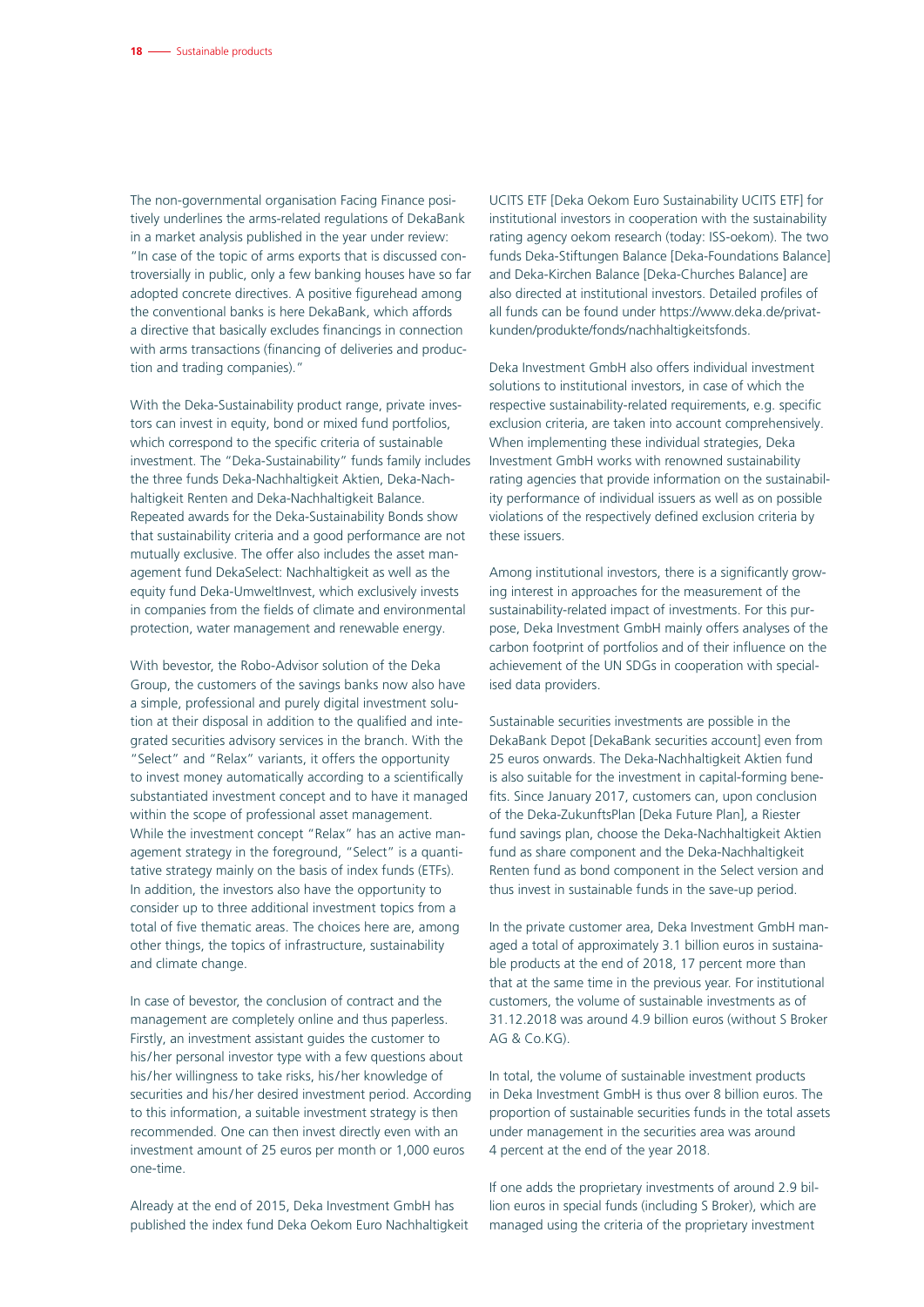The non-governmental organisation Facing Finance positively underlines the arms-related regulations of DekaBank in a market analysis published in the year under review: "In case of the topic of arms exports that is discussed controversially in public, only a few banking houses have so far adopted concrete directives. A positive figurehead among the conventional banks is here DekaBank, which affords a directive that basically excludes financings in connection with arms transactions (financing of deliveries and production and trading companies)."

With the Deka-Sustainability product range, private investors can invest in equity, bond or mixed fund portfolios, which correspond to the specific criteria of sustainable investment. The "Deka-Sustainability" funds family includes the three funds Deka-Nachhaltigkeit Aktien, Deka-Nachhaltigkeit Renten and Deka-Nachhaltigkeit Balance. Repeated awards for the Deka-Sustainability Bonds show that sustainability criteria and a good performance are not mutually exclusive. The offer also includes the asset management fund DekaSelect: Nachhaltigkeit as well as the equity fund Deka-UmweltInvest, which exclusively invests in companies from the fields of climate and environmental protection, water management and renewable energy.

With bevestor, the Robo-Advisor solution of the Deka Group, the customers of the savings banks now also have a simple, professional and purely digital investment solution at their disposal in addition to the qualified and integrated securities advisory services in the branch. With the "Select" and "Relax" variants, it offers the opportunity to invest money automatically according to a scientifically substantiated investment concept and to have it managed within the scope of professional asset management. While the investment concept "Relax" has an active management strategy in the foreground, "Select" is a quantitative strategy mainly on the basis of index funds (ETFs). In addition, the investors also have the opportunity to consider up to three additional investment topics from a total of five thematic areas. The choices here are, among other things, the topics of infrastructure, sustainability and climate change.

In case of bevestor, the conclusion of contract and the management are completely online and thus paperless. Firstly, an investment assistant guides the customer to his/her personal investor type with a few questions about his/her willingness to take risks, his/her knowledge of securities and his/her desired investment period. According to this information, a suitable investment strategy is then recommended. One can then invest directly even with an investment amount of 25 euros per month or 1,000 euros one-time.

Already at the end of 2015, Deka Investment GmbH has published the index fund Deka Oekom Euro Nachhaltigkeit UCITS ETF [Deka Oekom Euro Sustainability UCITS ETF] for institutional investors in cooperation with the sustainability rating agency oekom research (today: ISS-oekom). The two funds Deka-Stiftungen Balance [Deka-Foundations Balance] and Deka-Kirchen Balance [Deka-Churches Balance] are also directed at institutional investors. Detailed profiles of all funds can be found under https://www.deka.de/privatkunden/produkte/fonds/nachhaltigkeitsfonds.

Deka Investment GmbH also offers individual investment solutions to institutional investors, in case of which the respective sustainability-related requirements, e.g. specific exclusion criteria, are taken into account comprehensively. When implementing these individual strategies, Deka Investment GmbH works with renowned sustainability rating agencies that provide information on the sustainability performance of individual issuers as well as on possible violations of the respectively defined exclusion criteria by these issuers.

Among institutional investors, there is a significantly growing interest in approaches for the measurement of the sustainability-related impact of investments. For this purpose, Deka Investment GmbH mainly offers analyses of the carbon footprint of portfolios and of their influence on the achievement of the UN SDGs in cooperation with specialised data providers.

Sustainable securities investments are possible in the DekaBank Depot [DekaBank securities account] even from 25 euros onwards. The Deka-Nachhaltigkeit Aktien fund is also suitable for the investment in capital-forming benefits. Since January 2017, customers can, upon conclusion of the Deka-ZukunftsPlan [Deka Future Plan], a Riester fund savings plan, choose the Deka-Nachhaltigkeit Aktien fund as share component and the Deka-Nachhaltigkeit Renten fund as bond component in the Select version and thus invest in sustainable funds in the save-up period.

In the private customer area, Deka Investment GmbH managed a total of approximately 3.1 billion euros in sustainable products at the end of 2018, 17 percent more than that at the same time in the previous year. For institutional customers, the volume of sustainable investments as of 31.12.2018 was around 4.9 billion euros (without S Broker  $AG R CO K<sub>G</sub>$ 

In total, the volume of sustainable investment products in Deka Investment GmbH is thus over 8 billion euros. The proportion of sustainable securities funds in the total assets under management in the securities area was around 4 percent at the end of the year 2018.

If one adds the proprietary investments of around 2.9 billion euros in special funds (including S Broker), which are managed using the criteria of the proprietary investment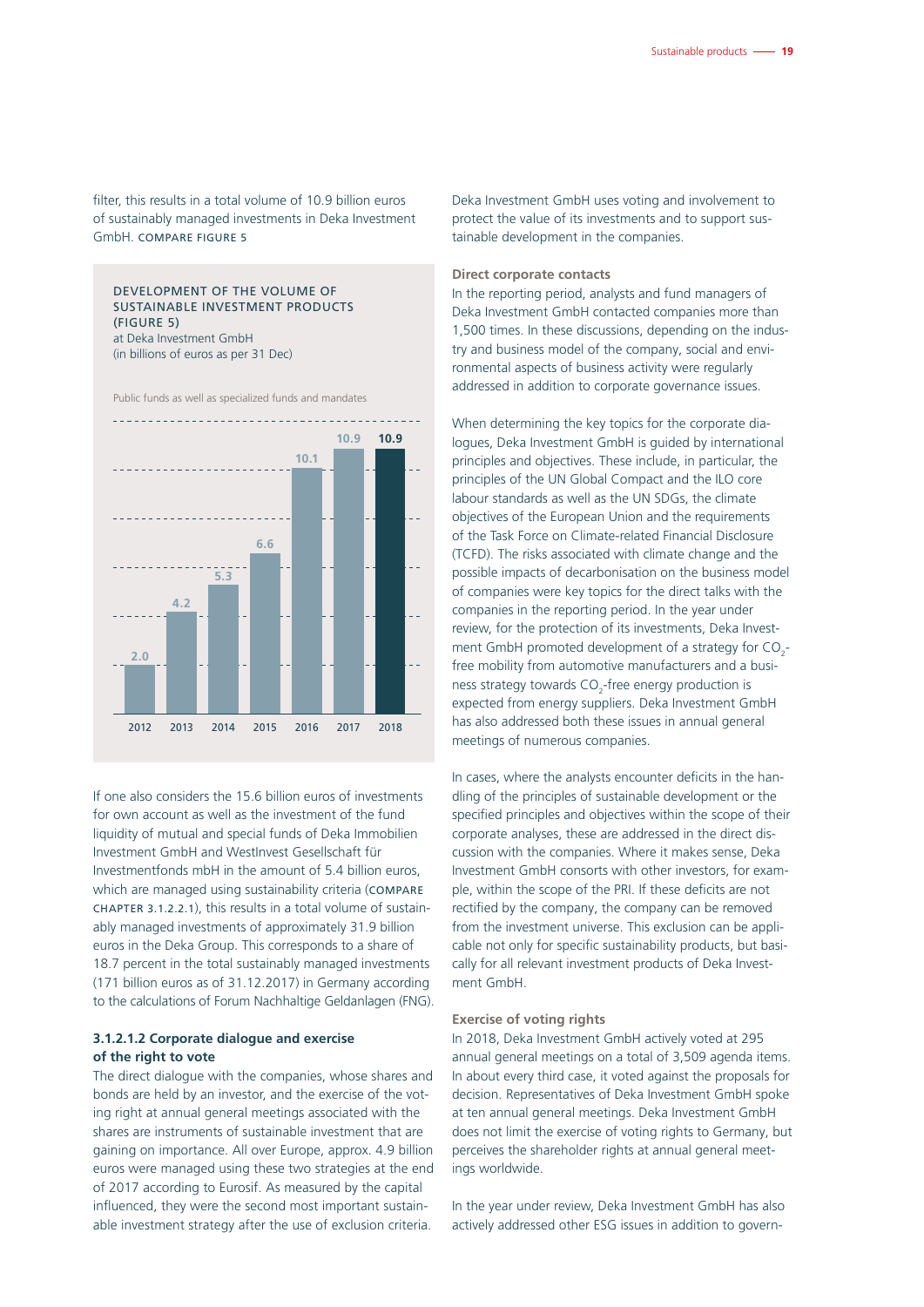filter, this results in a total volume of 10.9 billion euros of sustainably managed investments in Deka Investment GmbH. COMPARE FIGURE 5

#### DEVELOPMENT OF THE VOLUME OF SUSTAINABLE INVESTMENT PRODUCTS (FIGURE 5) at Deka Investment GmbH

(in billions of euros as per 31 Dec)

Public funds as well as specialized funds and mandates



If one also considers the 15.6 billion euros of investments for own account as well as the investment of the fund liquidity of mutual and special funds of Deka Immobilien Investment GmbH and WestInvest Gesellschaft für Investmentfonds mbH in the amount of 5.4 billion euros, which are managed using sustainability criteria (COMPARE CHAPTER 3.1.2.2.1), this results in a total volume of sustainably managed investments of approximately 31.9 billion euros in the Deka Group. This corresponds to a share of 18.7 percent in the total sustainably managed investments (171 billion euros as of 31.12.2017) in Germany according to the calculations of Forum Nachhaltige Geldanlagen (FNG).

#### **3.1.2.1.2 Corporate dialogue and exercise of the right to vote**

The direct dialogue with the companies, whose shares and bonds are held by an investor, and the exercise of the voting right at annual general meetings associated with the shares are instruments of sustainable investment that are gaining on importance. All over Europe, approx. 4.9 billion euros were managed using these two strategies at the end of 2017 according to Eurosif. As measured by the capital influenced, they were the second most important sustainable investment strategy after the use of exclusion criteria.

Deka Investment GmbH uses voting and involvement to protect the value of its investments and to support sustainable development in the companies.

#### **Direct corporate contacts**

In the reporting period, analysts and fund managers of Deka Investment GmbH contacted companies more than 1,500 times. In these discussions, depending on the industry and business model of the company, social and environmental aspects of business activity were regularly addressed in addition to corporate governance issues.

When determining the key topics for the corporate dialogues, Deka Investment GmbH is guided by international principles and objectives. These include, in particular, the principles of the UN Global Compact and the ILO core labour standards as well as the UN SDGs, the climate objectives of the European Union and the requirements of the Task Force on Climate-related Financial Disclosure (TCFD). The risks associated with climate change and the possible impacts of decarbonisation on the business model of companies were key topics for the direct talks with the companies in the reporting period. In the year under review, for the protection of its investments, Deka Investment GmbH promoted development of a strategy for  $CO_{2}$ free mobility from automotive manufacturers and a business strategy towards  $CO<sub>2</sub>$ -free energy production is expected from energy suppliers. Deka Investment GmbH has also addressed both these issues in annual general meetings of numerous companies.

In cases, where the analysts encounter deficits in the handling of the principles of sustainable development or the specified principles and objectives within the scope of their corporate analyses, these are addressed in the direct discussion with the companies. Where it makes sense, Deka Investment GmbH consorts with other investors, for example, within the scope of the PRI. If these deficits are not rectified by the company, the company can be removed from the investment universe. This exclusion can be applicable not only for specific sustainability products, but basically for all relevant investment products of Deka Investment GmbH.

#### **Exercise of voting rights**

In 2018, Deka Investment GmbH actively voted at 295 annual general meetings on a total of 3,509 agenda items. In about every third case, it voted against the proposals for decision. Representatives of Deka Investment GmbH spoke at ten annual general meetings. Deka Investment GmbH does not limit the exercise of voting rights to Germany, but perceives the shareholder rights at annual general meetings worldwide.

In the year under review, Deka Investment GmbH has also actively addressed other ESG issues in addition to govern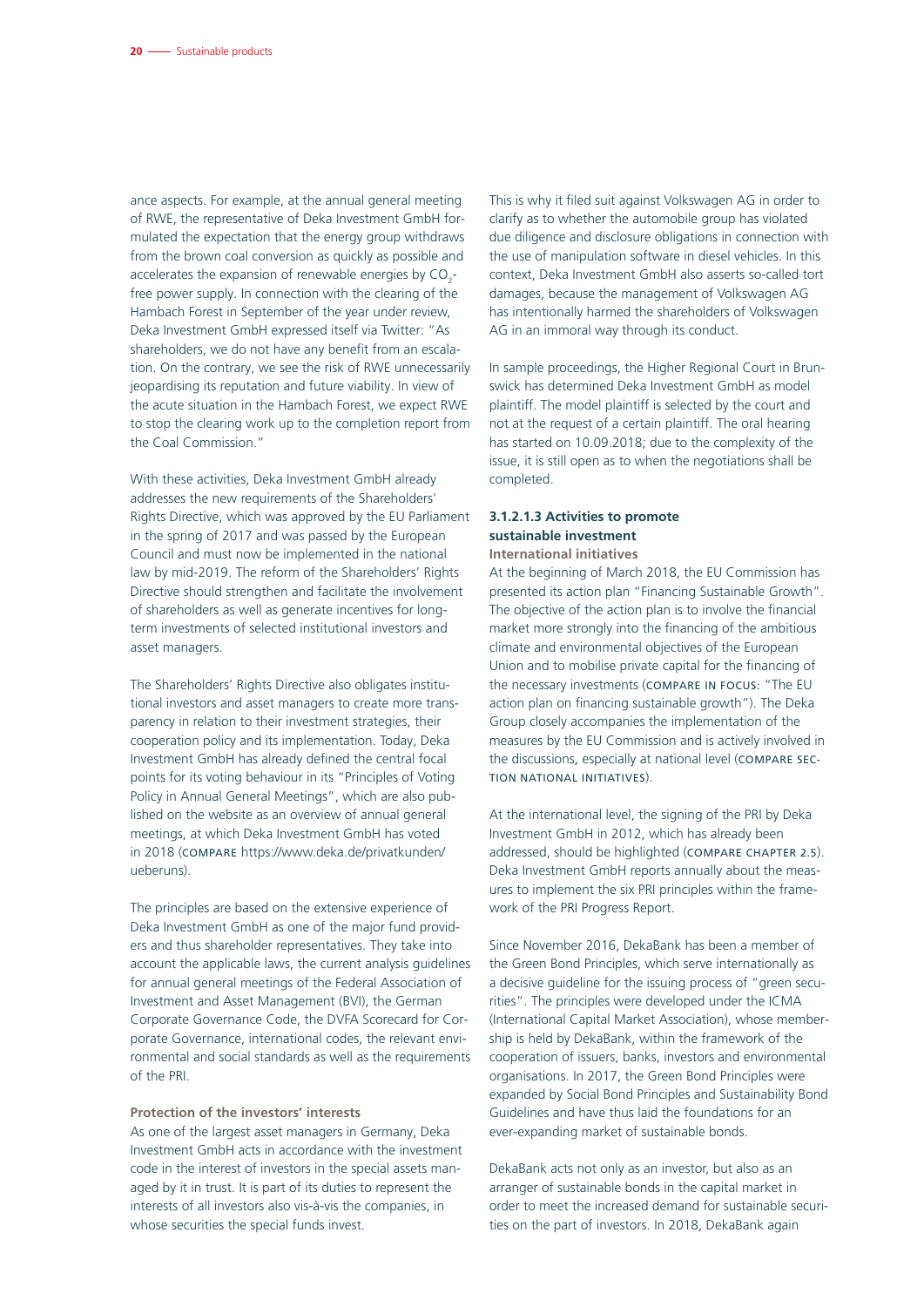ance aspects. For example, at the annual general meeting of RWE, the representative of Deka Investment GmbH formulated the expectation that the energy group withdraws from the brown coal conversion as quickly as possible and accelerates the expansion of renewable energies by  $CO_{2}$ free power supply. In connection with the clearing of the Hambach Forest in September of the year under review, Deka Investment GmbH expressed itself via Twitter: "As shareholders, we do not have any benefit from an escalation. On the contrary, we see the risk of RWE unnecessarily jeopardising its reputation and future viability. In view of the acute situation in the Hambach Forest, we expect RWE to stop the clearing work up to the completion report from the Coal Commission."

With these activities, Deka Investment GmbH already addresses the new requirements of the Shareholders' Rights Directive, which was approved by the EU Parliament in the spring of 2017 and was passed by the European Council and must now be implemented in the national law by mid-2019. The reform of the Shareholders' Rights Directive should strengthen and facilitate the involvement of shareholders as well as generate incentives for longterm investments of selected institutional investors and asset managers.

The Shareholders' Rights Directive also obligates institutional investors and asset managers to create more transparency in relation to their investment strategies, their cooperation policy and its implementation. Today, Deka Investment GmbH has already defined the central focal points for its voting behaviour in its "Principles of Voting Policy in Annual General Meetings", which are also published on the website as an overview of annual general meetings, at which Deka Investment GmbH has voted in 2018 (COMPARE https://www.deka.de/privatkunden/ ueberuns).

The principles are based on the extensive experience of Deka Investment GmbH as one of the major fund providers and thus shareholder representatives. They take into account the applicable laws, the current analysis guidelines for annual general meetings of the Federal Association of Investment and Asset Management (BVI), the German Corporate Governance Code, the DVFA Scorecard for Corporate Governance, international codes, the relevant environmental and social standards as well as the requirements of the PRI.

**Protection of the investors' interests**  As one of the largest asset managers in Germany, Deka Investment GmbH acts in accordance with the investment code in the interest of investors in the special assets managed by it in trust. It is part of its duties to represent the interests of all investors also vis-à-vis the companies, in whose securities the special funds invest.

This is why it filed suit against Volkswagen AG in order to clarify as to whether the automobile group has violated due diligence and disclosure obligations in connection with the use of manipulation software in diesel vehicles. In this context, Deka Investment GmbH also asserts so-called tort damages, because the management of Volkswagen AG has intentionally harmed the shareholders of Volkswagen AG in an immoral way through its conduct.

In sample proceedings, the Higher Regional Court in Brunswick has determined Deka Investment GmbH as model plaintiff. The model plaintiff is selected by the court and not at the request of a certain plaintiff. The oral hearing has started on 10.09.2018; due to the complexity of the issue, it is still open as to when the negotiations shall be completed.

## **3.1.2.1.3 Activities to promote sustainable investment**

### **International initiatives**

At the beginning of March 2018, the EU Commission has presented its action plan "Financing Sustainable Growth". The objective of the action plan is to involve the financial market more strongly into the financing of the ambitious climate and environmental objectives of the European Union and to mobilise private capital for the financing of the necessary investments (COMPARE IN FOCUS: "The EU action plan on financing sustainable growth"). The Deka Group closely accompanies the implementation of the measures by the EU Commission and is actively involved in the discussions, especially at national level (COMPARE SEC-TION NATIONAL INITIATIVES).

At the international level, the signing of the PRI by Deka Investment GmbH in 2012, which has already been addressed, should be highlighted (COMPARE CHAPTER 2.5). Deka Investment GmbH reports annually about the measures to implement the six PRI principles within the framework of the PRI Progress Report.

Since November 2016, DekaBank has been a member of the Green Bond Principles, which serve internationally as a decisive guideline for the issuing process of "green securities". The principles were developed under the ICMA (International Capital Market Association), whose membership is held by DekaBank, within the framework of the cooperation of issuers, banks, investors and environmental organisations. In 2017, the Green Bond Principles were expanded by Social Bond Principles and Sustainability Bond Guidelines and have thus laid the foundations for an ever-expanding market of sustainable bonds.

DekaBank acts not only as an investor, but also as an arranger of sustainable bonds in the capital market in order to meet the increased demand for sustainable securities on the part of investors. In 2018, DekaBank again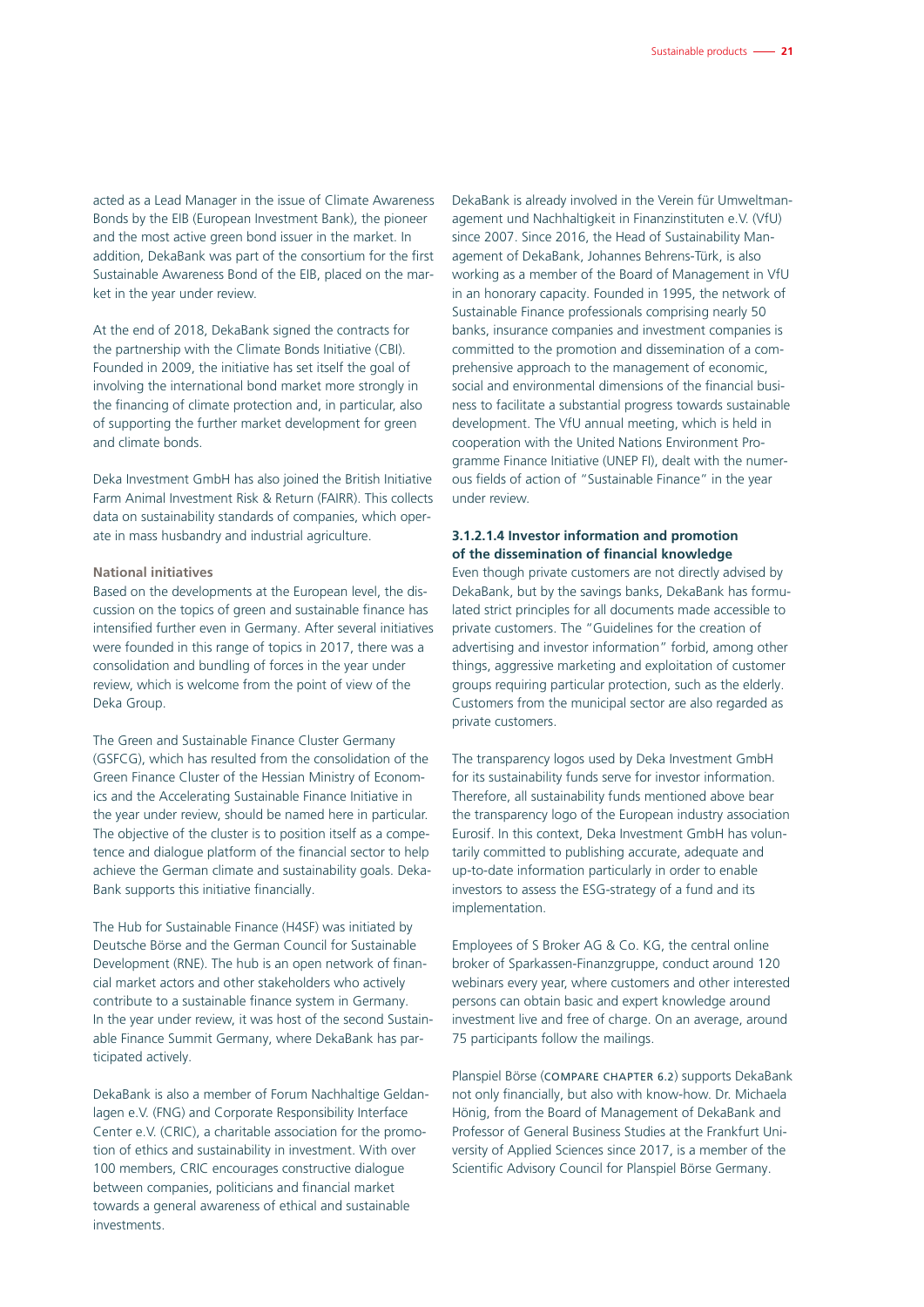acted as a Lead Manager in the issue of Climate Awareness Bonds by the EIB (European Investment Bank), the pioneer and the most active green bond issuer in the market. In addition, DekaBank was part of the consortium for the first Sustainable Awareness Bond of the EIB, placed on the market in the year under review.

At the end of 2018, DekaBank signed the contracts for the partnership with the Climate Bonds Initiative (CBI). Founded in 2009, the initiative has set itself the goal of involving the international bond market more strongly in the financing of climate protection and, in particular, also of supporting the further market development for green and climate bonds.

Deka Investment GmbH has also joined the British Initiative Farm Animal Investment Risk & Return (FAIRR). This collects data on sustainability standards of companies, which operate in mass husbandry and industrial agriculture.

#### **National initiatives**

Based on the developments at the European level, the discussion on the topics of green and sustainable finance has intensified further even in Germany. After several initiatives were founded in this range of topics in 2017, there was a consolidation and bundling of forces in the year under review, which is welcome from the point of view of the Deka Group.

The Green and Sustainable Finance Cluster Germany (GSFCG), which has resulted from the consolidation of the Green Finance Cluster of the Hessian Ministry of Economics and the Accelerating Sustainable Finance Initiative in the year under review, should be named here in particular. The objective of the cluster is to position itself as a competence and dialogue platform of the financial sector to help achieve the German climate and sustainability goals. Deka-Bank supports this initiative financially.

The Hub for Sustainable Finance (H4SF) was initiated by Deutsche Börse and the German Council for Sustainable Development (RNE). The hub is an open network of financial market actors and other stakeholders who actively contribute to a sustainable finance system in Germany. In the year under review, it was host of the second Sustainable Finance Summit Germany, where DekaBank has participated actively.

DekaBank is also a member of Forum Nachhaltige Geldanlagen e.V. (FNG) and Corporate Responsibility Interface Center e.V. (CRIC), a charitable association for the promotion of ethics and sustainability in investment. With over 100 members, CRIC encourages constructive dialogue between companies, politicians and financial market towards a general awareness of ethical and sustainable investments.

DekaBank is already involved in the Verein für Umweltmanagement und Nachhaltigkeit in Finanzinstituten e.V. (VfU) since 2007. Since 2016, the Head of Sustainability Management of DekaBank, Johannes Behrens-Türk, is also working as a member of the Board of Management in VfU in an honorary capacity. Founded in 1995, the network of Sustainable Finance professionals comprising nearly 50 banks, insurance companies and investment companies is committed to the promotion and dissemination of a comprehensive approach to the management of economic, social and environmental dimensions of the financial business to facilitate a substantial progress towards sustainable development. The VfU annual meeting, which is held in cooperation with the United Nations Environment Programme Finance Initiative (UNEP FI), dealt with the numerous fields of action of "Sustainable Finance" in the year under review.

#### **3.1.2.1.4 Investor information and promotion of the dissemination of financial knowledge**

Even though private customers are not directly advised by DekaBank, but by the savings banks, DekaBank has formulated strict principles for all documents made accessible to private customers. The "Guidelines for the creation of advertising and investor information" forbid, among other things, aggressive marketing and exploitation of customer groups requiring particular protection, such as the elderly. Customers from the municipal sector are also regarded as private customers.

The transparency logos used by Deka Investment GmbH for its sustainability funds serve for investor information. Therefore, all sustainability funds mentioned above bear the transparency logo of the European industry association Eurosif. In this context, Deka Investment GmbH has voluntarily committed to publishing accurate, adequate and up-to-date information particularly in order to enable investors to assess the ESG-strategy of a fund and its implementation.

Employees of S Broker AG & Co. KG, the central online broker of Sparkassen-Finanzgruppe, conduct around 120 webinars every year, where customers and other interested persons can obtain basic and expert knowledge around investment live and free of charge. On an average, around 75 participants follow the mailings.

Planspiel Börse (COMPARE CHAPTER 6.2) supports DekaBank not only financially, but also with know-how. Dr. Michaela Hönig, from the Board of Management of DekaBank and Professor of General Business Studies at the Frankfurt University of Applied Sciences since 2017, is a member of the Scientific Advisory Council for Planspiel Börse Germany.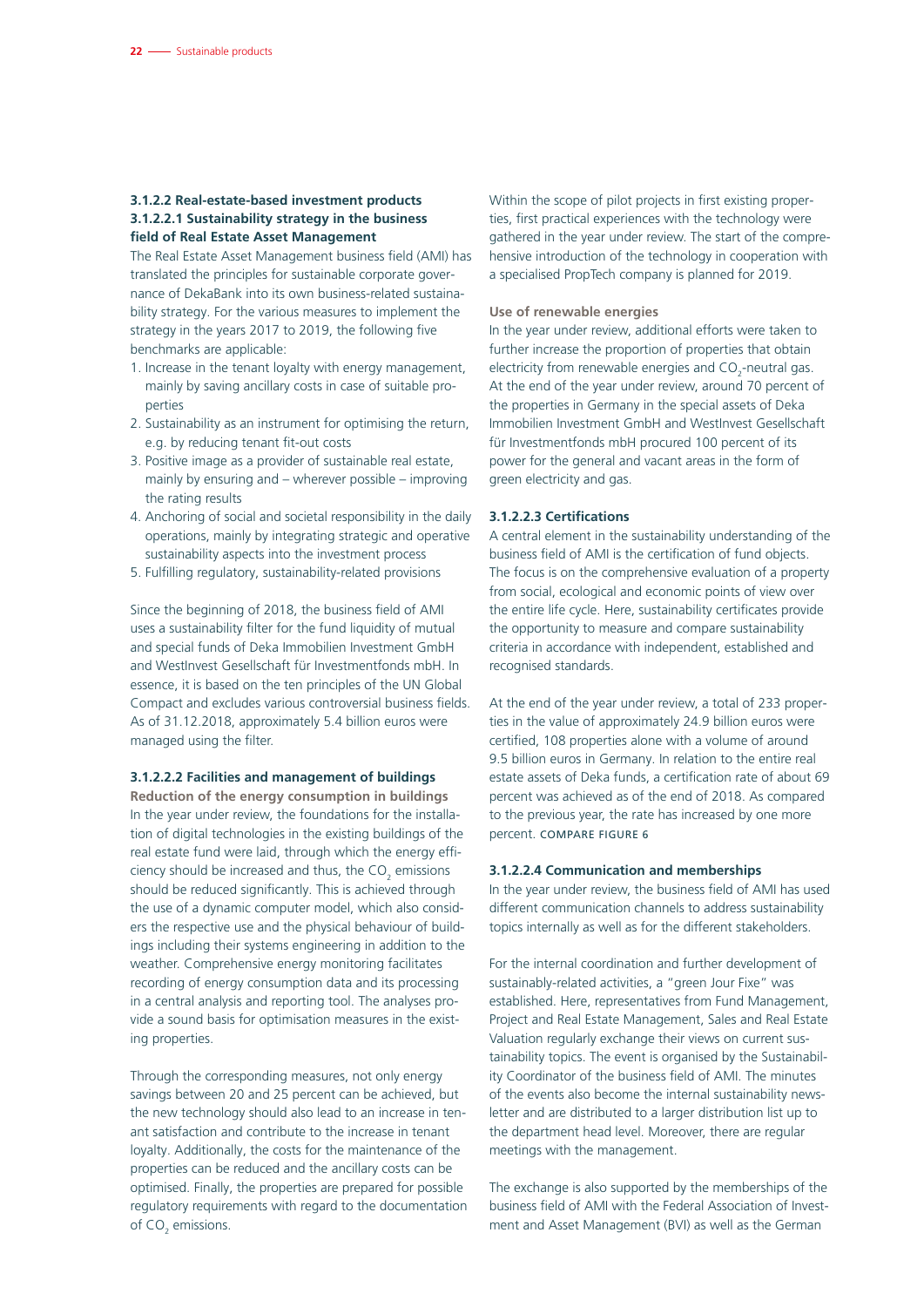#### **3.1.2.2 Real-estate-based investment products 3.1.2.2.1 Sustainability strategy in the business field of Real Estate Asset Management**

The Real Estate Asset Management business field (AMI) has translated the principles for sustainable corporate governance of DekaBank into its own business-related sustainability strategy. For the various measures to implement the strategy in the years 2017 to 2019, the following five benchmarks are applicable:

- 1. Increase in the tenant loyalty with energy management, mainly by saving ancillary costs in case of suitable properties
- 2. Sustainability as an instrument for optimising the return, e.g. by reducing tenant fit-out costs
- 3. Positive image as a provider of sustainable real estate, mainly by ensuring and – wherever possible – improving the rating results
- 4. Anchoring of social and societal responsibility in the daily operations, mainly by integrating strategic and operative sustainability aspects into the investment process
- 5. Fulfilling regulatory, sustainability-related provisions

Since the beginning of 2018, the business field of AMI uses a sustainability filter for the fund liquidity of mutual and special funds of Deka Immobilien Investment GmbH and WestInvest Gesellschaft für Investmentfonds mbH. In essence, it is based on the ten principles of the UN Global Compact and excludes various controversial business fields. As of 31.12.2018, approximately 5.4 billion euros were managed using the filter.

#### **3.1.2.2.2 Facilities and management of buildings**

**Reduction of the energy consumption in buildings** In the year under review, the foundations for the installation of digital technologies in the existing buildings of the real estate fund were laid, through which the energy efficiency should be increased and thus, the  $CO_2$  emissions should be reduced significantly. This is achieved through the use of a dynamic computer model, which also considers the respective use and the physical behaviour of buildings including their systems engineering in addition to the weather. Comprehensive energy monitoring facilitates recording of energy consumption data and its processing in a central analysis and reporting tool. The analyses provide a sound basis for optimisation measures in the existing properties.

Through the corresponding measures, not only energy savings between 20 and 25 percent can be achieved, but the new technology should also lead to an increase in tenant satisfaction and contribute to the increase in tenant loyalty. Additionally, the costs for the maintenance of the properties can be reduced and the ancillary costs can be optimised. Finally, the properties are prepared for possible regulatory requirements with regard to the documentation of  $CO<sub>2</sub>$  emissions.

Within the scope of pilot projects in first existing properties, first practical experiences with the technology were gathered in the year under review. The start of the comprehensive introduction of the technology in cooperation with a specialised PropTech company is planned for 2019.

#### **Use of renewable energies**

In the year under review, additional efforts were taken to further increase the proportion of properties that obtain electricity from renewable energies and  $CO_{2}$ -neutral gas. At the end of the year under review, around 70 percent of the properties in Germany in the special assets of Deka Immobilien Investment GmbH and WestInvest Gesellschaft für Investmentfonds mbH procured 100 percent of its power for the general and vacant areas in the form of green electricity and gas.

#### **3.1.2.2.3 Certifications**

A central element in the sustainability understanding of the business field of AMI is the certification of fund objects. The focus is on the comprehensive evaluation of a property from social, ecological and economic points of view over the entire life cycle. Here, sustainability certificates provide the opportunity to measure and compare sustainability criteria in accordance with independent, established and recognised standards.

At the end of the year under review, a total of 233 properties in the value of approximately 24.9 billion euros were certified, 108 properties alone with a volume of around 9.5 billion euros in Germany. In relation to the entire real estate assets of Deka funds, a certification rate of about 69 percent was achieved as of the end of 2018. As compared to the previous year, the rate has increased by one more percent. COMPARE FIGURE 6

#### **3.1.2.2.4 Communication and memberships**

In the year under review, the business field of AMI has used different communication channels to address sustainability topics internally as well as for the different stakeholders.

For the internal coordination and further development of sustainably-related activities, a "green Jour Fixe" was established. Here, representatives from Fund Management, Project and Real Estate Management, Sales and Real Estate Valuation regularly exchange their views on current sustainability topics. The event is organised by the Sustainability Coordinator of the business field of AMI. The minutes of the events also become the internal sustainability newsletter and are distributed to a larger distribution list up to the department head level. Moreover, there are regular meetings with the management.

The exchange is also supported by the memberships of the business field of AMI with the Federal Association of Investment and Asset Management (BVI) as well as the German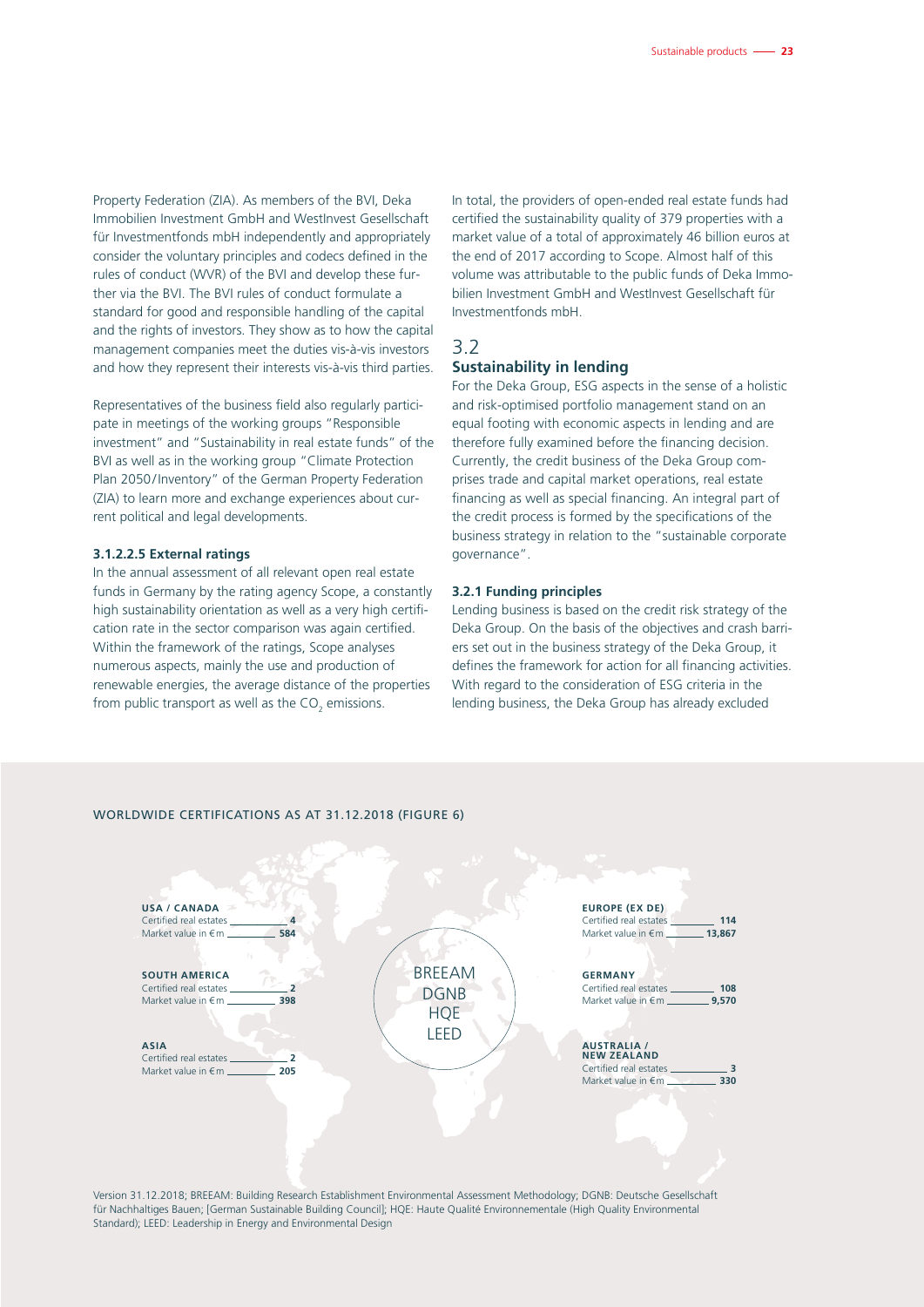Property Federation (ZIA). As members of the BVI, Deka Immobilien Investment GmbH and WestInvest Gesellschaft für Investmentfonds mbH independently and appropriately consider the voluntary principles and codecs defined in the rules of conduct (WVR) of the BVI and develop these further via the BVI. The BVI rules of conduct formulate a standard for good and responsible handling of the capital and the rights of investors. They show as to how the capital management companies meet the duties vis-à-vis investors and how they represent their interests vis-à-vis third parties.

Representatives of the business field also regularly participate in meetings of the working groups "Responsible investment" and "Sustainability in real estate funds" of the BVI as well as in the working group "Climate Protection Plan 2050/Inventory" of the German Property Federation (ZIA) to learn more and exchange experiences about current political and legal developments.

#### **3.1.2.2.5 External ratings**

In the annual assessment of all relevant open real estate funds in Germany by the rating agency Scope, a constantly high sustainability orientation as well as a very high certification rate in the sector comparison was again certified. Within the framework of the ratings, Scope analyses numerous aspects, mainly the use and production of renewable energies, the average distance of the properties from public transport as well as the  $CO_2$  emissions.

In total, the providers of open-ended real estate funds had certified the sustainability quality of 379 properties with a market value of a total of approximately 46 billion euros at the end of 2017 according to Scope. Almost half of this volume was attributable to the public funds of Deka Immobilien Investment GmbH and WestInvest Gesellschaft für Investmentfonds mbH.

## 3.2 **Sustainability in lending**

For the Deka Group, ESG aspects in the sense of a holistic and risk-optimised portfolio management stand on an equal footing with economic aspects in lending and are therefore fully examined before the financing decision. Currently, the credit business of the Deka Group comprises trade and capital market operations, real estate financing as well as special financing. An integral part of the credit process is formed by the specifications of the business strategy in relation to the "sustainable corporate governance".

#### **3.2.1 Funding principles**

Lending business is based on the credit risk strategy of the Deka Group. On the basis of the objectives and crash barriers set out in the business strategy of the Deka Group, it defines the framework for action for all financing activities. With regard to the consideration of ESG criteria in the lending business, the Deka Group has already excluded



#### Version 31.12.2018; BREEAM: Building Research Establishment Environmental Assessment Methodology; DGNB: Deutsche Gesellschaft für Nachhaltiges Bauen; [German Sustainable Building Council]; HQE: Haute Qualité Environnementale (High Quality Environmental Standard); LEED: Leadership in Energy and Environmental Design

#### WORLDWIDE CERTIFICATIONS AS AT 31.12.2018 (FIGURE 6)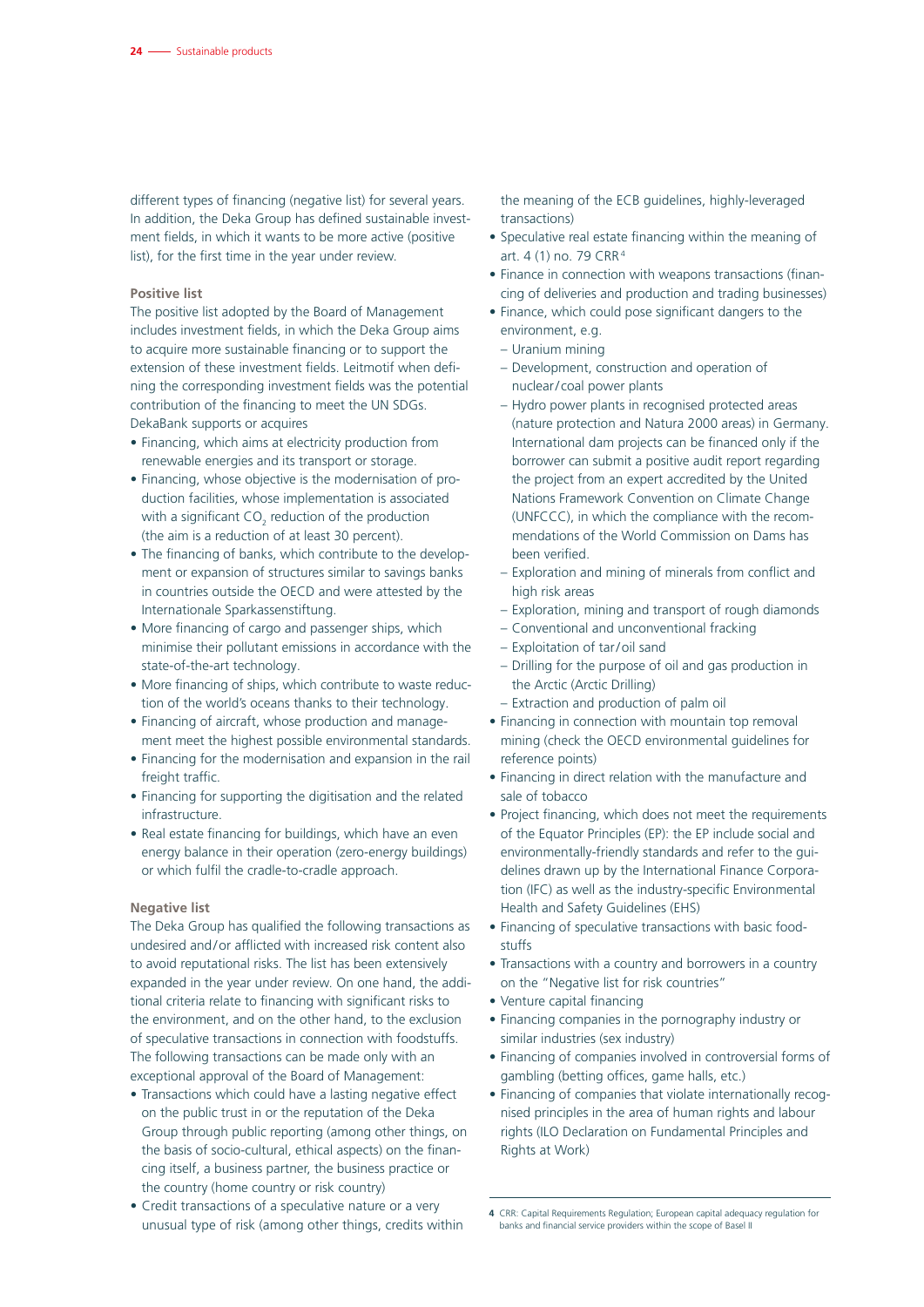different types of financing (negative list) for several years. In addition, the Deka Group has defined sustainable investment fields, in which it wants to be more active (positive list), for the first time in the year under review.

#### **Positive list**

The positive list adopted by the Board of Management includes investment fields, in which the Deka Group aims to acquire more sustainable financing or to support the extension of these investment fields. Leitmotif when defining the corresponding investment fields was the potential contribution of the financing to meet the UN SDGs. DekaBank supports or acquires

- Financing, which aims at electricity production from renewable energies and its transport or storage.
- Financing, whose objective is the modernisation of production facilities, whose implementation is associated with a significant CO $_{\textrm{\tiny{2}}}$  reduction of the production (the aim is a reduction of at least 30 percent).
- The financing of banks, which contribute to the development or expansion of structures similar to savings banks in countries outside the OECD and were attested by the Internationale Sparkassenstiftung.
- More financing of cargo and passenger ships, which minimise their pollutant emissions in accordance with the state-of-the-art technology.
- More financing of ships, which contribute to waste reduction of the world's oceans thanks to their technology.
- Financing of aircraft, whose production and management meet the highest possible environmental standards.
- Financing for the modernisation and expansion in the rail freight traffic.
- Financing for supporting the digitisation and the related infrastructure.
- Real estate financing for buildings, which have an even energy balance in their operation (zero-energy buildings) or which fulfil the cradle-to-cradle approach.

#### **Negative list**

The Deka Group has qualified the following transactions as undesired and/or afflicted with increased risk content also to avoid reputational risks. The list has been extensively expanded in the year under review. On one hand, the additional criteria relate to financing with significant risks to the environment, and on the other hand, to the exclusion of speculative transactions in connection with foodstuffs. The following transactions can be made only with an exceptional approval of the Board of Management:

- Transactions which could have a lasting negative effect on the public trust in or the reputation of the Deka Group through public reporting (among other things, on the basis of socio-cultural, ethical aspects) on the financing itself, a business partner, the business practice or the country (home country or risk country)
- Credit transactions of a speculative nature or a very unusual type of risk (among other things, credits within

the meaning of the ECB guidelines, highly-leveraged transactions)

- Speculative real estate financing within the meaning of art. 4 (1) no. 79 CRR4
- Finance in connection with weapons transactions (financing of deliveries and production and trading businesses)
- Finance, which could pose significant dangers to the environment, e.g.
	- Uranium mining
	- Development, construction and operation of nuclear/ coal power plants
	- Hydro power plants in recognised protected areas (nature protection and Natura 2000 areas) in Germany. International dam projects can be financed only if the borrower can submit a positive audit report regarding the project from an expert accredited by the United Nations Framework Convention on Climate Change (UNFCCC), in which the compliance with the recommendations of the World Commission on Dams has been verified.
	- Exploration and mining of minerals from conflict and high risk areas
	- Exploration, mining and transport of rough diamonds
	- Conventional and unconventional fracking
	- Exploitation of tar/oil sand
	- Drilling for the purpose of oil and gas production in the Arctic (Arctic Drilling)
- Extraction and production of palm oil
- Financing in connection with mountain top removal mining (check the OECD environmental guidelines for reference points)
- Financing in direct relation with the manufacture and sale of tobacco
- Project financing, which does not meet the requirements of the Equator Principles (EP): the EP include social and environmentally-friendly standards and refer to the guidelines drawn up by the International Finance Corporation (IFC) as well as the industry-specific Environmental Health and Safety Guidelines (EHS)
- Financing of speculative transactions with basic foodstuffs
- Transactions with a country and borrowers in a country on the "Negative list for risk countries"
- Venture capital financing
- Financing companies in the pornography industry or similar industries (sex industry)
- Financing of companies involved in controversial forms of gambling (betting offices, game halls, etc.)
- Financing of companies that violate internationally recognised principles in the area of human rights and labour rights (ILO Declaration on Fundamental Principles and Rights at Work)

**<sup>4</sup>** CRR: Capital Requirements Regulation; European capital adequacy regulation for banks and financial service providers within the scope of Basel II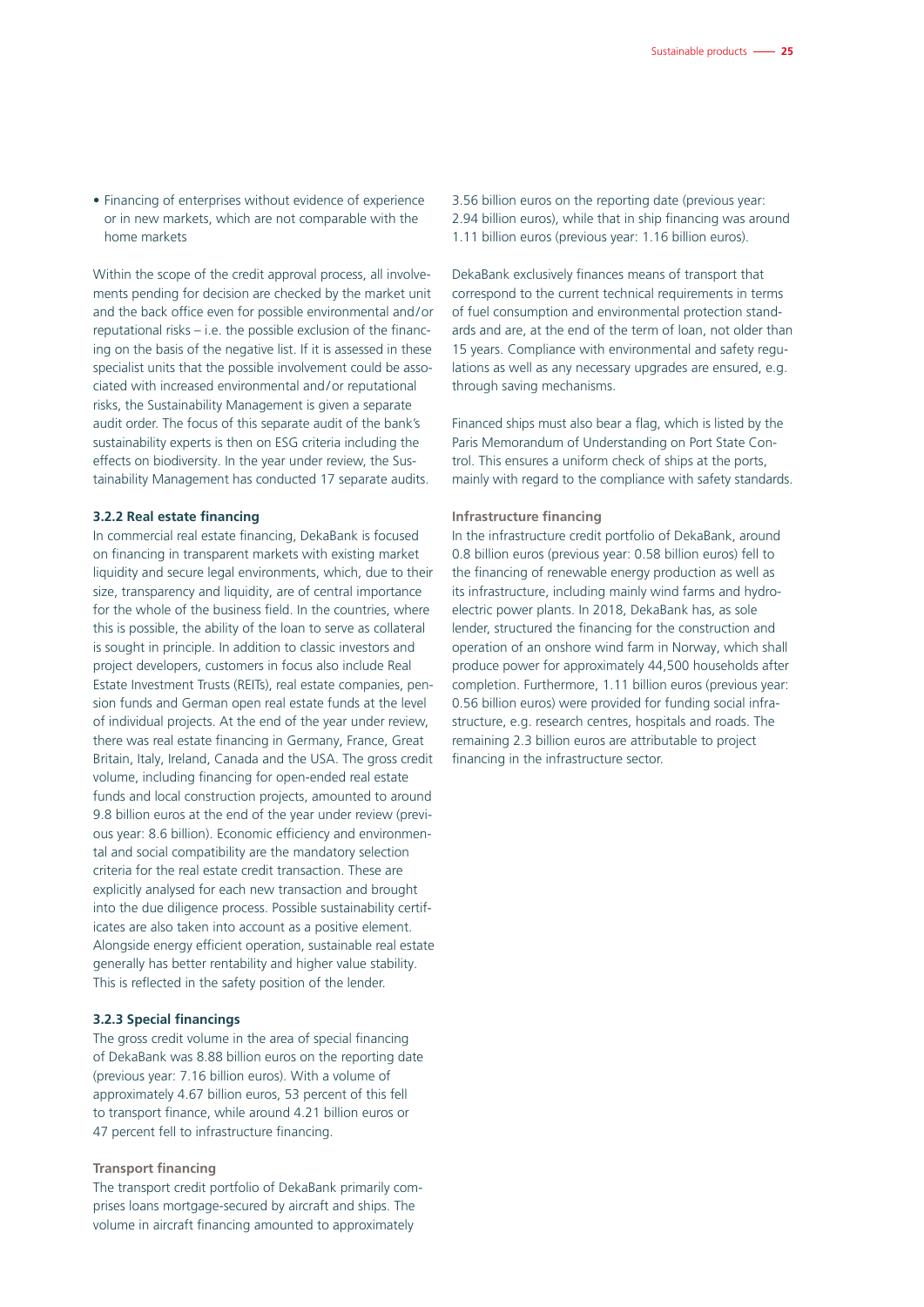• Financing of enterprises without evidence of experience or in new markets, which are not comparable with the home markets

Within the scope of the credit approval process, all involvements pending for decision are checked by the market unit and the back office even for possible environmental and/or reputational risks – i.e. the possible exclusion of the financing on the basis of the negative list. If it is assessed in these specialist units that the possible involvement could be associated with increased environmental and/or reputational risks, the Sustainability Management is given a separate audit order. The focus of this separate audit of the bank's sustainability experts is then on ESG criteria including the effects on biodiversity. In the year under review, the Sustainability Management has conducted 17 separate audits.

#### **3.2.2 Real estate financing**

In commercial real estate financing, DekaBank is focused on financing in transparent markets with existing market liquidity and secure legal environments, which, due to their size, transparency and liquidity, are of central importance for the whole of the business field. In the countries, where this is possible, the ability of the loan to serve as collateral is sought in principle. In addition to classic investors and project developers, customers in focus also include Real Estate Investment Trusts (REITs), real estate companies, pension funds and German open real estate funds at the level of individual projects. At the end of the year under review, there was real estate financing in Germany, France, Great Britain, Italy, Ireland, Canada and the USA. The gross credit volume, including financing for open-ended real estate funds and local construction projects, amounted to around 9.8 billion euros at the end of the year under review (previous year: 8.6 billion). Economic efficiency and environmental and social compatibility are the mandatory selection criteria for the real estate credit transaction. These are explicitly analysed for each new transaction and brought into the due diligence process. Possible sustainability certificates are also taken into account as a positive element. Alongside energy efficient operation, sustainable real estate generally has better rentability and higher value stability. This is reflected in the safety position of the lender.

#### **3.2.3 Special financings**

The gross credit volume in the area of special financing of DekaBank was 8.88 billion euros on the reporting date (previous year: 7.16 billion euros). With a volume of approximately 4.67 billion euros, 53 percent of this fell to transport finance, while around 4.21 billion euros or 47 percent fell to infrastructure financing.

#### **Transport financing**

The transport credit portfolio of DekaBank primarily comprises loans mortgage-secured by aircraft and ships. The volume in aircraft financing amounted to approximately

3.56 billion euros on the reporting date (previous year: 2.94 billion euros), while that in ship financing was around 1.11 billion euros (previous year: 1.16 billion euros).

DekaBank exclusively finances means of transport that correspond to the current technical requirements in terms of fuel consumption and environmental protection standards and are, at the end of the term of loan, not older than 15 years. Compliance with environmental and safety regulations as well as any necessary upgrades are ensured, e.g. through saving mechanisms.

Financed ships must also bear a flag, which is listed by the Paris Memorandum of Understanding on Port State Control. This ensures a uniform check of ships at the ports, mainly with regard to the compliance with safety standards.

#### **Infrastructure financing**

In the infrastructure credit portfolio of DekaBank, around 0.8 billion euros (previous year: 0.58 billion euros) fell to the financing of renewable energy production as well as its infrastructure, including mainly wind farms and hydroelectric power plants. In 2018, DekaBank has, as sole lender, structured the financing for the construction and operation of an onshore wind farm in Norway, which shall produce power for approximately 44,500 households after completion. Furthermore, 1.11 billion euros (previous year: 0.56 billion euros) were provided for funding social infrastructure, e.g. research centres, hospitals and roads. The remaining 2.3 billion euros are attributable to project financing in the infrastructure sector.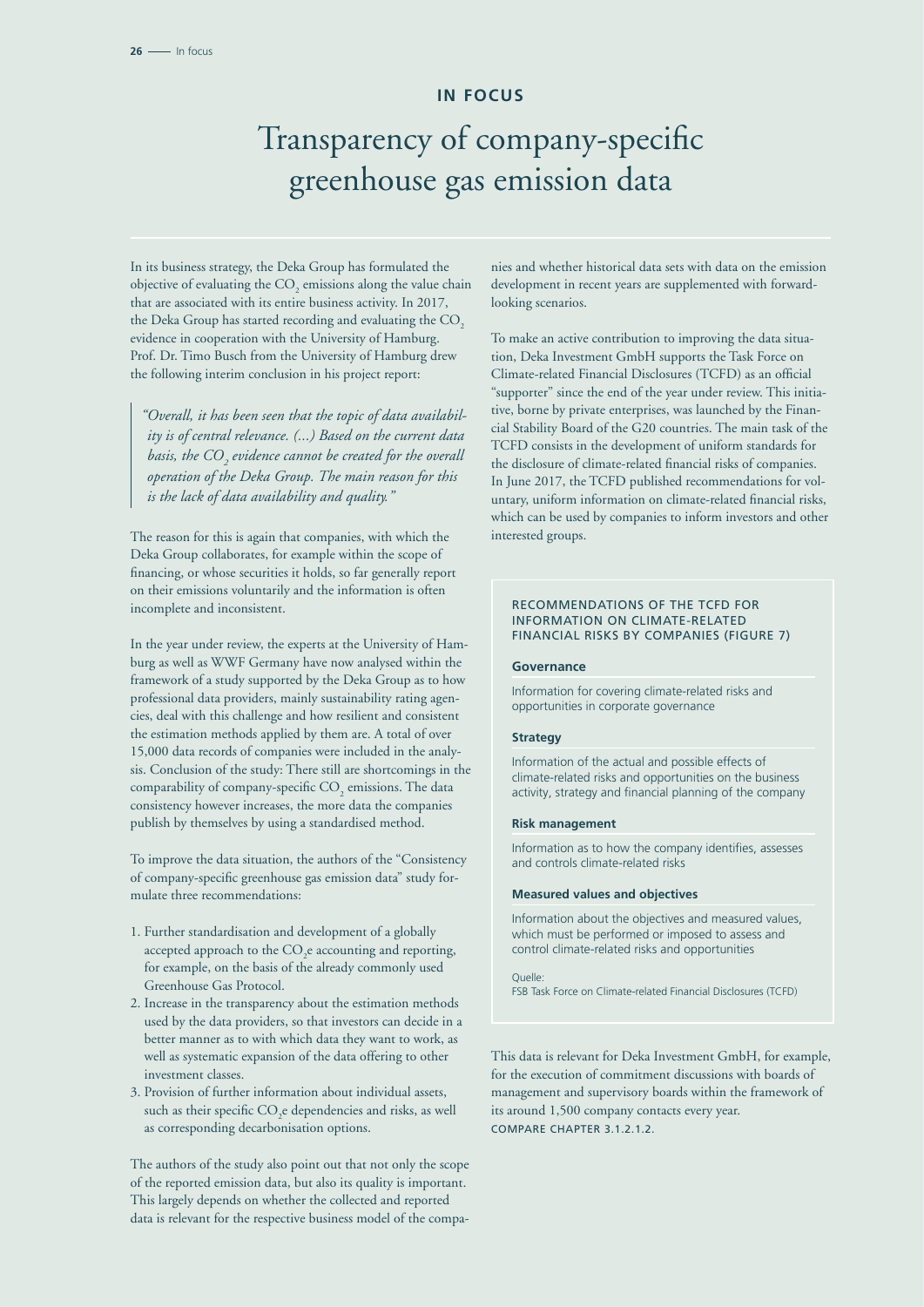## **IN FOCUS**

## Transparency of company-specific greenhouse gas emission data

In its business strategy, the Deka Group has formulated the objective of evaluating the CO<sub>2</sub> emissions along the value chain that are associated with its entire business activity. In 2017, the Deka Group has started recording and evaluating the CO<sub>2</sub> evidence in cooperation with the University of Hamburg. Prof. Dr. Timo Busch from the University of Hamburg drew the following interim conclusion in his project report:

*"Overall, it has been seen that the topic of data availability is of central relevance. (...) Based on the current data basis, the CO2 evidence cannot be created for the overall operation of the Deka Group. The main reason for this is the lack of data availability and quality."*

The reason for this is again that companies, with which the Deka Group collaborates, for example within the scope of financing, or whose securities it holds, so far generally report on their emissions voluntarily and the information is often incomplete and inconsistent.

In the year under review, the experts at the University of Hamburg as well as WWF Germany have now analysed within the framework of a study supported by the Deka Group as to how professional data providers, mainly sustainability rating agencies, deal with this challenge and how resilient and consistent the estimation methods applied by them are. A total of over 15,000 data records of companies were included in the analysis. Conclusion of the study: There still are shortcomings in the comparability of company-specific CO<sub>2</sub> emissions. The data consistency however increases, the more data the companies publish by themselves by using a standardised method.

To improve the data situation, the authors of the "Consistency of company-specific greenhouse gas emission data" study formulate three recommendations:

- 1. Further standardisation and development of a globally accepted approach to the  $\mathrm{CO}_2$ e accounting and reporting, for example, on the basis of the already commonly used Greenhouse Gas Protocol.
- 2. Increase in the transparency about the estimation methods used by the data providers, so that investors can decide in a better manner as to with which data they want to work, as well as systematic expansion of the data offering to other investment classes.
- 3. Provision of further information about individual assets, such as their specific  $\mathrm{CO}_2$ e dependencies and risks, as well as corresponding decarbonisation options.

The authors of the study also point out that not only the scope of the reported emission data, but also its quality is important. This largely depends on whether the collected and reported data is relevant for the respective business model of the compa-

nies and whether historical data sets with data on the emission development in recent years are supplemented with forwardlooking scenarios.

To make an active contribution to improving the data situation, Deka Investment GmbH supports the Task Force on Climate-related Financial Disclosures (TCFD) as an official "supporter" since the end of the year under review. This initiative, borne by private enterprises, was launched by the Financial Stability Board of the G20 countries. The main task of the TCFD consists in the development of uniform standards for the disclosure of climate-related financial risks of companies. In June 2017, the TCFD published recommendations for voluntary, uniform information on climate-related financial risks, which can be used by companies to inform investors and other interested groups.

#### RECOMMENDATIONS OF THE TCFD FOR INFORMATION ON CLIMATE-RELATED FINANCIAL RISKS BY COMPANIES (FIGURE 7)

#### **Governance**

Information for covering climate-related risks and opportunities in corporate governance

### **Strategy**

Information of the actual and possible effects of climate-related risks and opportunities on the business activity, strategy and financial planning of the company

#### **Risk management**

Information as to how the company identifies, assesses and controls climate-related risks

#### **Measured values and objectives**

Information about the objectives and measured values, which must be performed or imposed to assess and control climate-related risks and opportunities

Quelle: FSB Task Force on Climate-related Financial Disclosures (TCFD)

This data is relevant for Deka Investment GmbH, for example, for the execution of commitment discussions with boards of management and supervisory boards within the framework of its around 1,500 company contacts every year. COMPARE CHAPTER 3.1.2.1.2.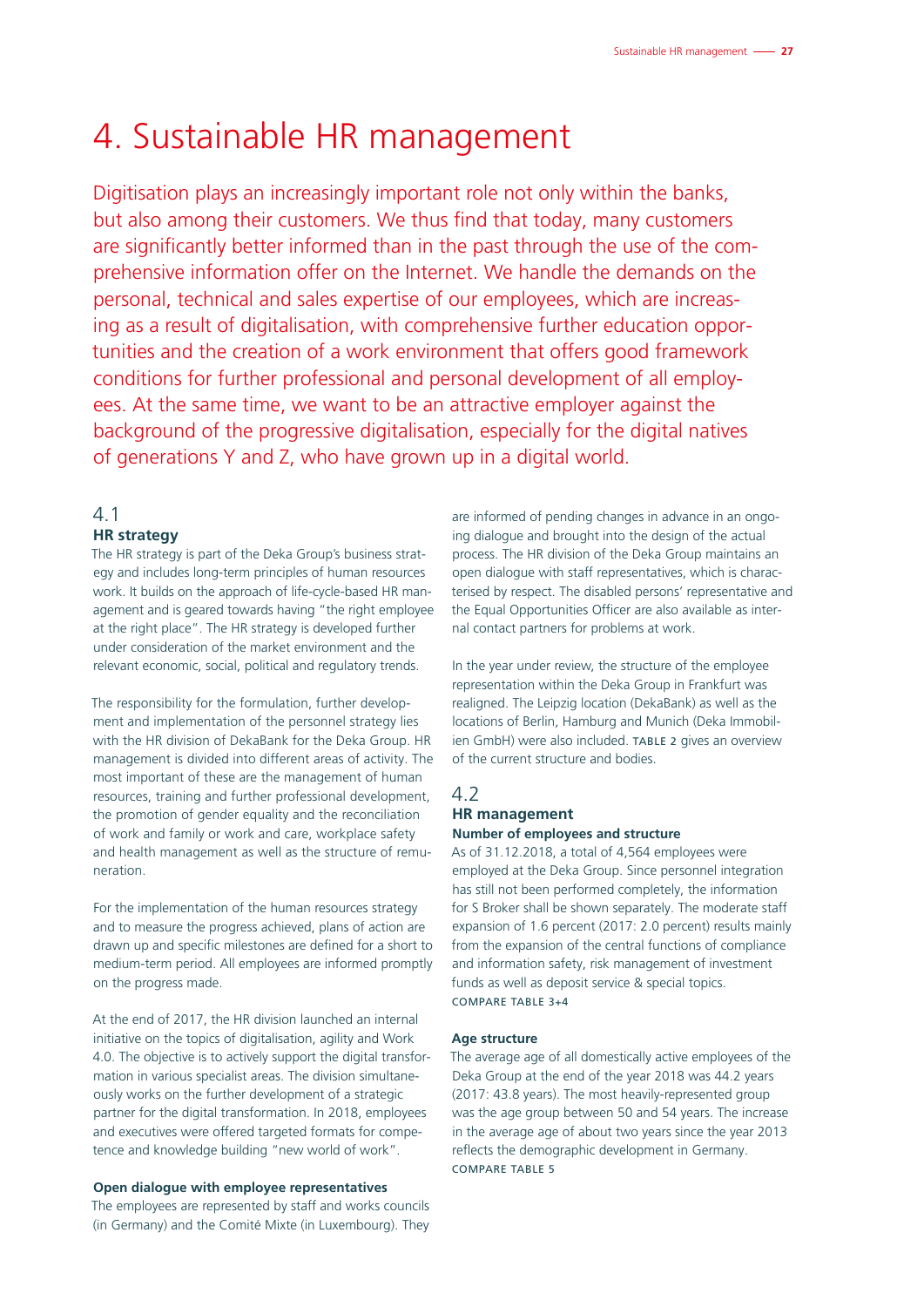## 4. Sustainable HR management

Digitisation plays an increasingly important role not only within the banks, but also among their customers. We thus find that today, many customers are significantly better informed than in the past through the use of the comprehensive information offer on the Internet. We handle the demands on the personal, technical and sales expertise of our employees, which are increasing as a result of digitalisation, with comprehensive further education opportunities and the creation of a work environment that offers good framework conditions for further professional and personal development of all employees. At the same time, we want to be an attractive employer against the background of the progressive digitalisation, especially for the digital natives of generations Y and Z, who have grown up in a digital world.

## 4.1

## **HR strategy**

The HR strategy is part of the Deka Group's business strategy and includes long-term principles of human resources work. It builds on the approach of life-cycle-based HR management and is geared towards having "the right employee at the right place". The HR strategy is developed further under consideration of the market environment and the relevant economic, social, political and regulatory trends.

The responsibility for the formulation, further development and implementation of the personnel strategy lies with the HR division of DekaBank for the Deka Group. HR management is divided into different areas of activity. The most important of these are the management of human resources, training and further professional development, the promotion of gender equality and the reconciliation of work and family or work and care, workplace safety and health management as well as the structure of remuneration.

For the implementation of the human resources strategy and to measure the progress achieved, plans of action are drawn up and specific milestones are defined for a short to medium-term period. All employees are informed promptly on the progress made.

At the end of 2017, the HR division launched an internal initiative on the topics of digitalisation, agility and Work 4.0. The objective is to actively support the digital transformation in various specialist areas. The division simultaneously works on the further development of a strategic partner for the digital transformation. In 2018, employees and executives were offered targeted formats for competence and knowledge building "new world of work".

#### **Open dialogue with employee representatives**

The employees are represented by staff and works councils (in Germany) and the Comité Mixte (in Luxembourg). They

are informed of pending changes in advance in an ongoing dialogue and brought into the design of the actual process. The HR division of the Deka Group maintains an open dialogue with staff representatives, which is characterised by respect. The disabled persons' representative and the Equal Opportunities Officer are also available as internal contact partners for problems at work.

In the year under review, the structure of the employee representation within the Deka Group in Frankfurt was realigned. The Leipzig location (DekaBank) as well as the locations of Berlin, Hamburg and Munich (Deka Immobilien GmbH) were also included. TABLE 2 gives an overview of the current structure and bodies.

### 4.2 **HR management Number of employees and structure**

As of 31.12.2018, a total of 4,564 employees were employed at the Deka Group. Since personnel integration has still not been performed completely, the information for S Broker shall be shown separately. The moderate staff expansion of 1.6 percent (2017: 2.0 percent) results mainly from the expansion of the central functions of compliance and information safety, risk management of investment funds as well as deposit service & special topics. COMPARE TABLE 3+4

#### **Age structure**

The average age of all domestically active employees of the Deka Group at the end of the year 2018 was 44.2 years (2017: 43.8 years). The most heavily-represented group was the age group between 50 and 54 years. The increase in the average age of about two years since the year 2013 reflects the demographic development in Germany. COMPARE TABLE 5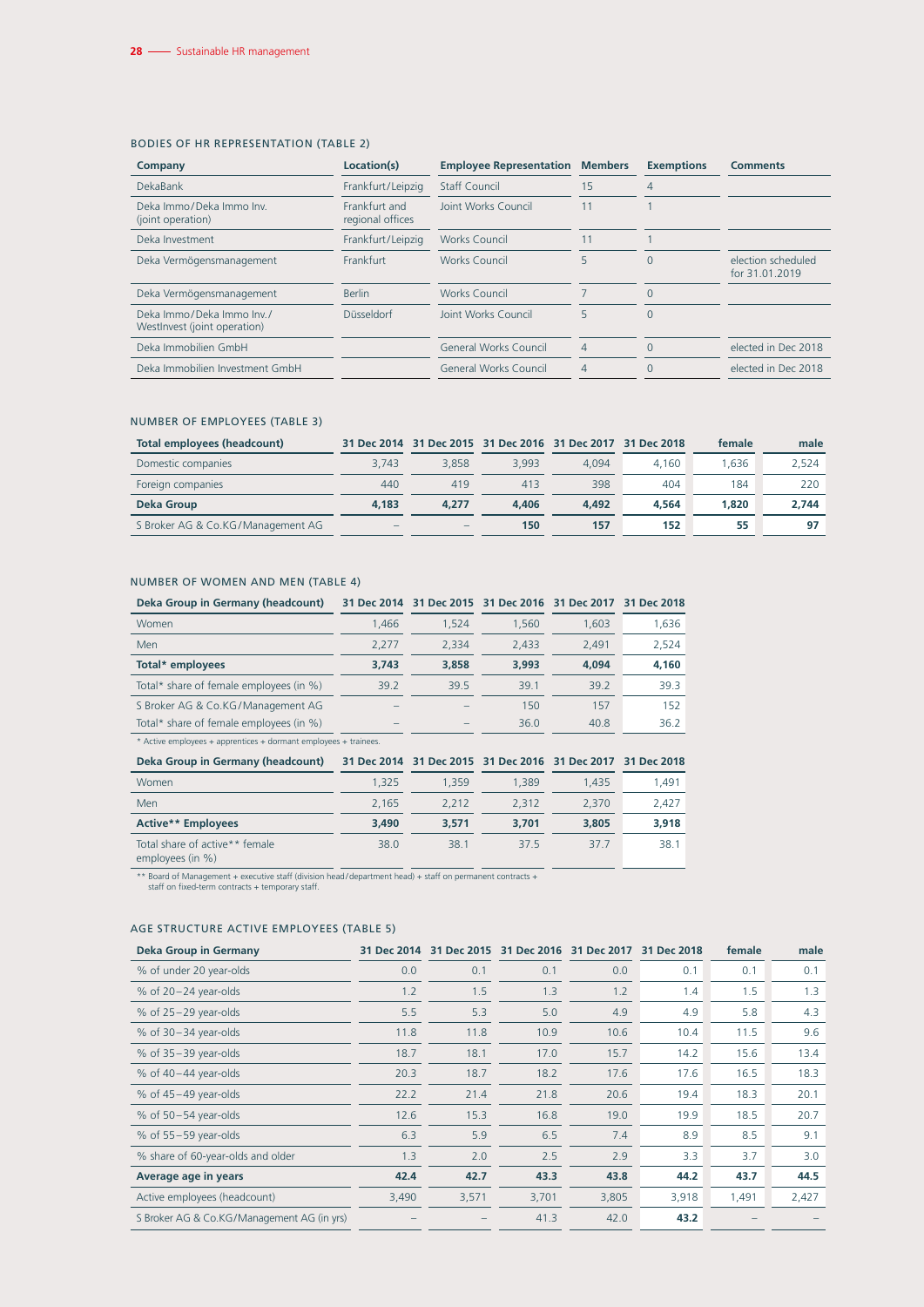#### BODIES OF HR REPRESENTATION (TABLE 2)

| Company                                                   | Location(s)                       | <b>Employee Representation Members</b> |    | <b>Exemptions</b> | <b>Comments</b>                      |
|-----------------------------------------------------------|-----------------------------------|----------------------------------------|----|-------------------|--------------------------------------|
| DekaBank                                                  | Frankfurt/Leipzig                 | <b>Staff Council</b>                   | 15 | $\overline{4}$    |                                      |
| Deka Immo/Deka Immo Inv.<br>(joint operation)             | Frankfurt and<br>regional offices | Joint Works Council                    | 11 |                   |                                      |
| Deka Investment                                           | Frankfurt/Leipzig                 | <b>Works Council</b>                   | 11 |                   |                                      |
| Deka Vermögensmanagement                                  | Frankfurt                         | Works Council                          | 5  | $\Omega$          | election scheduled<br>for 31.01.2019 |
| Deka Vermögensmanagement                                  | <b>Berlin</b>                     | Works Council                          |    | $\Omega$          |                                      |
| Deka Immo/Deka Immo Inv./<br>WestInvest (joint operation) | Düsseldorf                        | Joint Works Council                    | 5  | $\Omega$          |                                      |
| Deka Immobilien GmbH                                      |                                   | <b>General Works Council</b>           | 4  | 0                 | elected in Dec 2018                  |
| Deka Immobilien Investment GmbH                           |                                   | <b>General Works Council</b>           | 4  |                   | elected in Dec 2018                  |

#### NUMBER OF EMPLOYEES (TABLE 3)

| Total employees (headcount)       |                          | 31 Dec 2014 31 Dec 2015 31 Dec 2016 31 Dec 2017 31 Dec 2018 |       |       |       | female | male  |
|-----------------------------------|--------------------------|-------------------------------------------------------------|-------|-------|-------|--------|-------|
| Domestic companies                | 3.743                    | 3.858                                                       | 3.993 | 4.094 | 4.160 | .636   | 2.524 |
| Foreign companies                 | 440                      | 419                                                         | 413   | 398   | 404   | 184    | 220   |
| Deka Group                        | 4.183                    | 4.277                                                       | 4.406 | 4.492 | 4.564 | 1.820  | 2.744 |
| S Broker AG & Co.KG/Management AG | $\overline{\phantom{a}}$ | $\overline{\phantom{a}}$                                    | 150   | 157   | 152   | 55     | 97    |

#### NUMBER OF WOMEN AND MEN (TABLE 4)

| Deka Group in Germany (headcount)       | 31 Dec 2014              |                          |       | 31 Dec 2015 31 Dec 2016 31 Dec 2017 31 Dec 2018 |       |
|-----------------------------------------|--------------------------|--------------------------|-------|-------------------------------------------------|-------|
| Women                                   | 1.466                    | 1.524                    | 1.560 | 1.603                                           | 1,636 |
| Men                                     | 2.277                    | 2.334                    | 2.433 | 2.491                                           | 2,524 |
| Total* employees                        | 3.743                    | 3,858                    | 3,993 | 4.094                                           | 4.160 |
| Total* share of female employees (in %) | 39.2                     | 39.5                     | 39.1  | 39.2                                            | 39.3  |
| S Broker AG & Co.KG/Management AG       |                          |                          | 150   | 157                                             | 152   |
| Total* share of female employees (in %) | $\overline{\phantom{a}}$ | $\overline{\phantom{a}}$ | 36.0  | 40.8                                            | 36.2  |
|                                         |                          |                          |       |                                                 |       |

\* Active employees + apprentices + dormant employees + trainees.

| Deka Group in Germany (headcount)                  |       |       |       | 31 Dec 2014 31 Dec 2015 31 Dec 2016 31 Dec 2017 31 Dec 2018 |       |
|----------------------------------------------------|-------|-------|-------|-------------------------------------------------------------|-------|
| Women                                              | 1.325 | 1.359 | 1,389 | 1.435                                                       | 1,491 |
| Men                                                | 2.165 | 2.212 | 2.312 | 2.370                                                       | 2,427 |
| <b>Active** Employees</b>                          | 3,490 | 3,571 | 3,701 | 3,805                                                       | 3.918 |
| Total share of active** female<br>employees (in %) | 38.0  | 38.1  | 375   | 377                                                         | 38.1  |

\*\* Board of Management + executive staff (division head/department head) + staff on permanent contracts + staff on fixed-term contracts + temporary staff.

## AGE STRUCTURE ACTIVE EMPLOYEES (TABLE 5)

| <b>Deka Group in Germany</b>               |       |       |       | 31 Dec 2014 31 Dec 2015 31 Dec 2016 31 Dec 2017 31 Dec 2018 |       | female | male  |
|--------------------------------------------|-------|-------|-------|-------------------------------------------------------------|-------|--------|-------|
| % of under 20 year-olds                    | 0.0   | 0.1   | 0.1   | 0.0                                                         | 0.1   | 0.1    | 0.1   |
| $%$ of 20-24 year-olds                     | 1.2   | 1.5   | 1.3   | 1.2                                                         | 1.4   | 1.5    | 1.3   |
| $%$ of 25 - 29 year-olds                   | 5.5   | 5.3   | 5.0   | 4.9                                                         | 4.9   | 5.8    | 4.3   |
| $%$ of 30 $-34$ year-olds                  | 11.8  | 11.8  | 10.9  | 10.6                                                        | 10.4  | 11.5   | 9.6   |
| $%$ of 35-39 year-olds                     | 18.7  | 18.1  | 17.0  | 15.7                                                        | 14.2  | 15.6   | 13.4  |
| $%$ of 40 - 44 year-olds                   | 20.3  | 18.7  | 18.2  | 17.6                                                        | 17.6  | 16.5   | 18.3  |
| $%$ of 45 - 49 year-olds                   | 22.2  | 21.4  | 21.8  | 20.6                                                        | 19.4  | 18.3   | 20.1  |
| $%$ of 50 $-54$ year-olds                  | 12.6  | 15.3  | 16.8  | 19.0                                                        | 19.9  | 18.5   | 20.7  |
| $%$ of 55 $-59$ year-olds                  | 6.3   | 5.9   | 6.5   | 7.4                                                         | 8.9   | 8.5    | 9.1   |
| % share of 60-year-olds and older          | 1.3   | 2.0   | 2.5   | 2.9                                                         | 3.3   | 3.7    | 3.0   |
| Average age in years                       | 42.4  | 42.7  | 43.3  | 43.8                                                        | 44.2  | 43.7   | 44.5  |
| Active employees (headcount)               | 3,490 | 3,571 | 3,701 | 3,805                                                       | 3,918 | 1,491  | 2,427 |
| S Broker AG & Co.KG/Management AG (in yrs) |       |       | 41.3  | 42.0                                                        | 43.2  |        |       |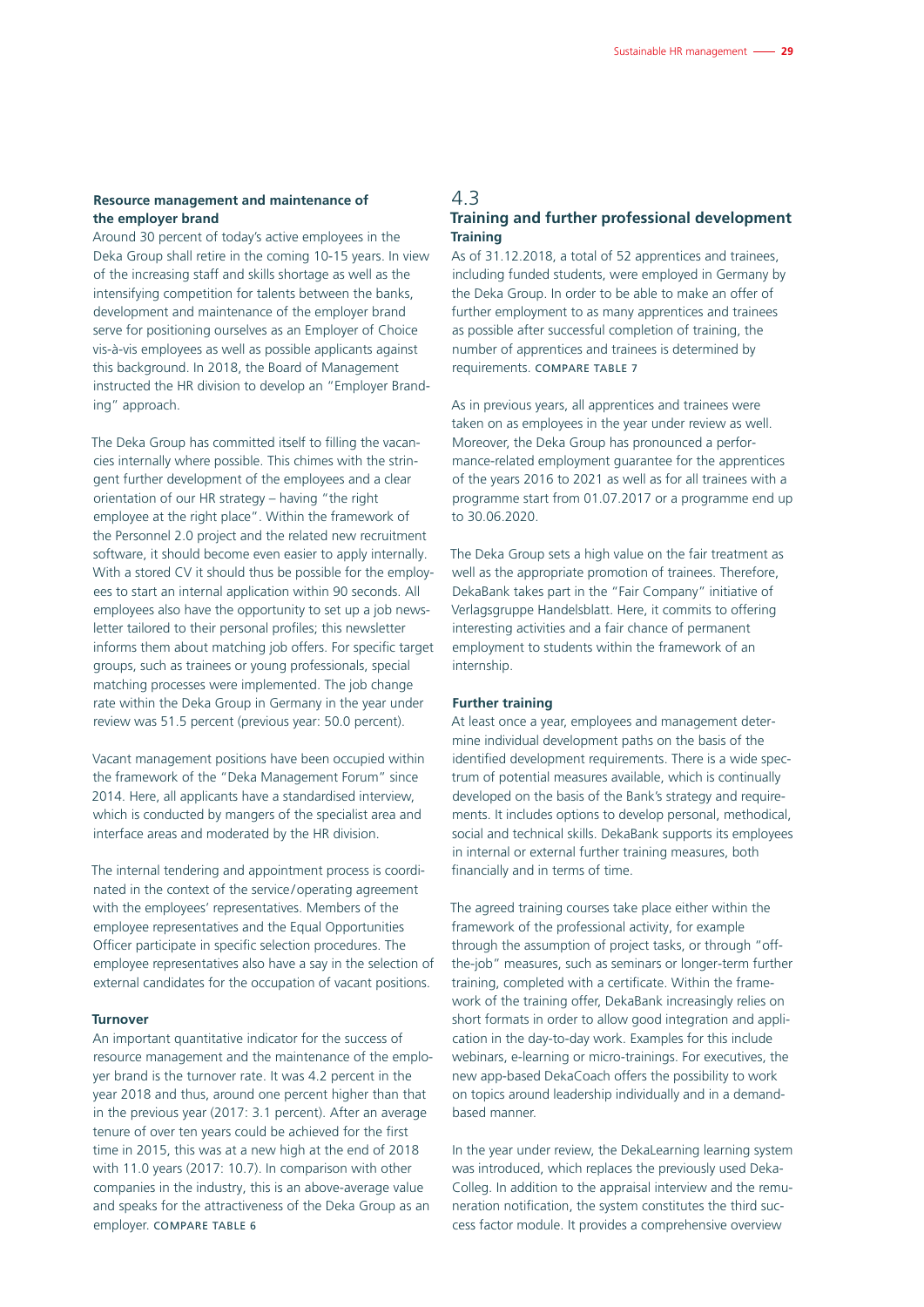#### **Resource management and maintenance of the employer brand**

Around 30 percent of today's active employees in the Deka Group shall retire in the coming 10-15 years. In view of the increasing staff and skills shortage as well as the intensifying competition for talents between the banks, development and maintenance of the employer brand serve for positioning ourselves as an Employer of Choice vis-à-vis employees as well as possible applicants against this background. In 2018, the Board of Management instructed the HR division to develop an "Employer Branding" approach.

The Deka Group has committed itself to filling the vacancies internally where possible. This chimes with the stringent further development of the employees and a clear orientation of our HR strategy – having "the right employee at the right place". Within the framework of the Personnel 2.0 project and the related new recruitment software, it should become even easier to apply internally. With a stored CV it should thus be possible for the employees to start an internal application within 90 seconds. All employees also have the opportunity to set up a job newsletter tailored to their personal profiles; this newsletter informs them about matching job offers. For specific target groups, such as trainees or young professionals, special matching processes were implemented. The job change rate within the Deka Group in Germany in the year under review was 51.5 percent (previous year: 50.0 percent).

Vacant management positions have been occupied within the framework of the "Deka Management Forum" since 2014. Here, all applicants have a standardised interview, which is conducted by mangers of the specialist area and interface areas and moderated by the HR division.

The internal tendering and appointment process is coordinated in the context of the service/operating agreement with the employees' representatives. Members of the employee representatives and the Equal Opportunities Officer participate in specific selection procedures. The employee representatives also have a say in the selection of external candidates for the occupation of vacant positions.

#### **Turnover**

An important quantitative indicator for the success of resource management and the maintenance of the employer brand is the turnover rate. It was 4.2 percent in the year 2018 and thus, around one percent higher than that in the previous year (2017: 3.1 percent). After an average tenure of over ten years could be achieved for the first time in 2015, this was at a new high at the end of 2018 with 11.0 years (2017: 10.7). In comparison with other companies in the industry, this is an above-average value and speaks for the attractiveness of the Deka Group as an employer. COMPARE TABLE 6

### 4.3 **Training and further professional development Training**

As of 31.12.2018, a total of 52 apprentices and trainees, including funded students, were employed in Germany by the Deka Group. In order to be able to make an offer of further employment to as many apprentices and trainees as possible after successful completion of training, the number of apprentices and trainees is determined by requirements. COMPARE TABLE 7

As in previous years, all apprentices and trainees were taken on as employees in the year under review as well. Moreover, the Deka Group has pronounced a performance-related employment guarantee for the apprentices of the years 2016 to 2021 as well as for all trainees with a programme start from 01.07.2017 or a programme end up to 30.06.2020.

The Deka Group sets a high value on the fair treatment as well as the appropriate promotion of trainees. Therefore, DekaBank takes part in the "Fair Company" initiative of Verlagsgruppe Handelsblatt. Here, it commits to offering interesting activities and a fair chance of permanent employment to students within the framework of an internship.

#### **Further training**

At least once a year, employees and management determine individual development paths on the basis of the identified development requirements. There is a wide spectrum of potential measures available, which is continually developed on the basis of the Bank's strategy and requirements. It includes options to develop personal, methodical, social and technical skills. DekaBank supports its employees in internal or external further training measures, both financially and in terms of time.

The agreed training courses take place either within the framework of the professional activity, for example through the assumption of project tasks, or through "offthe-job" measures, such as seminars or longer-term further training, completed with a certificate. Within the framework of the training offer, DekaBank increasingly relies on short formats in order to allow good integration and application in the day-to-day work. Examples for this include webinars, e-learning or micro-trainings. For executives, the new app-based DekaCoach offers the possibility to work on topics around leadership individually and in a demandbased manner.

In the year under review, the DekaLearning learning system was introduced, which replaces the previously used Deka-Colleg. In addition to the appraisal interview and the remuneration notification, the system constitutes the third success factor module. It provides a comprehensive overview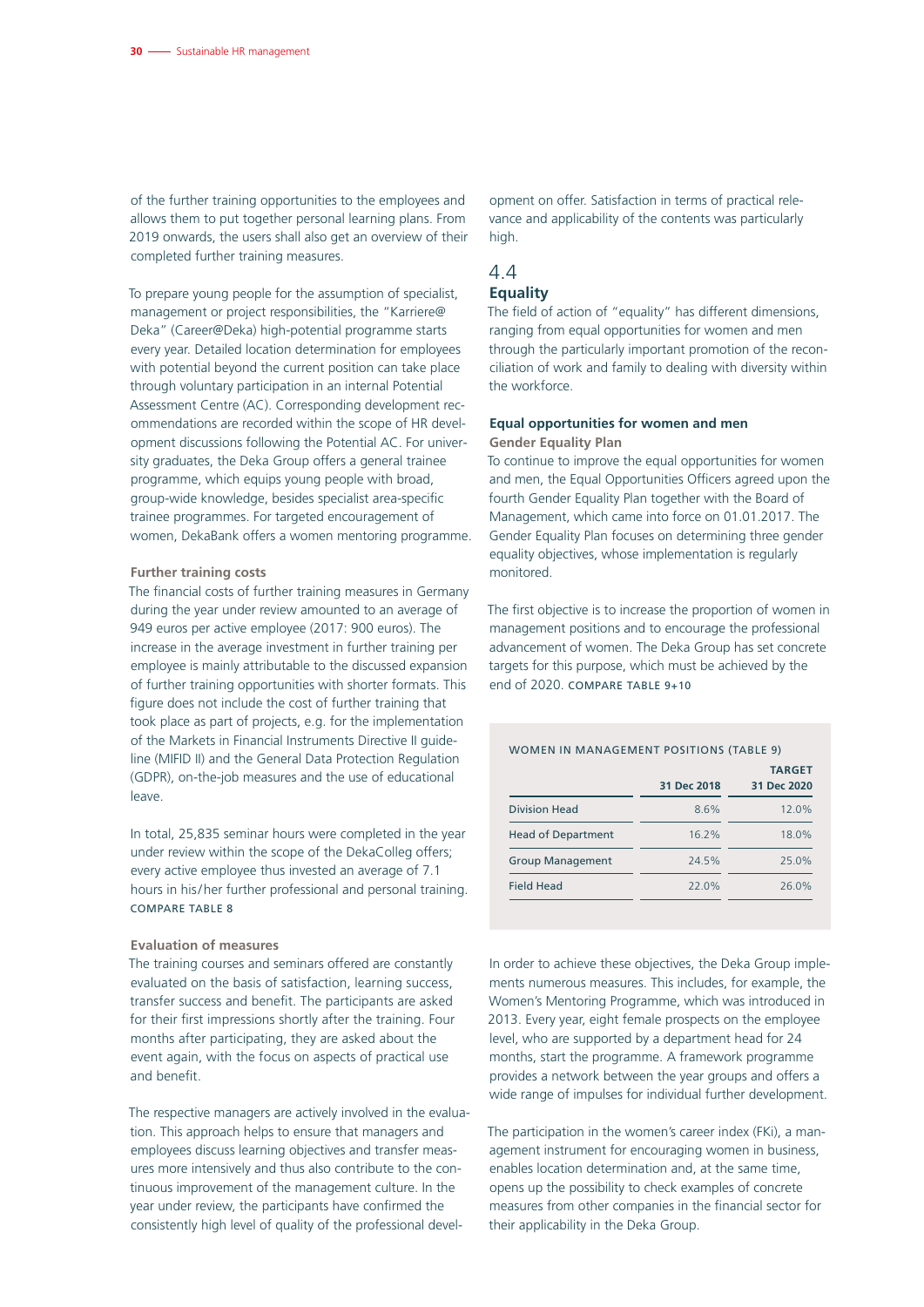of the further training opportunities to the employees and allows them to put together personal learning plans. From 2019 onwards, the users shall also get an overview of their completed further training measures.

To prepare young people for the assumption of specialist, management or project responsibilities, the "Karriere@ Deka" (Career@Deka) high-potential programme starts every year. Detailed location determination for employees with potential beyond the current position can take place through voluntary participation in an internal Potential Assessment Centre (AC). Corresponding development recommendations are recorded within the scope of HR development discussions following the Potential AC. For university graduates, the Deka Group offers a general trainee programme, which equips young people with broad, group-wide knowledge, besides specialist area-specific trainee programmes. For targeted encouragement of women, DekaBank offers a women mentoring programme.

#### **Further training costs**

The financial costs of further training measures in Germany during the year under review amounted to an average of 949 euros per active employee (2017: 900 euros). The increase in the average investment in further training per employee is mainly attributable to the discussed expansion of further training opportunities with shorter formats. This figure does not include the cost of further training that took place as part of projects, e.g. for the implementation of the Markets in Financial Instruments Directive II guideline (MIFID II) and the General Data Protection Regulation (GDPR), on-the-job measures and the use of educational leave.

In total, 25,835 seminar hours were completed in the year under review within the scope of the DekaColleg offers; every active employee thus invested an average of 7.1 hours in his/her further professional and personal training. COMPARE TABLE 8

#### **Evaluation of measures**

The training courses and seminars offered are constantly evaluated on the basis of satisfaction, learning success, transfer success and benefit. The participants are asked for their first impressions shortly after the training. Four months after participating, they are asked about the event again, with the focus on aspects of practical use and benefit.

The respective managers are actively involved in the evaluation. This approach helps to ensure that managers and employees discuss learning objectives and transfer measures more intensively and thus also contribute to the continuous improvement of the management culture. In the year under review, the participants have confirmed the consistently high level of quality of the professional devel-

opment on offer. Satisfaction in terms of practical relevance and applicability of the contents was particularly high.

## 4.4

## **Equality**

The field of action of "equality" has different dimensions, ranging from equal opportunities for women and men through the particularly important promotion of the reconciliation of work and family to dealing with diversity within the workforce.

### **Equal opportunities for women and men Gender Equality Plan**

To continue to improve the equal opportunities for women and men, the Equal Opportunities Officers agreed upon the fourth Gender Equality Plan together with the Board of Management, which came into force on 01.01.2017. The Gender Equality Plan focuses on determining three gender equality objectives, whose implementation is regularly monitored.

The first objective is to increase the proportion of women in management positions and to encourage the professional advancement of women. The Deka Group has set concrete targets for this purpose, which must be achieved by the end of 2020. COMPARE TABLE 9+10

|                           |             | <b>TARGET</b> |
|---------------------------|-------------|---------------|
|                           | 31 Dec 2018 | 31 Dec 2020   |
| <b>Division Head</b>      | 8.6%        | 12.0%         |
| <b>Head of Department</b> | 16.2%       | 18.0%         |
| <b>Group Management</b>   | 24.5%       | 25.0%         |
| Field Head                | 22.0%       | 26.0%         |

In order to achieve these objectives, the Deka Group implements numerous measures. This includes, for example, the Women's Mentoring Programme, which was introduced in 2013. Every year, eight female prospects on the employee level, who are supported by a department head for 24 months, start the programme. A framework programme provides a network between the year groups and offers a wide range of impulses for individual further development.

The participation in the women's career index (FKi), a management instrument for encouraging women in business, enables location determination and, at the same time, opens up the possibility to check examples of concrete measures from other companies in the financial sector for their applicability in the Deka Group.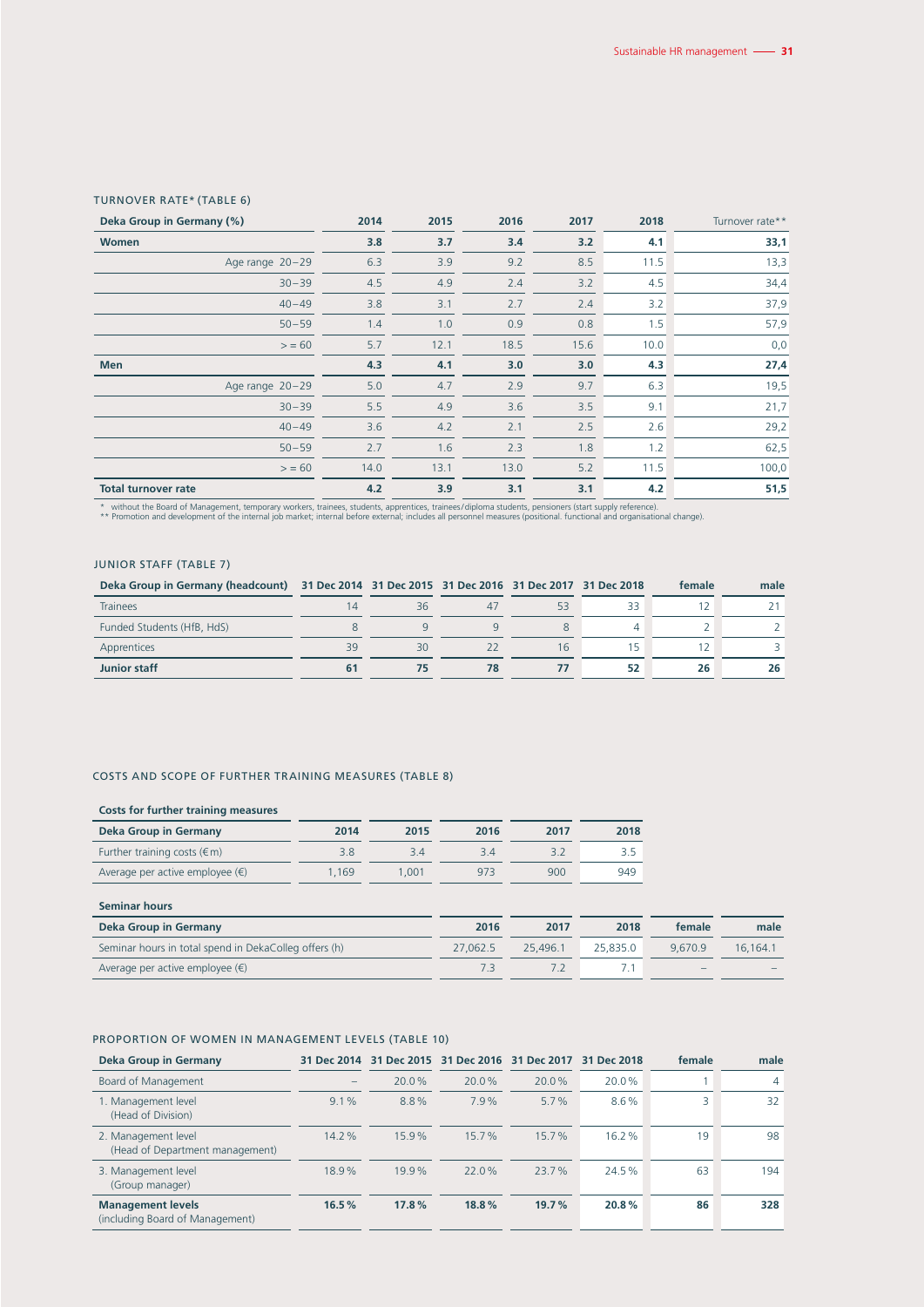| Deka Group in Germany (%)  | 2014 | 2015 | 2016 | 2017 | 2018 | Turnover rate** |
|----------------------------|------|------|------|------|------|-----------------|
| <b>Women</b>               | 3.8  | 3.7  | 3.4  | 3.2  | 4.1  | 33,1            |
| Age range 20-29            | 6.3  | 3.9  | 9.2  | 8.5  | 11.5 | 13,3            |
| $30 - 39$                  | 4.5  | 4.9  | 2.4  | 3.2  | 4.5  | 34,4            |
| $40 - 49$                  | 3.8  | 3.1  | 2.7  | 2.4  | 3.2  | 37,9            |
| $50 - 59$                  | 1.4  | 1.0  | 0.9  | 0.8  | 1.5  | 57,9            |
| > 60                       | 5.7  | 12.1 | 18.5 | 15.6 | 10.0 | 0,0             |
| <b>Men</b>                 | 4.3  | 4.1  | 3.0  | 3.0  | 4.3  | 27,4            |
| Age range 20-29            | 5.0  | 4.7  | 2.9  | 9.7  | 6.3  | 19,5            |
| $30 - 39$                  | 5.5  | 4.9  | 3.6  | 3.5  | 9.1  | 21,7            |
| $40 - 49$                  | 3.6  | 4.2  | 2.1  | 2.5  | 2.6  | 29,2            |
| $50 - 59$                  | 2.7  | 1.6  | 2.3  | 1.8  | 1.2  | 62,5            |
| > 60                       | 14.0 | 13.1 | 13.0 | 5.2  | 11.5 | 100,0           |
| <b>Total turnover rate</b> | 4.2  | 3.9  | 3.1  | 3.1  | 4.2  | 51,5            |
|                            |      |      |      |      |      |                 |

#### TURNOVER RATE\* (TABLE 6)

\* without the Board of Management, temporary workers, trainees, students, apprentices, trainees/diploma students, pensioners (start supply reference).<br>\*\* Promotion and development of the internal job market; internal befor

#### JUNIOR STAFF (TABLE 7)

| Deka Group in Germany (headcount) 31 Dec 2014 31 Dec 2015 31 Dec 2016 31 Dec 2017 31 Dec 2018 |    |    |    |    | female | male |
|-----------------------------------------------------------------------------------------------|----|----|----|----|--------|------|
| <b>Trainees</b>                                                                               |    | 36 | 53 | 33 |        |      |
| Funded Students (HfB, HdS)                                                                    |    |    |    |    |        |      |
| Apprentices                                                                                   | 39 | 30 | 16 |    |        |      |
| Junior staff                                                                                  |    |    |    | 52 | 26     |      |

#### COSTS AND SCOPE OF FURTHER TRAINING MEASURES (TABLE 8)

| Costs for further training measures      |       |       |      |      |      |
|------------------------------------------|-------|-------|------|------|------|
| Deka Group in Germany                    | 2014  | 2015  | 2016 | 2017 | 2018 |
| Further training costs $(\epsilon m)$    | 3.8   | 34    | 34   | 32   | 3.5  |
| Average per active employee $(\epsilon)$ | 1.169 | 1.001 | 973  | 900  | 949  |

| <b>Seminar hours</b>                                  |          |          |          |                          |          |
|-------------------------------------------------------|----------|----------|----------|--------------------------|----------|
| Deka Group in Germany                                 | 2016     | 2017     | 2018     | female                   | male     |
| Seminar hours in total spend in DekaColleg offers (h) | 27,062.5 | 25.496.1 | 25.835.0 | 9.670.9                  | 16.164.1 |
| Average per active employee $(\epsilon)$              | -72      |          |          | $\overline{\phantom{a}}$ |          |

### PROPORTION OF WOMEN IN MANAGEMENT LEVELS (TABLE 10)

| Deka Group in Germany                                       |                   | 31 Dec 2014 31 Dec 2015 31 Dec 2016 31 Dec 2017 31 Dec 2018 |       |          |          | female | male |
|-------------------------------------------------------------|-------------------|-------------------------------------------------------------|-------|----------|----------|--------|------|
| Board of Management                                         | $\qquad \qquad -$ | 20.0%                                                       | 20.0% | $20.0\%$ | $20.0\%$ |        | 4    |
| 1. Management level<br>(Head of Division)                   | 9.1%              | 8.8%                                                        | 7.9%  | $5.7\%$  | $8.6\%$  | 3      | 32   |
| 2. Management level<br>(Head of Department management)      | 14.2%             | 15.9%                                                       | 15.7% | 15.7%    | 16.2%    | 19     | 98   |
| 3. Management level<br>(Group manager)                      | 18.9%             | 19.9%                                                       | 22.0% | 23.7%    | 24.5%    | 63     | 194  |
| <b>Management levels</b><br>(including Board of Management) | 16.5%             | 17.8%                                                       | 18.8% | 19.7%    | 20.8%    | 86     | 328  |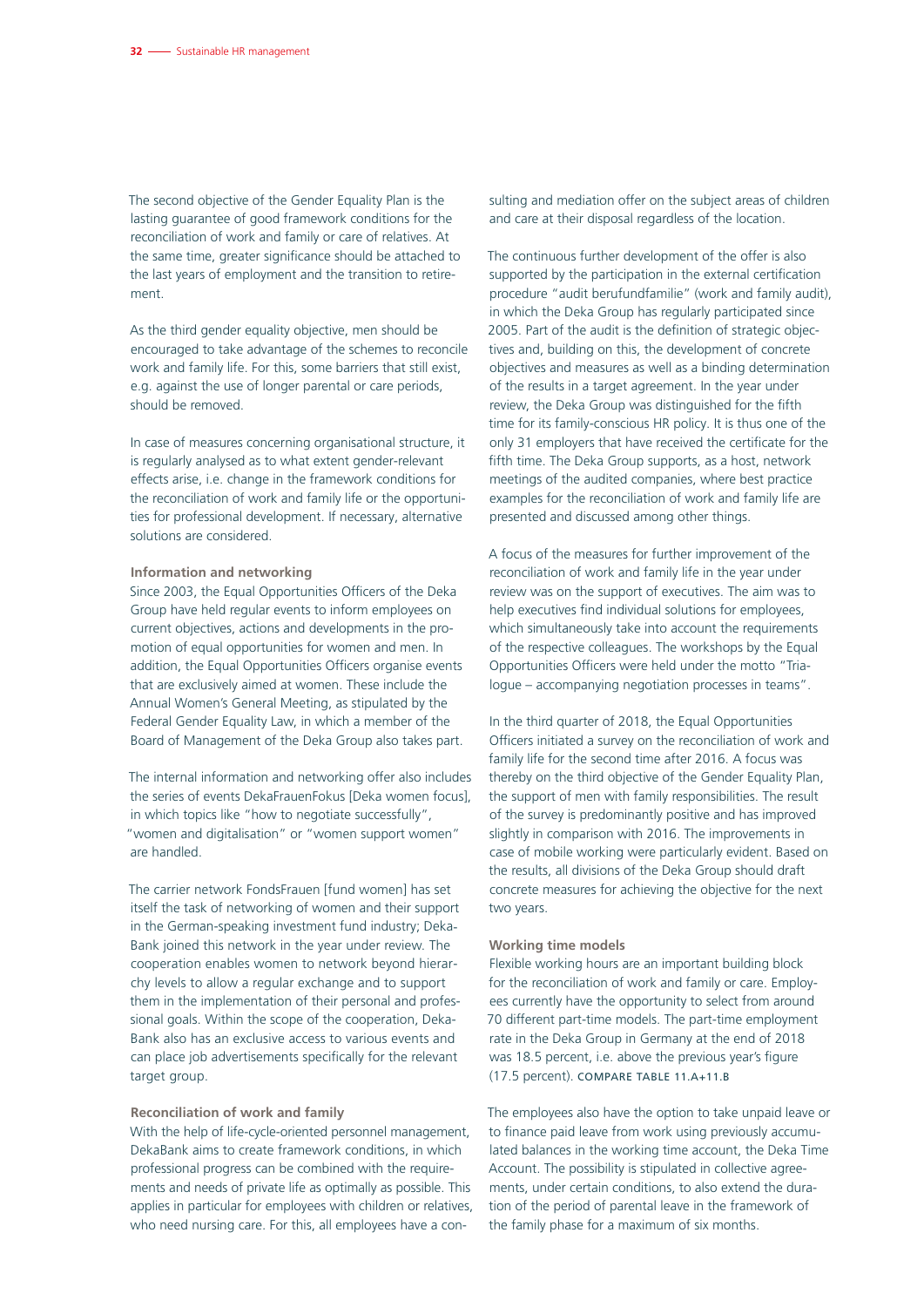The second objective of the Gender Equality Plan is the lasting guarantee of good framework conditions for the reconciliation of work and family or care of relatives. At the same time, greater significance should be attached to the last years of employment and the transition to retirement.

As the third gender equality objective, men should be encouraged to take advantage of the schemes to reconcile work and family life. For this, some barriers that still exist, e.g. against the use of longer parental or care periods, should be removed.

In case of measures concerning organisational structure, it is regularly analysed as to what extent gender-relevant effects arise, i.e. change in the framework conditions for the reconciliation of work and family life or the opportunities for professional development. If necessary, alternative solutions are considered.

#### **Information and networking**

Since 2003, the Equal Opportunities Officers of the Deka Group have held regular events to inform employees on current objectives, actions and developments in the promotion of equal opportunities for women and men. In addition, the Equal Opportunities Officers organise events that are exclusively aimed at women. These include the Annual Women's General Meeting, as stipulated by the Federal Gender Equality Law, in which a member of the Board of Management of the Deka Group also takes part.

The internal information and networking offer also includes the series of events DekaFrauenFokus [Deka women focus], in which topics like "how to negotiate successfully", "women and digitalisation" or "women support women" are handled.

The carrier network FondsFrauen [fund women] has set itself the task of networking of women and their support in the German-speaking investment fund industry; Deka-Bank joined this network in the year under review. The cooperation enables women to network beyond hierarchy levels to allow a regular exchange and to support them in the implementation of their personal and professional goals. Within the scope of the cooperation, Deka-Bank also has an exclusive access to various events and can place job advertisements specifically for the relevant target group.

#### **Reconciliation of work and family**

With the help of life-cycle-oriented personnel management, DekaBank aims to create framework conditions, in which professional progress can be combined with the requirements and needs of private life as optimally as possible. This applies in particular for employees with children or relatives, who need nursing care. For this, all employees have a consulting and mediation offer on the subject areas of children and care at their disposal regardless of the location.

The continuous further development of the offer is also supported by the participation in the external certification procedure "audit berufundfamilie" (work and family audit), in which the Deka Group has regularly participated since 2005. Part of the audit is the definition of strategic objectives and, building on this, the development of concrete objectives and measures as well as a binding determination of the results in a target agreement. In the year under review, the Deka Group was distinguished for the fifth time for its family-conscious HR policy. It is thus one of the only 31 employers that have received the certificate for the fifth time. The Deka Group supports, as a host, network meetings of the audited companies, where best practice examples for the reconciliation of work and family life are presented and discussed among other things.

A focus of the measures for further improvement of the reconciliation of work and family life in the year under review was on the support of executives. The aim was to help executives find individual solutions for employees, which simultaneously take into account the requirements of the respective colleagues. The workshops by the Equal Opportunities Officers were held under the motto "Trialogue – accompanying negotiation processes in teams".

In the third quarter of 2018, the Equal Opportunities Officers initiated a survey on the reconciliation of work and family life for the second time after 2016. A focus was thereby on the third objective of the Gender Equality Plan. the support of men with family responsibilities. The result of the survey is predominantly positive and has improved slightly in comparison with 2016. The improvements in case of mobile working were particularly evident. Based on the results, all divisions of the Deka Group should draft concrete measures for achieving the objective for the next two years.

#### **Working time models**

Flexible working hours are an important building block for the reconciliation of work and family or care. Employees currently have the opportunity to select from around 70 different part-time models. The part-time employment rate in the Deka Group in Germany at the end of 2018 was 18.5 percent, i.e. above the previous year's figure (17.5 percent). COMPARE TABLE 11.A+11.B

The employees also have the option to take unpaid leave or to finance paid leave from work using previously accumulated balances in the working time account, the Deka Time Account. The possibility is stipulated in collective agreements, under certain conditions, to also extend the duration of the period of parental leave in the framework of the family phase for a maximum of six months.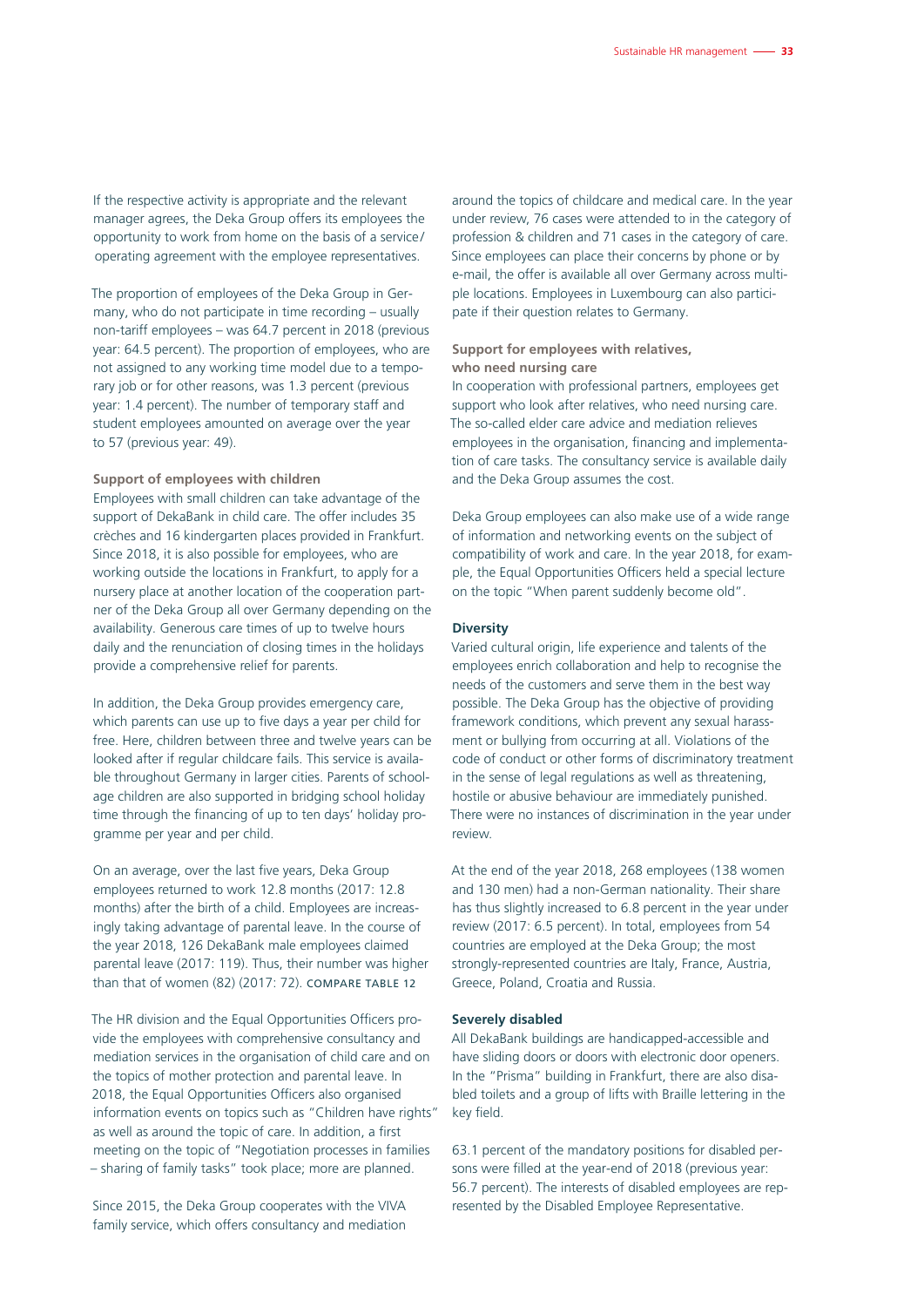If the respective activity is appropriate and the relevant manager agrees, the Deka Group offers its employees the opportunity to work from home on the basis of a service / operating agreement with the employee representatives.

The proportion of employees of the Deka Group in Germany, who do not participate in time recording – usually non-tariff employees – was 64.7 percent in 2018 (previous year: 64.5 percent). The proportion of employees, who are not assigned to any working time model due to a temporary job or for other reasons, was 1.3 percent (previous year: 1.4 percent). The number of temporary staff and student employees amounted on average over the year to 57 (previous year: 49).

#### **Support of employees with children**

Employees with small children can take advantage of the support of DekaBank in child care. The offer includes 35 crèches and 16 kindergarten places provided in Frankfurt. Since 2018, it is also possible for employees, who are working outside the locations in Frankfurt, to apply for a nursery place at another location of the cooperation partner of the Deka Group all over Germany depending on the availability. Generous care times of up to twelve hours daily and the renunciation of closing times in the holidays provide a comprehensive relief for parents.

In addition, the Deka Group provides emergency care, which parents can use up to five days a year per child for free. Here, children between three and twelve years can be looked after if regular childcare fails. This service is available throughout Germany in larger cities. Parents of schoolage children are also supported in bridging school holiday time through the financing of up to ten days' holiday programme per year and per child.

On an average, over the last five years, Deka Group employees returned to work 12.8 months (2017: 12.8 months) after the birth of a child. Employees are increasingly taking advantage of parental leave. In the course of the year 2018, 126 DekaBank male employees claimed parental leave (2017: 119). Thus, their number was higher than that of women (82) (2017: 72). COMPARE TABLE 12

The HR division and the Equal Opportunities Officers provide the employees with comprehensive consultancy and mediation services in the organisation of child care and on the topics of mother protection and parental leave. In 2018, the Equal Opportunities Officers also organised information events on topics such as "Children have rights" as well as around the topic of care. In addition, a first meeting on the topic of "Negotiation processes in families – sharing of family tasks" took place; more are planned.

Since 2015, the Deka Group cooperates with the VIVA family service, which offers consultancy and mediation

around the topics of childcare and medical care. In the year under review, 76 cases were attended to in the category of profession & children and 71 cases in the category of care. Since employees can place their concerns by phone or by e-mail, the offer is available all over Germany across multiple locations. Employees in Luxembourg can also participate if their question relates to Germany.

#### **Support for employees with relatives, who need nursing care**

In cooperation with professional partners, employees get support who look after relatives, who need nursing care. The so-called elder care advice and mediation relieves employees in the organisation, financing and implementation of care tasks. The consultancy service is available daily and the Deka Group assumes the cost.

Deka Group employees can also make use of a wide range of information and networking events on the subject of compatibility of work and care. In the year 2018, for example, the Equal Opportunities Officers held a special lecture on the topic "When parent suddenly become old".

#### **Diversity**

Varied cultural origin, life experience and talents of the employees enrich collaboration and help to recognise the needs of the customers and serve them in the best way possible. The Deka Group has the objective of providing framework conditions, which prevent any sexual harassment or bullying from occurring at all. Violations of the code of conduct or other forms of discriminatory treatment in the sense of legal regulations as well as threatening. hostile or abusive behaviour are immediately punished. There were no instances of discrimination in the year under review.

At the end of the year 2018, 268 employees (138 women and 130 men) had a non-German nationality. Their share has thus slightly increased to 6.8 percent in the year under review (2017: 6.5 percent). In total, employees from 54 countries are employed at the Deka Group; the most strongly-represented countries are Italy, France, Austria, Greece, Poland, Croatia and Russia.

#### **Severely disabled**

All DekaBank buildings are handicapped-accessible and have sliding doors or doors with electronic door openers. In the "Prisma" building in Frankfurt, there are also disabled toilets and a group of lifts with Braille lettering in the key field.

63.1 percent of the mandatory positions for disabled persons were filled at the year-end of 2018 (previous year: 56.7 percent). The interests of disabled employees are represented by the Disabled Employee Representative.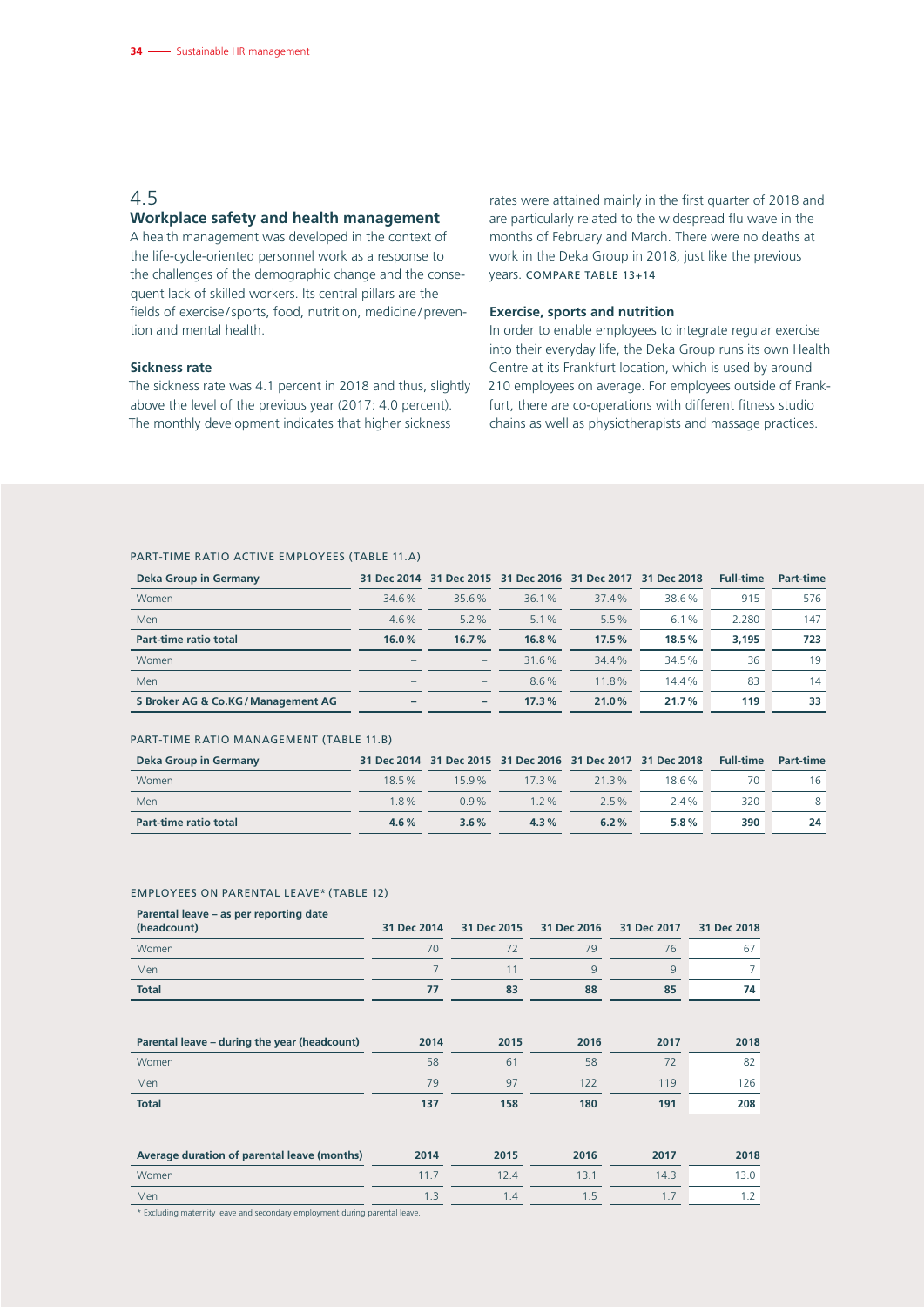## 4.5

#### **Workplace safety and health management**

A health management was developed in the context of the life-cycle-oriented personnel work as a response to the challenges of the demographic change and the consequent lack of skilled workers. Its central pillars are the fields of exercise/sports, food, nutrition, medicine/prevention and mental health.

### **Sickness rate**

The sickness rate was 4.1 percent in 2018 and thus, slightly above the level of the previous year (2017: 4.0 percent). The monthly development indicates that higher sickness

rates were attained mainly in the first quarter of 2018 and are particularly related to the widespread flu wave in the months of February and March. There were no deaths at work in the Deka Group in 2018, just like the previous years. COMPARE TABLE 13+14

#### **Exercise, sports and nutrition**

In order to enable employees to integrate regular exercise into their everyday life, the Deka Group runs its own Health Centre at its Frankfurt location, which is used by around 210 employees on average. For employees outside of Frankfurt, there are co-operations with different fitness studio chains as well as physiotherapists and massage practices.

#### PART-TIME RATIO ACTIVE EMPLOYEES (TABLE 11.A)

| <b>Deka Group in Germany</b>      | 31 Dec 2014                  |                          |         | 31 Dec 2015 31 Dec 2016 31 Dec 2017 31 Dec 2018 |       | <b>Full-time</b> | <b>Part-time</b> |
|-----------------------------------|------------------------------|--------------------------|---------|-------------------------------------------------|-------|------------------|------------------|
| Women                             | 34.6%                        | 35.6%                    | 36.1%   | 37.4%                                           | 38.6% | 915              | 576              |
| Men                               | $4.6\%$                      | $5.2\%$                  | 5.1%    | 5.5%                                            | 6.1%  | 2.280            | 147              |
| Part-time ratio total             | 16.0%                        | 16.7%                    | 16.8%   | 17.5%                                           | 18.5% | 3.195            | 723              |
| Women                             | $\qquad \qquad \blacksquare$ | $\overline{\phantom{a}}$ | 31.6%   | 34.4%                                           | 34.5% | 36               | 19               |
| Men                               | $\overline{\phantom{a}}$     | $\overline{\phantom{a}}$ | $8.6\%$ | 11.8%                                           | 14.4% | 83               | 14               |
| S Broker AG & Co.KG/Management AG | -                            | -                        | 17.3%   | 21.0%                                           | 21.7% | 119              | 33               |

#### PART-TIME RATIO MANAGEMENT (TABLE 11.B)

| Deka Group in Germany |         |         |         |                | 31 Dec 2014 31 Dec 2015 31 Dec 2016 31 Dec 2017 31 Dec 2018 Full-time |     | <b>Part-time</b> |
|-----------------------|---------|---------|---------|----------------|-----------------------------------------------------------------------|-----|------------------|
| Women                 | 185%    | 159%    |         | $17.3\%$ 21.3% | 18.6%                                                                 |     |                  |
| Men                   | 18%     | $0.9\%$ | $1.2\%$ | 25%            | 24%                                                                   | 320 |                  |
| Part-time ratio total | $4.6\%$ | $3.6\%$ | $4.3\%$ | $6.2\%$        | 5.8%                                                                  | 390 | 24               |

#### EMPLOYEES ON PARENTAL LEAVE\* (TABLE 12)

| Parental leave – as per reporting date<br>(headcount) | 31 Dec 2014 | 31 Dec 2015 | 31 Dec 2016 | 31 Dec 2017 | 31 Dec 2018 |
|-------------------------------------------------------|-------------|-------------|-------------|-------------|-------------|
| Women                                                 | 70          | 72          | 79          | 76          | 67          |
| Men                                                   | 7           | 11          | 9           | 9           | 7           |
| <b>Total</b>                                          | 77          | 83          | 88          | 85          | 74          |
|                                                       |             |             |             |             |             |
| Parental leave – during the year (headcount)          | 2014        | 2015        | 2016        | 2017        | 2018        |
| Women                                                 | 58          | 61          | 58          | 72          | 82          |
| Men                                                   | 79          | 97          | 122         | 119         | 126         |
| <b>Total</b>                                          | 137         | 158         | 180         | 191         | 208         |
|                                                       |             |             |             |             |             |
| Average duration of parental leave (months)           | 2014        | 2015        | 2016        | 2017        | 2018        |
| Women                                                 | 11.7        | 12.4        | 13.1        | 14.3        | 13.0        |
| Men                                                   | 1.3         | 1.4         | 1.5         | 1.7         | 1.2         |

\* Excluding maternity leave and secondary employment during parental leave.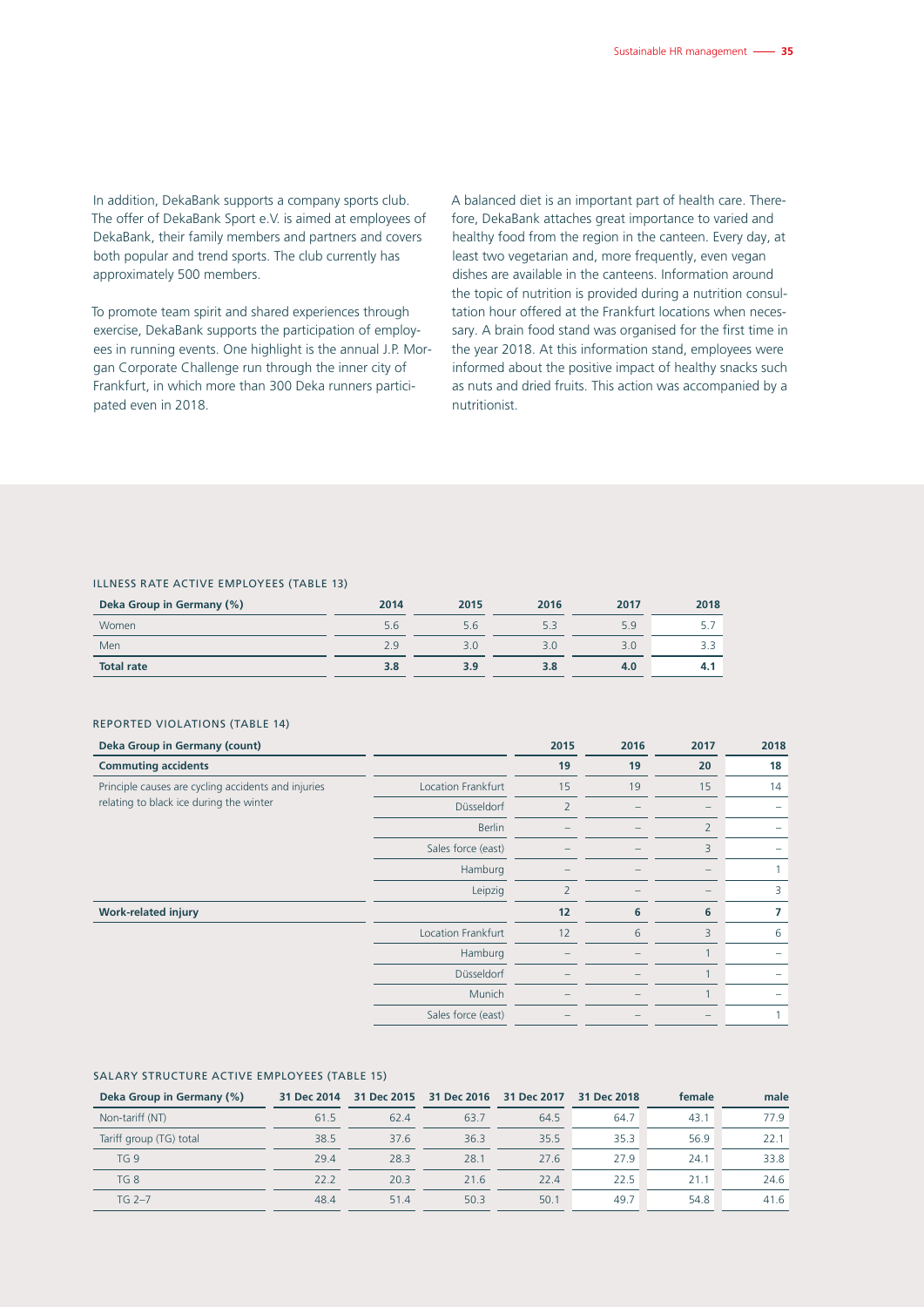In addition, DekaBank supports a company sports club. The offer of DekaBank Sport e.V. is aimed at employees of DekaBank, their family members and partners and covers both popular and trend sports. The club currently has approximately 500 members.

To promote team spirit and shared experiences through exercise, DekaBank supports the participation of employees in running events. One highlight is the annual J.P. Morgan Corporate Challenge run through the inner city of Frankfurt, in which more than 300 Deka runners participated even in 2018.

A balanced diet is an important part of health care. Therefore, DekaBank attaches great importance to varied and healthy food from the region in the canteen. Every day, at least two vegetarian and, more frequently, even vegan dishes are available in the canteens. Information around the topic of nutrition is provided during a nutrition consultation hour offered at the Frankfurt locations when necessary. A brain food stand was organised for the first time in the year 2018. At this information stand, employees were informed about the positive impact of healthy snacks such as nuts and dried fruits. This action was accompanied by a nutritionist.

#### ILLNESS RATE ACTIVE EMPLOYEES (TABLE 13)

| Deka Group in Germany (%) | 2014 | 2015 | 2016 | 2017 | 2018 |
|---------------------------|------|------|------|------|------|
| Women                     | 5.6  | 5.6  | 5.3  | 5.9  |      |
| Men                       | 29   | 3.0  | 3.0  | 3.0  |      |
| <b>Total rate</b>         | 3.8  | 3.9  | 3.8  | 4.0  |      |

#### REPORTED VIOLATIONS (TABLE 14)

| Deka Group in Germany (count)                       |                    | 2015           | 2016 | 2017                     | 2018 |
|-----------------------------------------------------|--------------------|----------------|------|--------------------------|------|
| <b>Commuting accidents</b>                          |                    | 19             | 19   | 20                       | 18   |
| Principle causes are cycling accidents and injuries | Location Frankfurt | 15             | 19   | 15                       | 14   |
| relating to black ice during the winter             | Düsseldorf         | $\overline{2}$ |      | $\overline{\phantom{0}}$ |      |
|                                                     | <b>Berlin</b>      |                |      | $\overline{2}$           |      |
|                                                     | Sales force (east) |                |      | 3                        |      |
|                                                     | Hamburg            |                |      | $\overline{\phantom{0}}$ |      |
|                                                     | Leipzig            | $\overline{2}$ |      |                          | 3    |
| <b>Work-related injury</b>                          |                    | 12             | 6    | 6                        |      |
|                                                     | Location Frankfurt | 12             | 6    | 3                        | 6    |
|                                                     | Hamburg            |                |      | $\mathbf{1}$             |      |
|                                                     | Düsseldorf         |                |      | $\mathbf{1}$             |      |
|                                                     | Munich             |                |      | $\mathbf{1}$             |      |
|                                                     | Sales force (east) |                |      |                          |      |

#### SALARY STRUCTURE ACTIVE EMPLOYEES (TABLE 15)

| Deka Group in Germany (%) | 31 Dec 2014 | 31 Dec 2015 | 31 Dec 2016 | 31 Dec 2017 | 31 Dec 2018 | female | male |
|---------------------------|-------------|-------------|-------------|-------------|-------------|--------|------|
| Non-tariff (NT)           | 61.5        | 62.4        | 63.7        | 64.5        | 64.7        | 43.1   | 77.9 |
| Tariff group (TG) total   | 38.5        | 37.6        | 36.3        | 35.5        | 35.3        | 56.9   | 22.1 |
| TG9                       | 29.4        | 28.3        | 28.1        | 27.6        | 27.9        | 24.1   | 33.8 |
| TG 8                      | 222         | 20.3        | 21.6        | 224         | 225         | 21.1   | 24.6 |
| $TG 2-7$                  | 48.4        | 51.4        | 50.3        | 50.1        | 49.7        | 54.8   | 41.6 |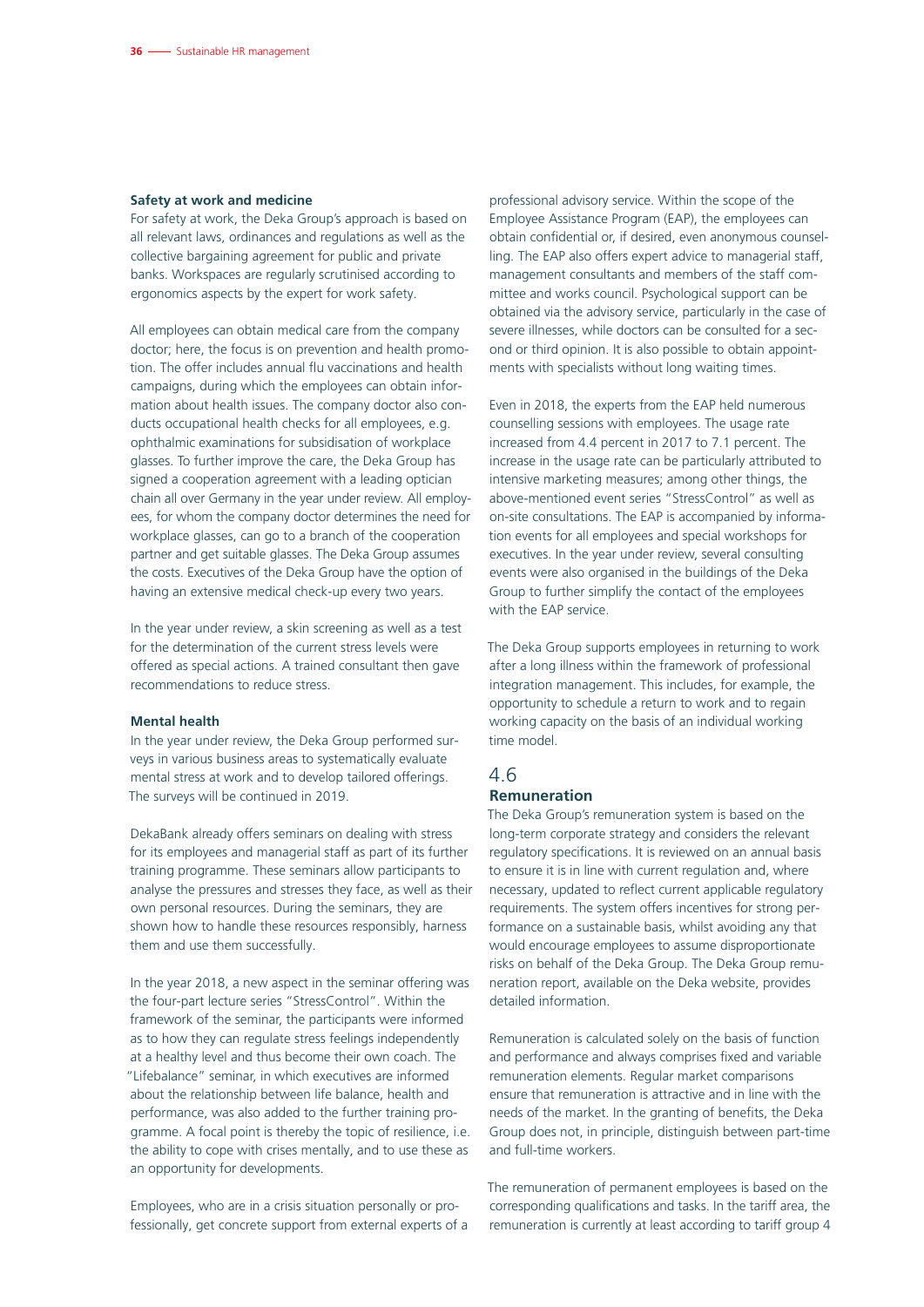#### **Safety at work and medicine**

For safety at work, the Deka Group's approach is based on all relevant laws, ordinances and regulations as well as the collective bargaining agreement for public and private banks. Workspaces are regularly scrutinised according to ergonomics aspects by the expert for work safety.

All employees can obtain medical care from the company doctor; here, the focus is on prevention and health promotion. The offer includes annual flu vaccinations and health campaigns, during which the employees can obtain information about health issues. The company doctor also conducts occupational health checks for all employees, e.g. ophthalmic examinations for subsidisation of workplace glasses. To further improve the care, the Deka Group has signed a cooperation agreement with a leading optician chain all over Germany in the year under review. All employees, for whom the company doctor determines the need for workplace glasses, can go to a branch of the cooperation partner and get suitable glasses. The Deka Group assumes the costs. Executives of the Deka Group have the option of having an extensive medical check-up every two years.

In the year under review, a skin screening as well as a test for the determination of the current stress levels were offered as special actions. A trained consultant then gave recommendations to reduce stress.

#### **Mental health**

In the year under review, the Deka Group performed surveys in various business areas to systematically evaluate mental stress at work and to develop tailored offerings. The surveys will be continued in 2019.

DekaBank already offers seminars on dealing with stress for its employees and managerial staff as part of its further training programme. These seminars allow participants to analyse the pressures and stresses they face, as well as their own personal resources. During the seminars, they are shown how to handle these resources responsibly, harness them and use them successfully.

In the year 2018, a new aspect in the seminar offering was the four-part lecture series "StressControl". Within the framework of the seminar, the participants were informed as to how they can regulate stress feelings independently at a healthy level and thus become their own coach. The "Lifebalance" seminar, in which executives are informed about the relationship between life balance, health and performance, was also added to the further training programme. A focal point is thereby the topic of resilience, i.e. the ability to cope with crises mentally, and to use these as an opportunity for developments.

Employees, who are in a crisis situation personally or professionally, get concrete support from external experts of a

professional advisory service. Within the scope of the Employee Assistance Program (EAP), the employees can obtain confidential or, if desired, even anonymous counselling. The EAP also offers expert advice to managerial staff, management consultants and members of the staff committee and works council. Psychological support can be obtained via the advisory service, particularly in the case of severe illnesses, while doctors can be consulted for a second or third opinion. It is also possible to obtain appointments with specialists without long waiting times.

Even in 2018, the experts from the EAP held numerous counselling sessions with employees. The usage rate increased from 4.4 percent in 2017 to 7.1 percent. The increase in the usage rate can be particularly attributed to intensive marketing measures; among other things, the above-mentioned event series "StressControl" as well as on-site consultations. The EAP is accompanied by information events for all employees and special workshops for executives. In the year under review, several consulting events were also organised in the buildings of the Deka Group to further simplify the contact of the employees with the EAP service.

The Deka Group supports employees in returning to work after a long illness within the framework of professional integration management. This includes, for example, the opportunity to schedule a return to work and to regain working capacity on the basis of an individual working time model.

## 4.6 **Remuneration**

The Deka Group's remuneration system is based on the long-term corporate strategy and considers the relevant regulatory specifications. It is reviewed on an annual basis to ensure it is in line with current regulation and, where necessary, updated to reflect current applicable regulatory requirements. The system offers incentives for strong performance on a sustainable basis, whilst avoiding any that would encourage employees to assume disproportionate risks on behalf of the Deka Group. The Deka Group remuneration report, available on the Deka website, provides detailed information.

Remuneration is calculated solely on the basis of function and performance and always comprises fixed and variable remuneration elements. Regular market comparisons ensure that remuneration is attractive and in line with the needs of the market. In the granting of benefits, the Deka Group does not, in principle, distinguish between part-time and full-time workers.

The remuneration of permanent employees is based on the corresponding qualifications and tasks. In the tariff area, the remuneration is currently at least according to tariff group 4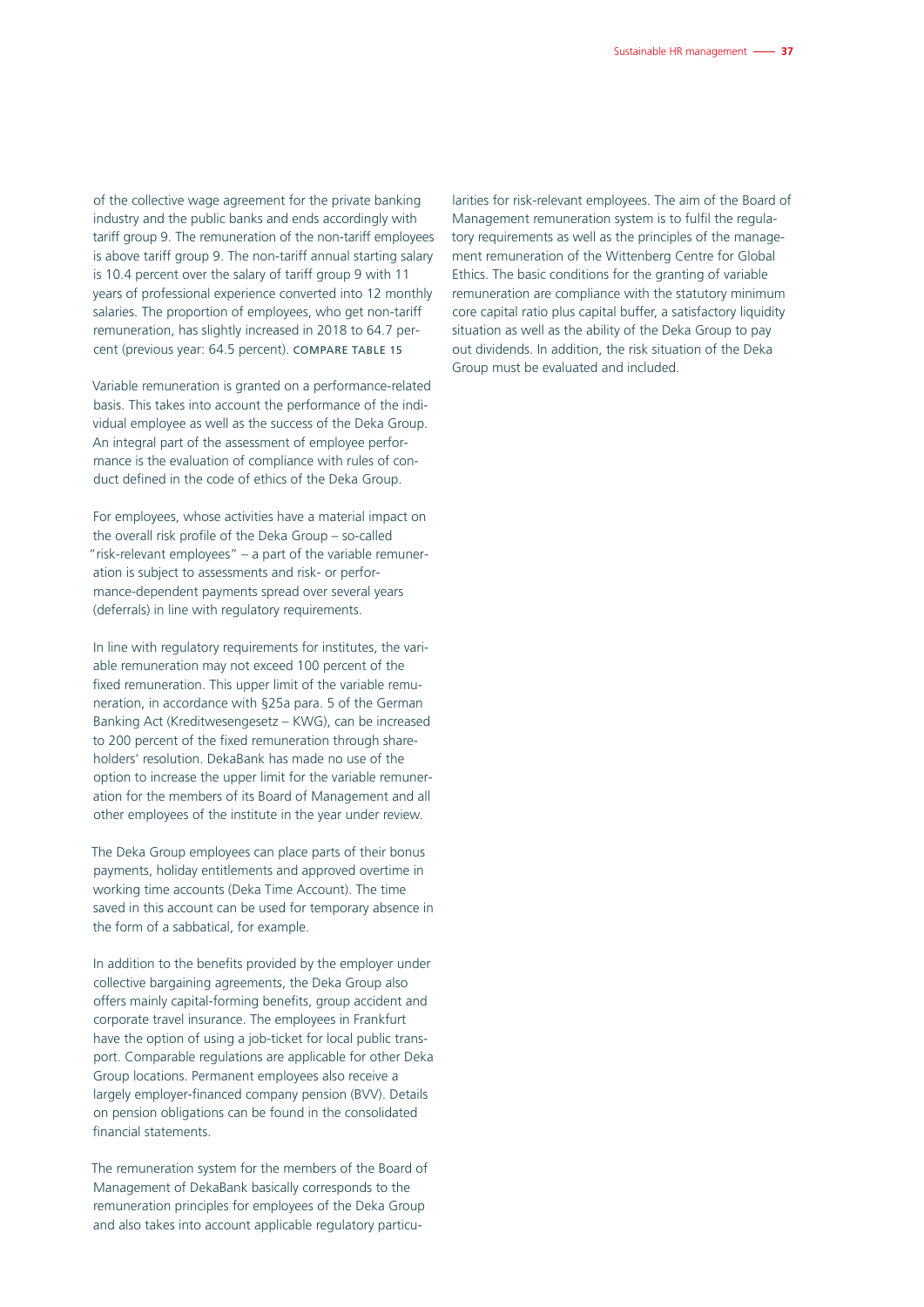of the collective wage agreement for the private banking industry and the public banks and ends accordingly with tariff group 9. The remuneration of the non-tariff employees is above tariff group 9. The non-tariff annual starting salary is 10.4 percent over the salary of tariff group 9 with 11 years of professional experience converted into 12 monthly salaries. The proportion of employees, who get non-tariff remuneration, has slightly increased in 2018 to 64.7 percent (previous year: 64.5 percent). COMPARE TABLE 15

Variable remuneration is granted on a performance-related basis. This takes into account the performance of the individual employee as well as the success of the Deka Group. An integral part of the assessment of employee performance is the evaluation of compliance with rules of conduct defined in the code of ethics of the Deka Group.

For employees, whose activities have a material impact on the overall risk profile of the Deka Group – so-called "risk-relevant employees" – a part of the variable remuneration is subject to assessments and risk- or performance-dependent payments spread over several years (deferrals) in line with regulatory requirements.

In line with regulatory requirements for institutes, the variable remuneration may not exceed 100 percent of the fixed remuneration. This upper limit of the variable remuneration, in accordance with §25a para. 5 of the German Banking Act (Kreditwesengesetz – KWG), can be increased to 200 percent of the fixed remuneration through shareholders' resolution. DekaBank has made no use of the option to increase the upper limit for the variable remuneration for the members of its Board of Management and all other employees of the institute in the year under review.

The Deka Group employees can place parts of their bonus payments, holiday entitlements and approved overtime in working time accounts (Deka Time Account). The time saved in this account can be used for temporary absence in the form of a sabbatical, for example.

In addition to the benefits provided by the employer under collective bargaining agreements, the Deka Group also offers mainly capital-forming benefits, group accident and corporate travel insurance. The employees in Frankfurt have the option of using a job-ticket for local public transport. Comparable regulations are applicable for other Deka Group locations. Permanent employees also receive a largely employer-financed company pension (BVV). Details on pension obligations can be found in the consolidated financial statements.

The remuneration system for the members of the Board of Management of DekaBank basically corresponds to the remuneration principles for employees of the Deka Group and also takes into account applicable regulatory particularities for risk-relevant employees. The aim of the Board of Management remuneration system is to fulfil the regulatory requirements as well as the principles of the management remuneration of the Wittenberg Centre for Global Ethics. The basic conditions for the granting of variable remuneration are compliance with the statutory minimum core capital ratio plus capital buffer, a satisfactory liquidity situation as well as the ability of the Deka Group to pay out dividends. In addition, the risk situation of the Deka Group must be evaluated and included.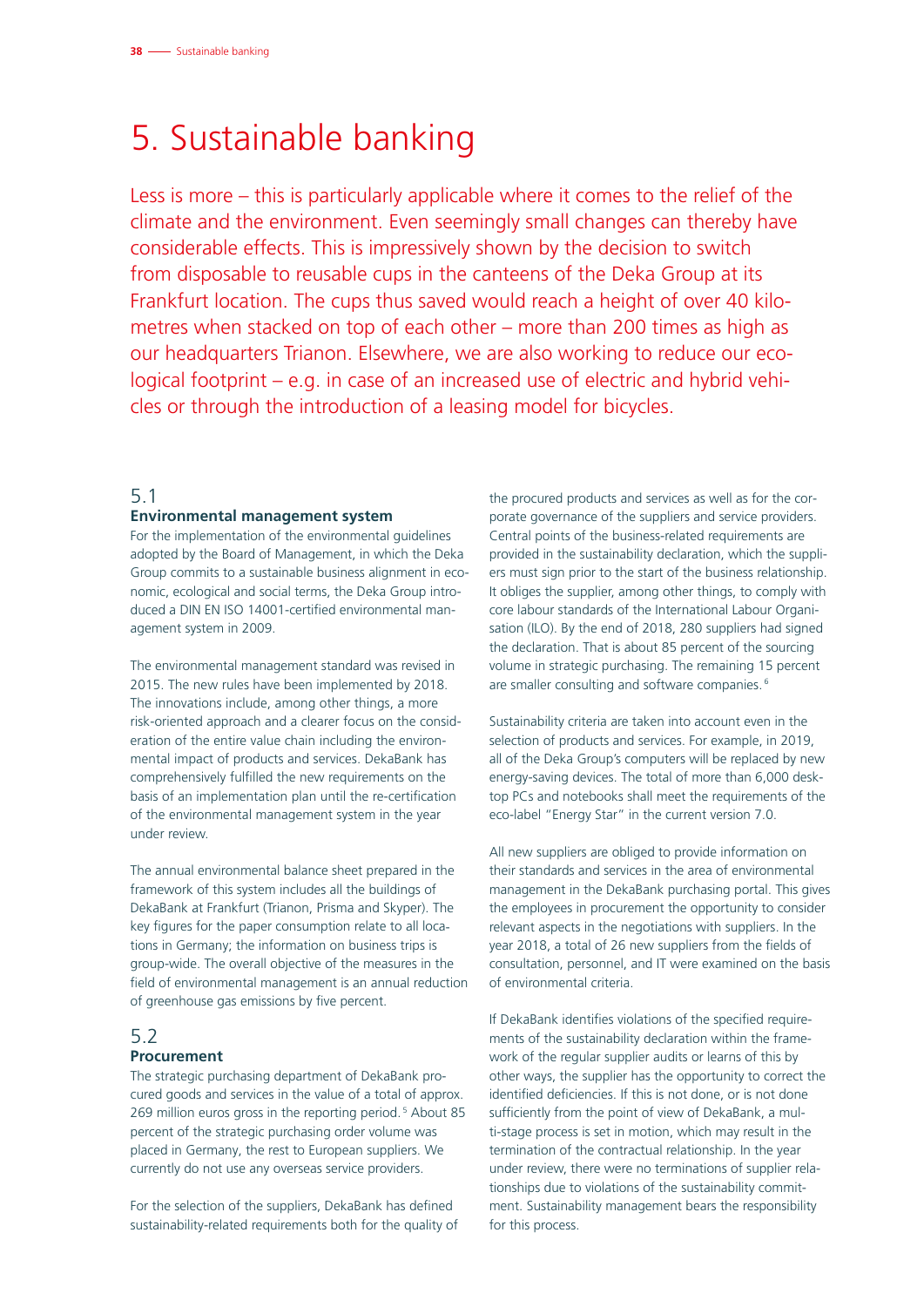## 5. Sustainable banking

Less is more – this is particularly applicable where it comes to the relief of the climate and the environment. Even seemingly small changes can thereby have considerable effects. This is impressively shown by the decision to switch from disposable to reusable cups in the canteens of the Deka Group at its Frankfurt location. The cups thus saved would reach a height of over 40 kilometres when stacked on top of each other – more than 200 times as high as our headquarters Trianon. Elsewhere, we are also working to reduce our ecological footprint – e.g. in case of an increased use of electric and hybrid vehicles or through the introduction of a leasing model for bicycles.

## 5.1

#### **Environmental management system**

For the implementation of the environmental guidelines adopted by the Board of Management, in which the Deka Group commits to a sustainable business alignment in economic, ecological and social terms, the Deka Group introduced a DIN EN ISO 14001-certified environmental management system in 2009.

The environmental management standard was revised in 2015. The new rules have been implemented by 2018. The innovations include, among other things, a more risk-oriented approach and a clearer focus on the consideration of the entire value chain including the environmental impact of products and services. DekaBank has comprehensively fulfilled the new requirements on the basis of an implementation plan until the re-certification of the environmental management system in the year under review.

The annual environmental balance sheet prepared in the framework of this system includes all the buildings of DekaBank at Frankfurt (Trianon, Prisma and Skyper). The key figures for the paper consumption relate to all locations in Germany; the information on business trips is group-wide. The overall objective of the measures in the field of environmental management is an annual reduction of greenhouse gas emissions by five percent.

## 5.2

#### **Procurement**

The strategic purchasing department of DekaBank procured goods and services in the value of a total of approx. 269 million euros gross in the reporting period.<sup>5</sup> About 85 percent of the strategic purchasing order volume was placed in Germany, the rest to European suppliers. We currently do not use any overseas service providers.

For the selection of the suppliers, DekaBank has defined sustainability-related requirements both for the quality of

the procured products and services as well as for the corporate governance of the suppliers and service providers. Central points of the business-related requirements are provided in the sustainability declaration, which the suppliers must sign prior to the start of the business relationship. It obliges the supplier, among other things, to comply with core labour standards of the International Labour Organisation (ILO). By the end of 2018, 280 suppliers had signed the declaration. That is about 85 percent of the sourcing volume in strategic purchasing. The remaining 15 percent are smaller consulting and software companies. <sup>6</sup>

Sustainability criteria are taken into account even in the selection of products and services. For example, in 2019, all of the Deka Group's computers will be replaced by new energy-saving devices. The total of more than 6,000 desktop PCs and notebooks shall meet the requirements of the eco-label "Energy Star" in the current version 7.0.

All new suppliers are obliged to provide information on their standards and services in the area of environmental management in the DekaBank purchasing portal. This gives the employees in procurement the opportunity to consider relevant aspects in the negotiations with suppliers. In the year 2018, a total of 26 new suppliers from the fields of consultation, personnel, and IT were examined on the basis of environmental criteria.

If DekaBank identifies violations of the specified requirements of the sustainability declaration within the framework of the regular supplier audits or learns of this by other ways, the supplier has the opportunity to correct the identified deficiencies. If this is not done, or is not done sufficiently from the point of view of DekaBank, a multi-stage process is set in motion, which may result in the termination of the contractual relationship. In the year under review, there were no terminations of supplier relationships due to violations of the sustainability commitment. Sustainability management bears the responsibility for this process.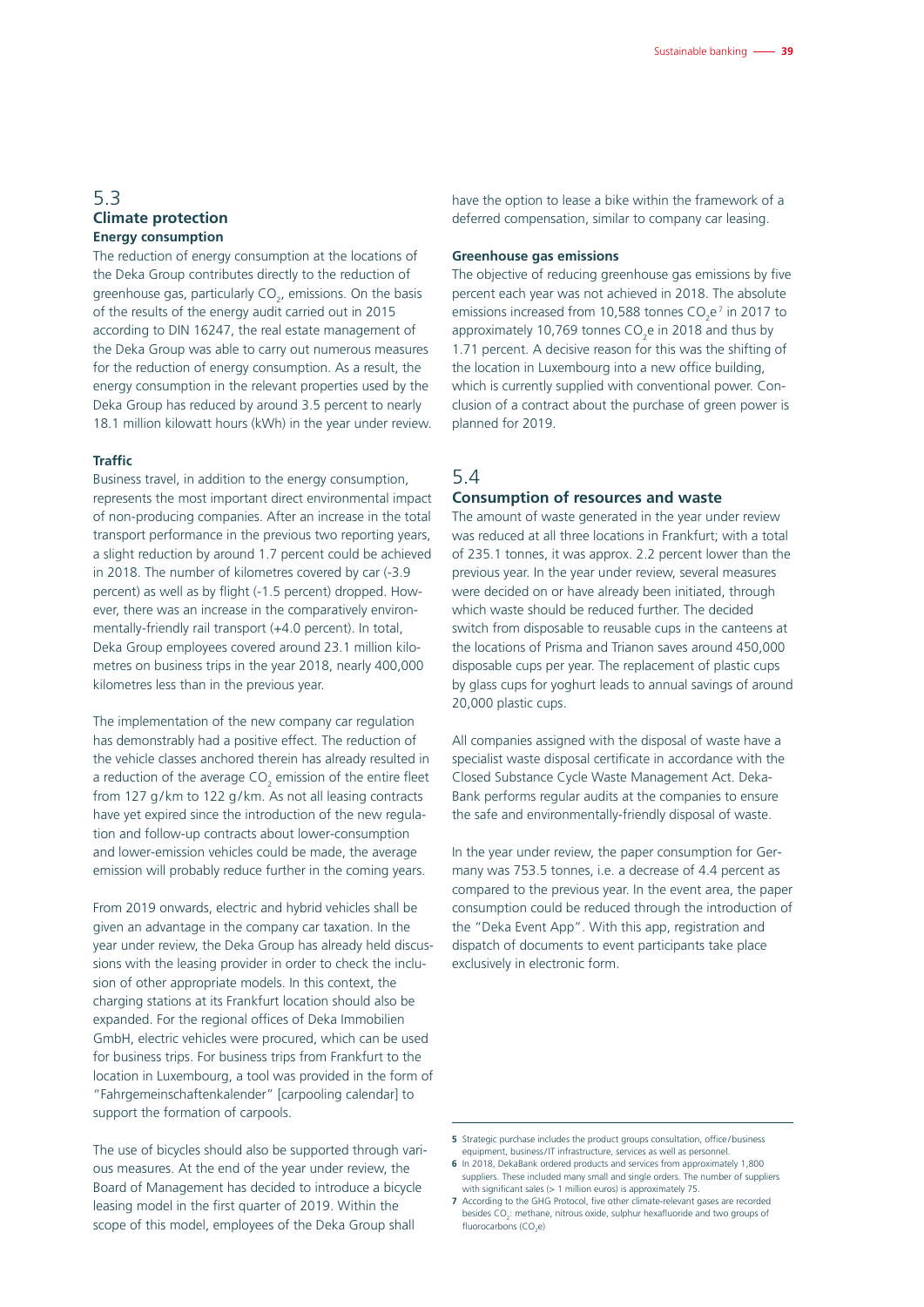## 5.3 **Climate protection Energy consumption**

The reduction of energy consumption at the locations of the Deka Group contributes directly to the reduction of greenhouse gas, particularly  $CO_{2}$ , emissions. On the basis of the results of the energy audit carried out in 2015 according to DIN 16247, the real estate management of the Deka Group was able to carry out numerous measures for the reduction of energy consumption. As a result, the energy consumption in the relevant properties used by the Deka Group has reduced by around 3.5 percent to nearly 18.1 million kilowatt hours (kWh) in the year under review.

#### **Traffic**

Business travel, in addition to the energy consumption, represents the most important direct environmental impact of non-producing companies. After an increase in the total transport performance in the previous two reporting years, a slight reduction by around 1.7 percent could be achieved in 2018. The number of kilometres covered by car (-3.9 percent) as well as by flight (-1.5 percent) dropped. However, there was an increase in the comparatively environmentally-friendly rail transport (+4.0 percent). In total, Deka Group employees covered around 23.1 million kilometres on business trips in the year 2018, nearly 400,000 kilometres less than in the previous year.

The implementation of the new company car regulation has demonstrably had a positive effect. The reduction of the vehicle classes anchored therein has already resulted in a reduction of the average  $CO_2$  emission of the entire fleet from 127 g/km to 122 g/km. As not all leasing contracts have yet expired since the introduction of the new regulation and follow-up contracts about lower-consumption and lower-emission vehicles could be made, the average emission will probably reduce further in the coming years.

From 2019 onwards, electric and hybrid vehicles shall be given an advantage in the company car taxation. In the year under review, the Deka Group has already held discussions with the leasing provider in order to check the inclusion of other appropriate models. In this context, the charging stations at its Frankfurt location should also be expanded. For the regional offices of Deka Immobilien GmbH, electric vehicles were procured, which can be used for business trips. For business trips from Frankfurt to the location in Luxembourg, a tool was provided in the form of "Fahrgemeinschaftenkalender" [carpooling calendar] to support the formation of carpools.

The use of bicycles should also be supported through various measures. At the end of the year under review, the Board of Management has decided to introduce a bicycle leasing model in the first quarter of 2019. Within the scope of this model, employees of the Deka Group shall

have the option to lease a bike within the framework of a deferred compensation, similar to company car leasing.

#### **Greenhouse gas emissions**

The objective of reducing greenhouse gas emissions by five percent each year was not achieved in 2018. The absolute emissions increased from 10,588 tonnes  $CO<sub>2</sub>e<sup>7</sup>$  in 2017 to approximately 10,769 tonnes  $CO<sub>2</sub>e$  in 2018 and thus by 1.71 percent. A decisive reason for this was the shifting of the location in Luxembourg into a new office building, which is currently supplied with conventional power. Conclusion of a contract about the purchase of green power is planned for 2019.

## 5.4

#### **Consumption of resources and waste**

The amount of waste generated in the year under review was reduced at all three locations in Frankfurt; with a total of 235.1 tonnes, it was approx. 2.2 percent lower than the previous year. In the year under review, several measures were decided on or have already been initiated, through which waste should be reduced further. The decided switch from disposable to reusable cups in the canteens at the locations of Prisma and Trianon saves around 450,000 disposable cups per year. The replacement of plastic cups by glass cups for yoghurt leads to annual savings of around 20,000 plastic cups.

All companies assigned with the disposal of waste have a specialist waste disposal certificate in accordance with the Closed Substance Cycle Waste Management Act. Deka-Bank performs regular audits at the companies to ensure the safe and environmentally-friendly disposal of waste.

In the year under review, the paper consumption for Germany was 753.5 tonnes, i.e. a decrease of 4.4 percent as compared to the previous year. In the event area, the paper consumption could be reduced through the introduction of the "Deka Event App". With this app, registration and dispatch of documents to event participants take place exclusively in electronic form.

**<sup>5</sup>** Strategic purchase includes the product groups consultation, office/business equipment, business/IT infrastructure, services as well as personnel.

**<sup>6</sup>** In 2018, DekaBank ordered products and services from approximately 1,800 suppliers. These included many small and single orders. The number of suppliers with significant sales (> 1 million euros) is approximately 75.

**<sup>7</sup>** According to the GHG Protocol, five other climate-relevant gases are recorded besides  $CO_2$ : methane, nitrous oxide, sulphur hexafluoride and two groups of fluorocarbons (CO<sub>2</sub>e)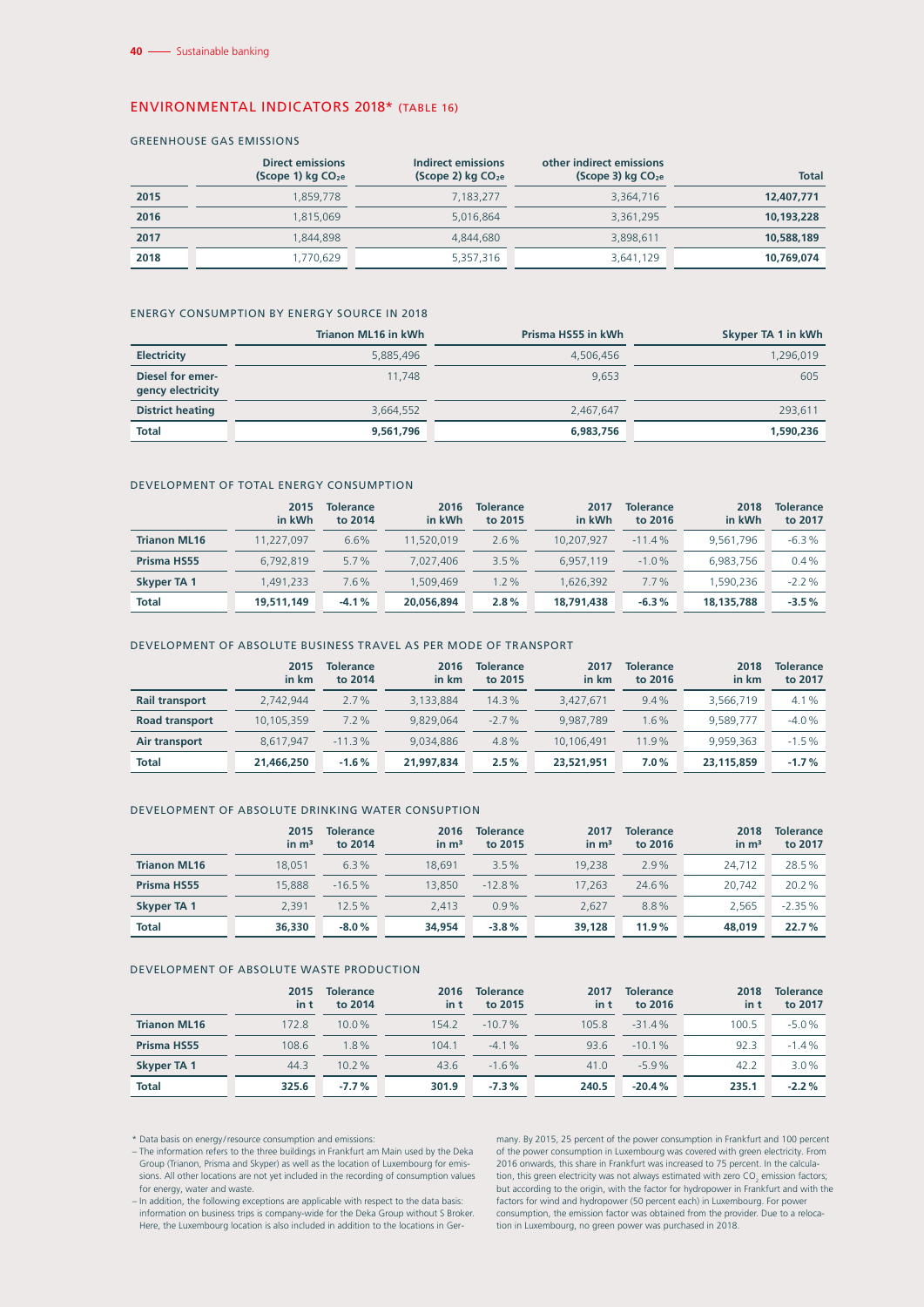#### ENVIRONMENTAL INDICATORS 2018\* (TABLE 16)

GREENHOUSE GAS EMISSIONS

|      | <b>Direct emissions</b><br>(Scope 1) $kg CO_{2e}$ | Indirect emissions<br>$(Scope 2)$ kg $CO2e$ | other indirect emissions<br>$(Scope 3)$ kg $CO2e$ | <b>Total</b> |
|------|---------------------------------------------------|---------------------------------------------|---------------------------------------------------|--------------|
| 2015 | 1,859,778                                         | 7,183,277                                   | 3,364,716                                         | 12,407,771   |
| 2016 | 1,815,069                                         | 5,016,864                                   | 3,361,295                                         | 10,193,228   |
| 2017 | 1,844,898                                         | 4,844,680                                   | 3,898,611                                         | 10,588,189   |
| 2018 | 1,770,629                                         | 5,357,316                                   | 3,641,129                                         | 10,769,074   |

#### ENERGY CONSUMPTION BY ENERGY SOURCE IN 2018

|                                       | Trianon ML16 in kWh | Prisma HS55 in kWh | Skyper TA 1 in kWh |
|---------------------------------------|---------------------|--------------------|--------------------|
| <b>Electricity</b>                    | 5,885,496           | 4,506,456          | 1,296,019          |
| Diesel for emer-<br>gency electricity | 11,748              | 9.653              | 605                |
| <b>District heating</b>               | 3,664,552           | 2.467.647          | 293,611            |
| <b>Total</b>                          | 9,561,796           | 6,983,756          | 1,590,236          |

#### DEVELOPMENT OF TOTAL ENERGY CONSUMPTION

|                     | 2015<br>in kWh | <b>Tolerance</b><br>to 2014 | 2016<br>in kWh | <b>Tolerance</b><br>to 2015 | 2017<br>in kWh | <b>Tolerance</b><br>to 2016 | 2018<br>in kWh | <b>Tolerance</b><br>to 2017 |
|---------------------|----------------|-----------------------------|----------------|-----------------------------|----------------|-----------------------------|----------------|-----------------------------|
| <b>Trianon ML16</b> | 11.227.097     | 6.6%                        | 11.520.019     | 2.6%                        | 10.207.927     | $-11.4%$                    | 9.561.796      | $-6.3%$                     |
| Prisma HS55         | 6.792.819      | 5.7%                        | 7.027.406      | 3.5%                        | 6.957.119      | $-1.0%$                     | 6.983.756      | 0.4%                        |
| Skyper TA 1         | .491.233       | 7.6%                        | .509.469       | 1.2%                        | .626.392       | $7.7\%$                     | .590.236       | $-2.2%$                     |
| <b>Total</b>        | 19,511,149     | $-4.1%$                     | 20.056.894     | 2.8%                        | 18,791,438     | $-6.3%$                     | 18, 135, 788   | $-3.5%$                     |

#### DEVELOPMENT OF ABSOLUTE BUSINESS TRAVEL AS PER MODE OF TRANSPORT

|                       | 2015<br>in km | <b>Tolerance</b><br>to 2014 | 2016<br>in km | <b>Tolerance</b><br>to 2015 | 2017<br>in km | <b>Tolerance</b><br>to 2016 | 2018<br>in km | <b>Tolerance</b><br>to 2017 |
|-----------------------|---------------|-----------------------------|---------------|-----------------------------|---------------|-----------------------------|---------------|-----------------------------|
| <b>Rail transport</b> | 2.742.944     | 2.7%                        | 3.133.884     | 14.3%                       | 3.427.671     | 9.4%                        | 3.566.719     | 4.1%                        |
| <b>Road transport</b> | 10.105.359    | 7.2%                        | 9.829.064     | $-2.7\%$                    | 9.987.789     | $1.6\%$                     | 9.589.777     | $-4.0%$                     |
| Air transport         | 8.617.947     | $-11.3%$                    | 9.034.886     | 4.8%                        | 10.106.491    | 11.9%                       | 9.959.363     | $-1.5%$                     |
| <b>Total</b>          | 21,466,250    | $-1.6%$                     | 21,997,834    | 2.5%                        | 23,521,951    | 7.0%                        | 23,115,859    | $-1.7%$                     |

#### DEVELOPMENT OF ABSOLUTE DRINKING WATER CONSUPTION

|                     | 2015<br>in m <sup>3</sup> | <b>Tolerance</b><br>to 2014 | 2016<br>$\text{in } \mathbf{m}^3$ | <b>Tolerance</b><br>to 2015 | 2017<br>in m <sup>3</sup> | <b>Tolerance</b><br>to 2016 | 2018<br>in m <sup>3</sup> | <b>Tolerance</b><br>to 2017 |
|---------------------|---------------------------|-----------------------------|-----------------------------------|-----------------------------|---------------------------|-----------------------------|---------------------------|-----------------------------|
| <b>Trianon ML16</b> | 18.051                    | 6.3%                        | 18,691                            | 3.5%                        | 19,238                    | 2.9%                        | 24,712                    | 28.5%                       |
| Prisma HS55         | 15,888                    | $-16.5%$                    | 13,850                            | $-12.8%$                    | 17.263                    | 24.6%                       | 20.742                    | 20.2%                       |
| <b>Skyper TA 1</b>  | 2.391                     | 12.5%                       | 2.413                             | 0.9%                        | 2.627                     | 8.8%                        | 2.565                     | $-2.35%$                    |
| <b>Total</b>        | 36,330                    | $-8.0%$                     | 34,954                            | $-3.8%$                     | 39,128                    | 11.9%                       | 48,019                    | 22.7%                       |

#### DEVELOPMENT OF ABSOLUTE WASTE PRODUCTION

|                     | 2015<br>in t | <b>Tolerance</b><br>to 2014 | 2016<br>in t | <b>Tolerance</b><br>to 2015 | 2017<br>in t | <b>Tolerance</b><br>to 2016 | 2018<br>in t | <b>Tolerance</b><br>to 2017 |
|---------------------|--------------|-----------------------------|--------------|-----------------------------|--------------|-----------------------------|--------------|-----------------------------|
| <b>Trianon ML16</b> | 172.8        | $10.0\%$                    | 154.2        | $-10.7%$                    | 105.8        | $-31.4%$                    | 100.5        | $-5.0%$                     |
| Prisma HS55         | 108.6        | $1.8\%$                     | 104.1        | $-4.1\%$                    | 93.6         | $-10.1%$                    | 92.3         | $-1.4%$                     |
| Skyper TA 1         | 44.3         | 10.2%                       | 43.6         | $-1.6%$                     | 41.0         | $-5.9%$                     | 42.2         | 3.0%                        |
| <b>Total</b>        | 325.6        | $-7.7%$                     | 301.9        | $-7.3%$                     | 240.5        | $-20.4%$                    | 235.1        | $-2.2%$                     |

 \* Data basis on energy /resource consumption and emissions: – The information refers to the three buildings in Frankfurt am Main used by the Deka Group (Trianon, Prisma and Skyper) as well as the location of Luxembourg for emissions. All other locations are not yet included in the recording of consumption values for energy, water and waste.

– In addition, the following exceptions are applicable with respect to the data basis: information on business trips is company-wide for the Deka Group without S Broker. Here, the Luxembourg location is also included in addition to the locations in Ger-

many. By 2015, 25 percent of the power consumption in Frankfurt and 100 percent of the power consumption in Luxembourg was covered with green electricity. From 2016 onwards, this share in Frankfurt was increased to 75 percent. In the calculation, this green electricity was not always estimated with zero  $CO_2$  emission factors; but according to the origin, with the factor for hydropower in Frankfurt and with the factors for wind and hydropower (50 percent each) in Luxembourg. For power consumption, the emission factor was obtained from the provider. Due to a reloca-tion in Luxembourg, no green power was purchased in 2018.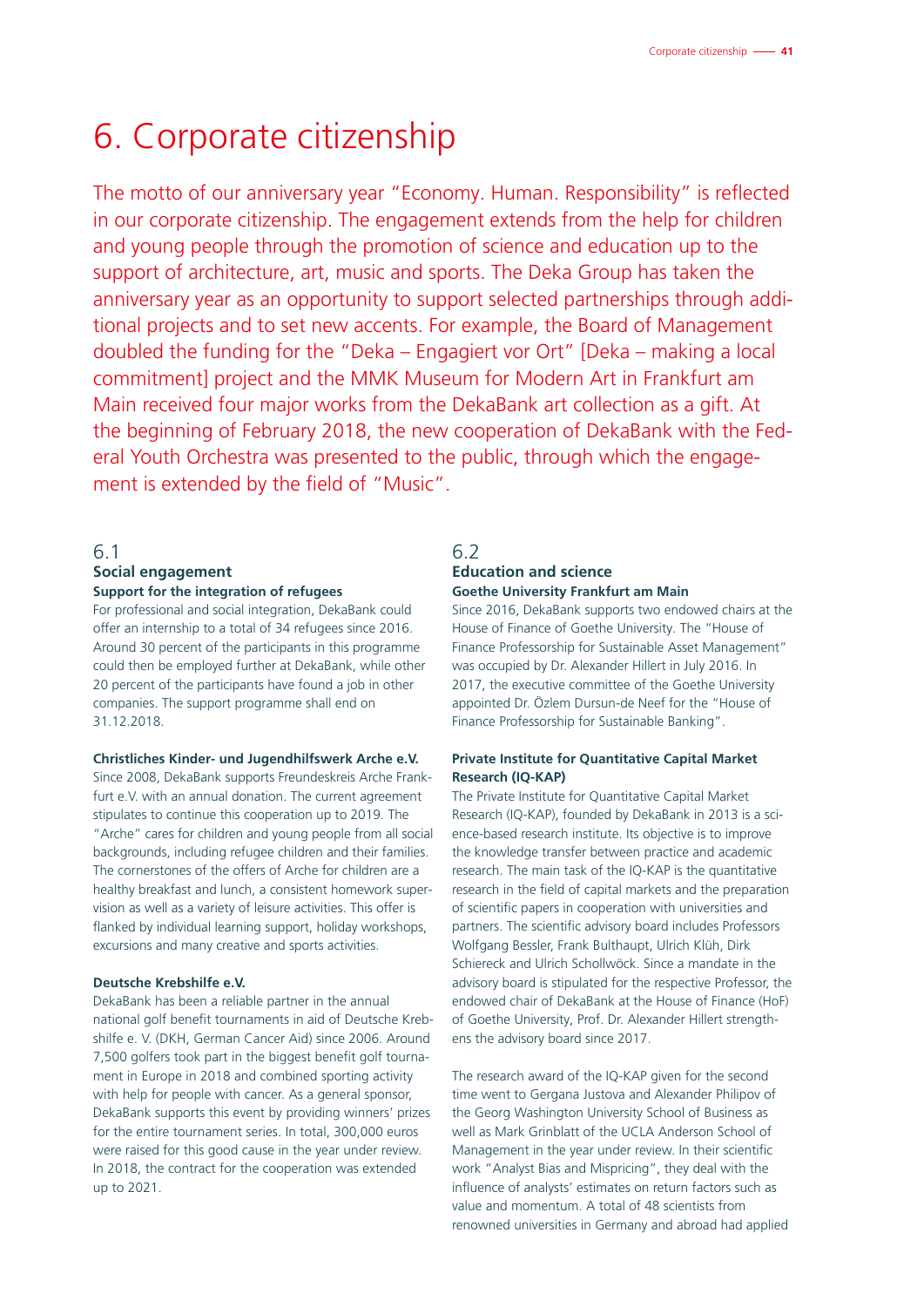## 6. Corporate citizenship

The motto of our anniversary year "Economy. Human. Responsibility" is reflected in our corporate citizenship. The engagement extends from the help for children and young people through the promotion of science and education up to the support of architecture, art, music and sports. The Deka Group has taken the anniversary year as an opportunity to support selected partnerships through additional projects and to set new accents. For example, the Board of Management doubled the funding for the "Deka – Engagiert vor Ort" [Deka – making a local commitment] project and the MMK Museum for Modern Art in Frankfurt am Main received four major works from the DekaBank art collection as a gift. At the beginning of February 2018, the new cooperation of DekaBank with the Federal Youth Orchestra was presented to the public, through which the engagement is extended by the field of "Music".

## 6.1

## **Social engagement**

### **Support for the integration of refugees**

For professional and social integration, DekaBank could offer an internship to a total of 34 refugees since 2016. Around 30 percent of the participants in this programme could then be employed further at DekaBank, while other 20 percent of the participants have found a job in other companies. The support programme shall end on 31.12.2018.

#### **Christliches Kinder- und Jugendhilfswerk Arche e.V.**

Since 2008, DekaBank supports Freundeskreis Arche Frankfurt e.V. with an annual donation. The current agreement stipulates to continue this cooperation up to 2019. The "Arche" cares for children and young people from all social backgrounds, including refugee children and their families. The cornerstones of the offers of Arche for children are a healthy breakfast and lunch, a consistent homework supervision as well as a variety of leisure activities. This offer is flanked by individual learning support, holiday workshops, excursions and many creative and sports activities.

### **Deutsche Krebshilfe e.V.**

DekaBank has been a reliable partner in the annual national golf benefit tournaments in aid of Deutsche Krebshilfe e. V. (DKH, German Cancer Aid) since 2006. Around 7,500 golfers took part in the biggest benefit golf tournament in Europe in 2018 and combined sporting activity with help for people with cancer. As a general sponsor, DekaBank supports this event by providing winners' prizes for the entire tournament series. In total, 300,000 euros were raised for this good cause in the year under review. In 2018, the contract for the cooperation was extended up to 2021.

## 6.2

#### **Education and science Goethe University Frankfurt am Main**

Since 2016, DekaBank supports two endowed chairs at the House of Finance of Goethe University. The "House of Finance Professorship for Sustainable Asset Management" was occupied by Dr. Alexander Hillert in July 2016. In 2017, the executive committee of the Goethe University appointed Dr. Özlem Dursun-de Neef for the "House of Finance Professorship for Sustainable Banking".

### **Private Institute for Quantitative Capital Market Research (IQ-KAP)**

The Private Institute for Quantitative Capital Market Research (IQ-KAP), founded by DekaBank in 2013 is a science-based research institute. Its objective is to improve the knowledge transfer between practice and academic research. The main task of the IQ-KAP is the quantitative research in the field of capital markets and the preparation of scientific papers in cooperation with universities and partners. The scientific advisory board includes Professors Wolfgang Bessler, Frank Bulthaupt, Ulrich Klüh, Dirk Schiereck and Ulrich Schollwöck. Since a mandate in the advisory board is stipulated for the respective Professor, the endowed chair of DekaBank at the House of Finance (HoF) of Goethe University, Prof. Dr. Alexander Hillert strengthens the advisory board since 2017.

The research award of the IQ-KAP given for the second time went to Gergana Justova and Alexander Philipov of the Georg Washington University School of Business as well as Mark Grinblatt of the UCLA Anderson School of Management in the year under review. In their scientific work "Analyst Bias and Mispricing", they deal with the influence of analysts' estimates on return factors such as value and momentum. A total of 48 scientists from renowned universities in Germany and abroad had applied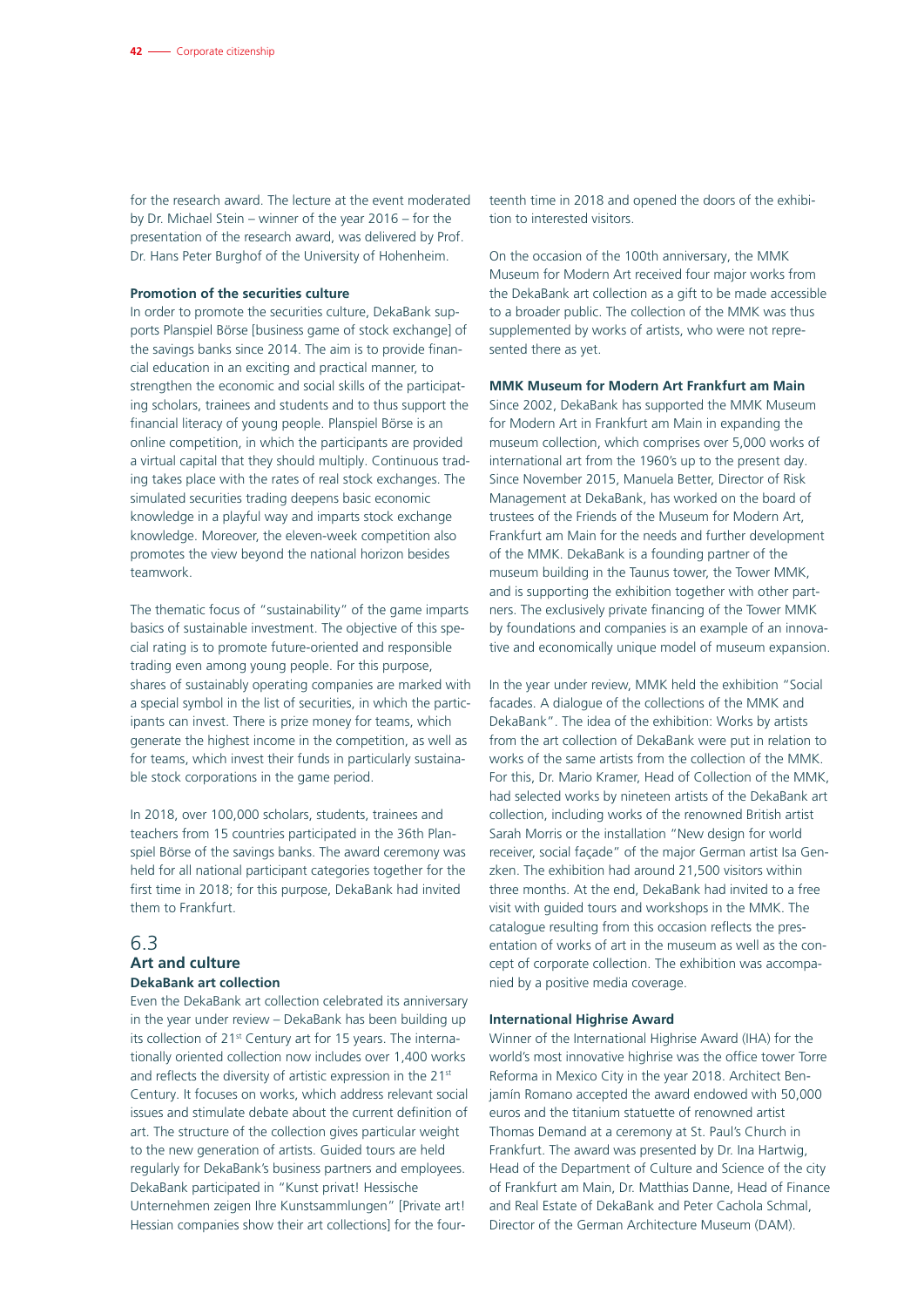for the research award. The lecture at the event moderated by Dr. Michael Stein – winner of the year 2016 – for the presentation of the research award, was delivered by Prof. Dr. Hans Peter Burghof of the University of Hohenheim.

#### **Promotion of the securities culture**

In order to promote the securities culture, DekaBank supports Planspiel Börse [business game of stock exchange] of the savings banks since 2014. The aim is to provide financial education in an exciting and practical manner, to strengthen the economic and social skills of the participating scholars, trainees and students and to thus support the financial literacy of young people. Planspiel Börse is an online competition, in which the participants are provided a virtual capital that they should multiply. Continuous trading takes place with the rates of real stock exchanges. The simulated securities trading deepens basic economic knowledge in a playful way and imparts stock exchange knowledge. Moreover, the eleven-week competition also promotes the view beyond the national horizon besides teamwork.

The thematic focus of "sustainability" of the game imparts basics of sustainable investment. The objective of this special rating is to promote future-oriented and responsible trading even among young people. For this purpose, shares of sustainably operating companies are marked with a special symbol in the list of securities, in which the participants can invest. There is prize money for teams, which generate the highest income in the competition, as well as for teams, which invest their funds in particularly sustainable stock corporations in the game period.

In 2018, over 100,000 scholars, students, trainees and teachers from 15 countries participated in the 36th Planspiel Börse of the savings banks. The award ceremony was held for all national participant categories together for the first time in 2018; for this purpose, DekaBank had invited them to Frankfurt.

## 6.3 **Art and culture**

## **DekaBank art collection**

Even the DekaBank art collection celebrated its anniversary in the year under review – DekaBank has been building up its collection of 21<sup>st</sup> Century art for 15 years. The internationally oriented collection now includes over 1,400 works and reflects the diversity of artistic expression in the 21<sup>st</sup> Century. It focuses on works, which address relevant social issues and stimulate debate about the current definition of art. The structure of the collection gives particular weight to the new generation of artists. Guided tours are held regularly for DekaBank's business partners and employees. DekaBank participated in "Kunst privat! Hessische Unternehmen zeigen Ihre Kunstsammlungen" [Private art! Hessian companies show their art collections] for the fourteenth time in 2018 and opened the doors of the exhibition to interested visitors.

On the occasion of the 100th anniversary, the MMK Museum for Modern Art received four major works from the DekaBank art collection as a gift to be made accessible to a broader public. The collection of the MMK was thus supplemented by works of artists, who were not represented there as yet.

#### **MMK Museum for Modern Art Frankfurt am Main**

Since 2002, DekaBank has supported the MMK Museum for Modern Art in Frankfurt am Main in expanding the museum collection, which comprises over 5,000 works of international art from the 1960's up to the present day. Since November 2015, Manuela Better, Director of Risk Management at DekaBank, has worked on the board of trustees of the Friends of the Museum for Modern Art, Frankfurt am Main for the needs and further development of the MMK. DekaBank is a founding partner of the museum building in the Taunus tower, the Tower MMK, and is supporting the exhibition together with other partners. The exclusively private financing of the Tower MMK by foundations and companies is an example of an innovative and economically unique model of museum expansion.

In the year under review, MMK held the exhibition "Social facades. A dialogue of the collections of the MMK and DekaBank". The idea of the exhibition: Works by artists from the art collection of DekaBank were put in relation to works of the same artists from the collection of the MMK. For this, Dr. Mario Kramer, Head of Collection of the MMK, had selected works by nineteen artists of the DekaBank art collection, including works of the renowned British artist Sarah Morris or the installation "New design for world receiver, social façade" of the major German artist Isa Genzken. The exhibition had around 21,500 visitors within three months. At the end, DekaBank had invited to a free visit with guided tours and workshops in the MMK. The catalogue resulting from this occasion reflects the presentation of works of art in the museum as well as the concept of corporate collection. The exhibition was accompanied by a positive media coverage.

#### **International Highrise Award**

Winner of the International Highrise Award (IHA) for the world's most innovative highrise was the office tower Torre Reforma in Mexico City in the year 2018. Architect Benjamín Romano accepted the award endowed with 50,000 euros and the titanium statuette of renowned artist Thomas Demand at a ceremony at St. Paul's Church in Frankfurt. The award was presented by Dr. Ina Hartwig, Head of the Department of Culture and Science of the city of Frankfurt am Main, Dr. Matthias Danne, Head of Finance and Real Estate of DekaBank and Peter Cachola Schmal, Director of the German Architecture Museum (DAM).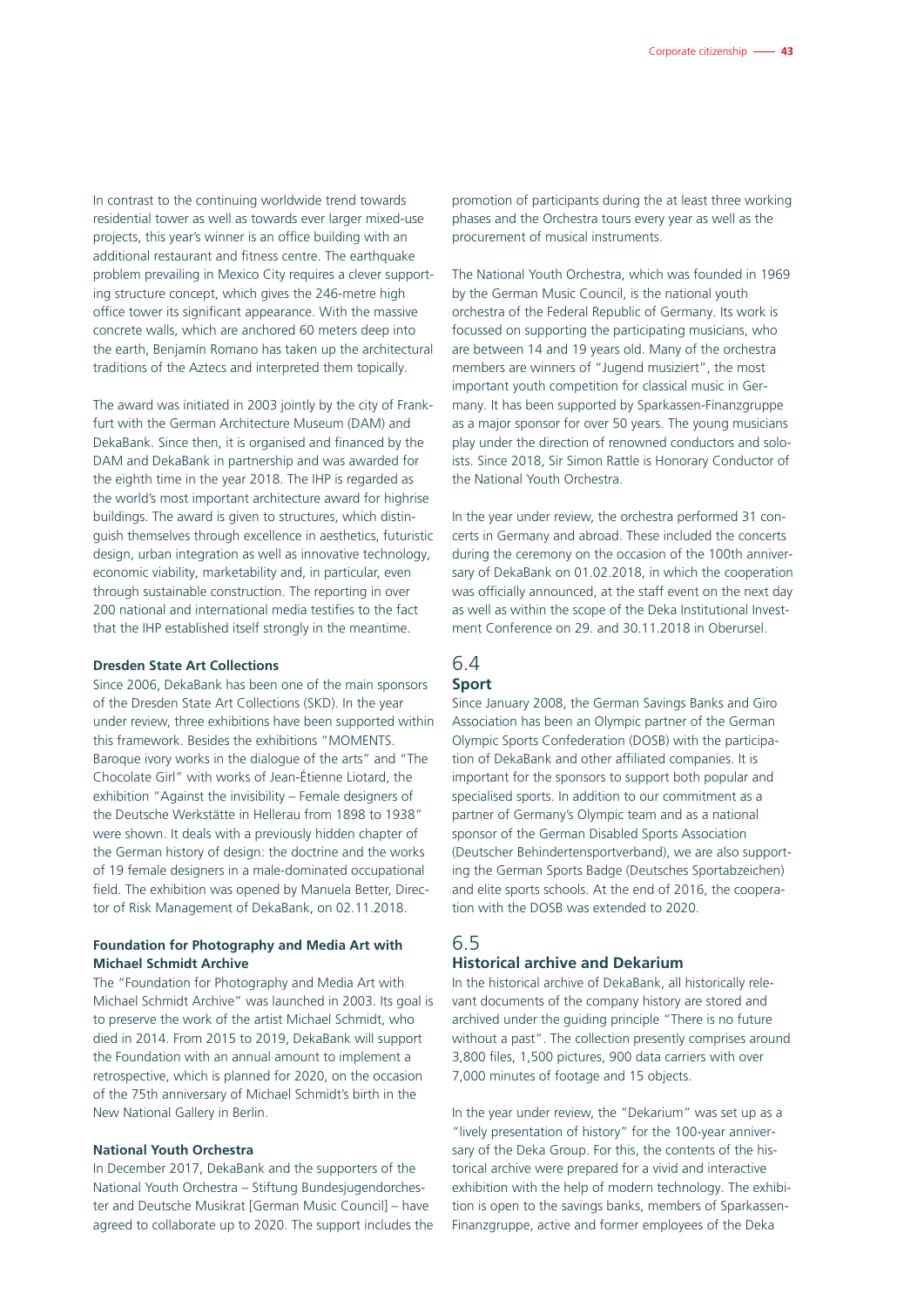In contrast to the continuing worldwide trend towards residential tower as well as towards ever larger mixed-use projects, this year's winner is an office building with an additional restaurant and fitness centre. The earthquake problem prevailing in Mexico City requires a clever supporting structure concept, which gives the 246-metre high office tower its significant appearance. With the massive concrete walls, which are anchored 60 meters deep into the earth, Benjamín Romano has taken up the architectural traditions of the Aztecs and interpreted them topically.

The award was initiated in 2003 jointly by the city of Frankfurt with the German Architecture Museum (DAM) and DekaBank. Since then, it is organised and financed by the DAM and DekaBank in partnership and was awarded for the eighth time in the year 2018. The IHP is regarded as the world's most important architecture award for highrise buildings. The award is given to structures, which distinguish themselves through excellence in aesthetics, futuristic design, urban integration as well as innovative technology, economic viability, marketability and, in particular, even through sustainable construction. The reporting in over 200 national and international media testifies to the fact that the IHP established itself strongly in the meantime.

#### **Dresden State Art Collections**

Since 2006, DekaBank has been one of the main sponsors of the Dresden State Art Collections (SKD). In the year under review, three exhibitions have been supported within this framework. Besides the exhibitions "MOMENTS. Baroque ivory works in the dialogue of the arts" and "The Chocolate Girl" with works of Jean-Étienne Liotard, the exhibition "Against the invisibility – Female designers of the Deutsche Werkstätte in Hellerau from 1898 to 1938" were shown. It deals with a previously hidden chapter of the German history of design: the doctrine and the works of 19 female designers in a male-dominated occupational field. The exhibition was opened by Manuela Better, Director of Risk Management of DekaBank, on 02.11.2018.

#### **Foundation for Photography and Media Art with Michael Schmidt Archive**

The "Foundation for Photography and Media Art with Michael Schmidt Archive" was launched in 2003. Its goal is to preserve the work of the artist Michael Schmidt, who died in 2014. From 2015 to 2019, DekaBank will support the Foundation with an annual amount to implement a retrospective, which is planned for 2020, on the occasion of the 75th anniversary of Michael Schmidt's birth in the New National Gallery in Berlin.

#### **National Youth Orchestra**

In December 2017, DekaBank and the supporters of the National Youth Orchestra – Stiftung Bundesjugendorchester and Deutsche Musikrat [German Music Council] – have agreed to collaborate up to 2020. The support includes the

promotion of participants during the at least three working phases and the Orchestra tours every year as well as the procurement of musical instruments.

The National Youth Orchestra, which was founded in 1969 by the German Music Council, is the national youth orchestra of the Federal Republic of Germany. Its work is focussed on supporting the participating musicians, who are between 14 and 19 years old. Many of the orchestra members are winners of "Jugend musiziert", the most important youth competition for classical music in Germany. It has been supported by Sparkassen-Finanzgruppe as a major sponsor for over 50 years. The young musicians play under the direction of renowned conductors and soloists. Since 2018, Sir Simon Rattle is Honorary Conductor of the National Youth Orchestra.

In the year under review, the orchestra performed 31 concerts in Germany and abroad. These included the concerts during the ceremony on the occasion of the 100th anniversary of DekaBank on 01.02.2018, in which the cooperation was officially announced, at the staff event on the next day as well as within the scope of the Deka Institutional Investment Conference on 29. and 30.11.2018 in Oberursel.

### 6.4 **Sport**

Since January 2008, the German Savings Banks and Giro Association has been an Olympic partner of the German Olympic Sports Confederation (DOSB) with the participation of DekaBank and other affiliated companies. It is important for the sponsors to support both popular and specialised sports. In addition to our commitment as a partner of Germany's Olympic team and as a national sponsor of the German Disabled Sports Association (Deutscher Behindertensportverband), we are also supporting the German Sports Badge (Deutsches Sportabzeichen) and elite sports schools. At the end of 2016, the cooperation with the DOSB was extended to 2020.

## 6.5 **Historical archive and Dekarium**

In the historical archive of DekaBank, all historically relevant documents of the company history are stored and archived under the guiding principle "There is no future without a past". The collection presently comprises around 3,800 files, 1,500 pictures, 900 data carriers with over 7,000 minutes of footage and 15 objects.

In the year under review, the "Dekarium" was set up as a "lively presentation of history" for the 100-year anniversary of the Deka Group. For this, the contents of the historical archive were prepared for a vivid and interactive exhibition with the help of modern technology. The exhibition is open to the savings banks, members of Sparkassen-Finanzgruppe, active and former employees of the Deka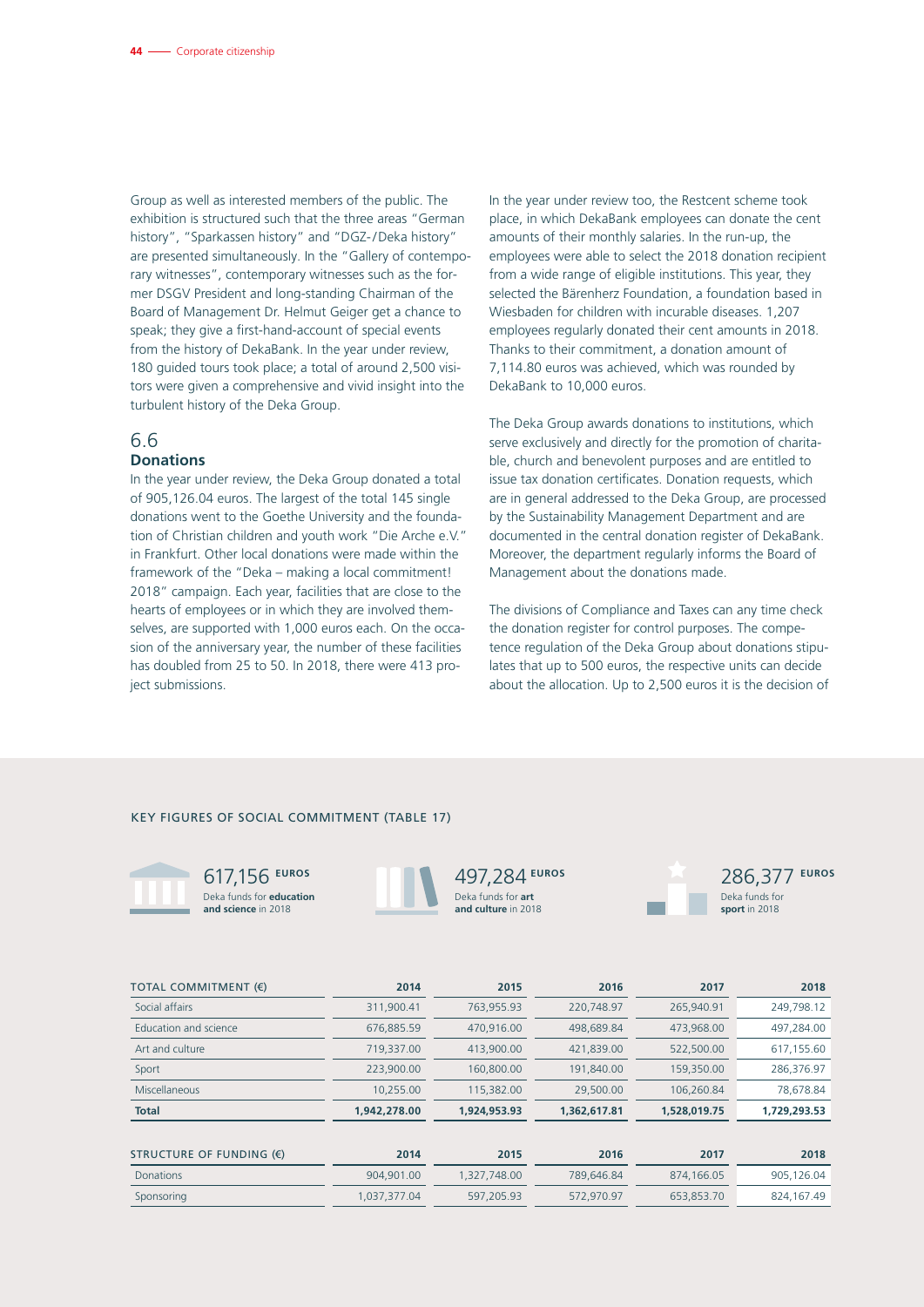Group as well as interested members of the public. The exhibition is structured such that the three areas "German history", "Sparkassen history" and "DGZ-/Deka history" are presented simultaneously. In the "Gallery of contemporary witnesses", contemporary witnesses such as the former DSGV President and long-standing Chairman of the Board of Management Dr. Helmut Geiger get a chance to speak; they give a first-hand-account of special events from the history of DekaBank. In the year under review, 180 guided tours took place; a total of around 2,500 visitors were given a comprehensive and vivid insight into the turbulent history of the Deka Group.

## 6.6

### **Donations**

In the year under review, the Deka Group donated a total of 905,126.04 euros. The largest of the total 145 single donations went to the Goethe University and the foundation of Christian children and youth work "Die Arche e.V." in Frankfurt. Other local donations were made within the framework of the "Deka – making a local commitment! 2018" campaign. Each year, facilities that are close to the hearts of employees or in which they are involved themselves, are supported with 1,000 euros each. On the occasion of the anniversary year, the number of these facilities has doubled from 25 to 50. In 2018, there were 413 project submissions.

In the year under review too, the Restcent scheme took place, in which DekaBank employees can donate the cent amounts of their monthly salaries. In the run-up, the employees were able to select the 2018 donation recipient from a wide range of eligible institutions. This year, they selected the Bärenherz Foundation, a foundation based in Wiesbaden for children with incurable diseases. 1,207 employees regularly donated their cent amounts in 2018. Thanks to their commitment, a donation amount of 7,114.80 euros was achieved, which was rounded by DekaBank to 10,000 euros.

The Deka Group awards donations to institutions, which serve exclusively and directly for the promotion of charitable, church and benevolent purposes and are entitled to issue tax donation certificates. Donation requests, which are in general addressed to the Deka Group, are processed by the Sustainability Management Department and are documented in the central donation register of DekaBank. Moreover, the department regularly informs the Board of Management about the donations made.

The divisions of Compliance and Taxes can any time check the donation register for control purposes. The competence regulation of the Deka Group about donations stipulates that up to 500 euros, the respective units can decide about the allocation. Up to 2,500 euros it is the decision of

| 617,156 EUROS<br>Deka funds for <b>education</b><br>and science in 2018 |              | 497,284 EUROS<br>Deka funds for art<br>and culture in 2018 |              | <b>EUROS</b><br>286,377<br>Deka funds for<br>sport in 2018 |              |  |
|-------------------------------------------------------------------------|--------------|------------------------------------------------------------|--------------|------------------------------------------------------------|--------------|--|
| TOTAL COMMITMENT (€)                                                    | 2014         | 2015                                                       | 2016         | 2017                                                       | 2018         |  |
| Social affairs                                                          | 311,900.41   | 763,955.93                                                 | 220,748.97   | 265,940.91                                                 | 249,798.12   |  |
| Education and science                                                   | 676,885.59   | 470,916.00                                                 | 498,689.84   | 473,968.00                                                 | 497,284.00   |  |
| Art and culture                                                         | 719,337.00   | 413,900.00                                                 | 421,839.00   | 522,500.00                                                 | 617,155.60   |  |
| Sport                                                                   | 223,900.00   | 160,800.00                                                 | 191,840.00   | 159,350.00                                                 | 286,376.97   |  |
| Miscellaneous                                                           | 10,255.00    | 115,382.00                                                 | 29,500.00    | 106,260.84                                                 | 78,678.84    |  |
| <b>Total</b>                                                            | 1,942,278.00 | 1,924,953.93                                               | 1,362,617.81 | 1,528,019.75                                               | 1,729,293.53 |  |
| STRUCTURE OF FUNDING (€)                                                | 2014         | 2015                                                       | 2016         | 2017                                                       | 2018         |  |
| <b>Donations</b>                                                        | 904,901.00   | 1,327,748.00                                               | 789,646.84   | 874,166.05                                                 | 905,126.04   |  |
|                                                                         |              |                                                            |              |                                                            |              |  |

Sponsoring 1,037,377.04 597,205.93 572,970.97 653,853.70 824,167.49

#### KEY FIGURES OF SOCIAL COMMITMENT (TABLE 17)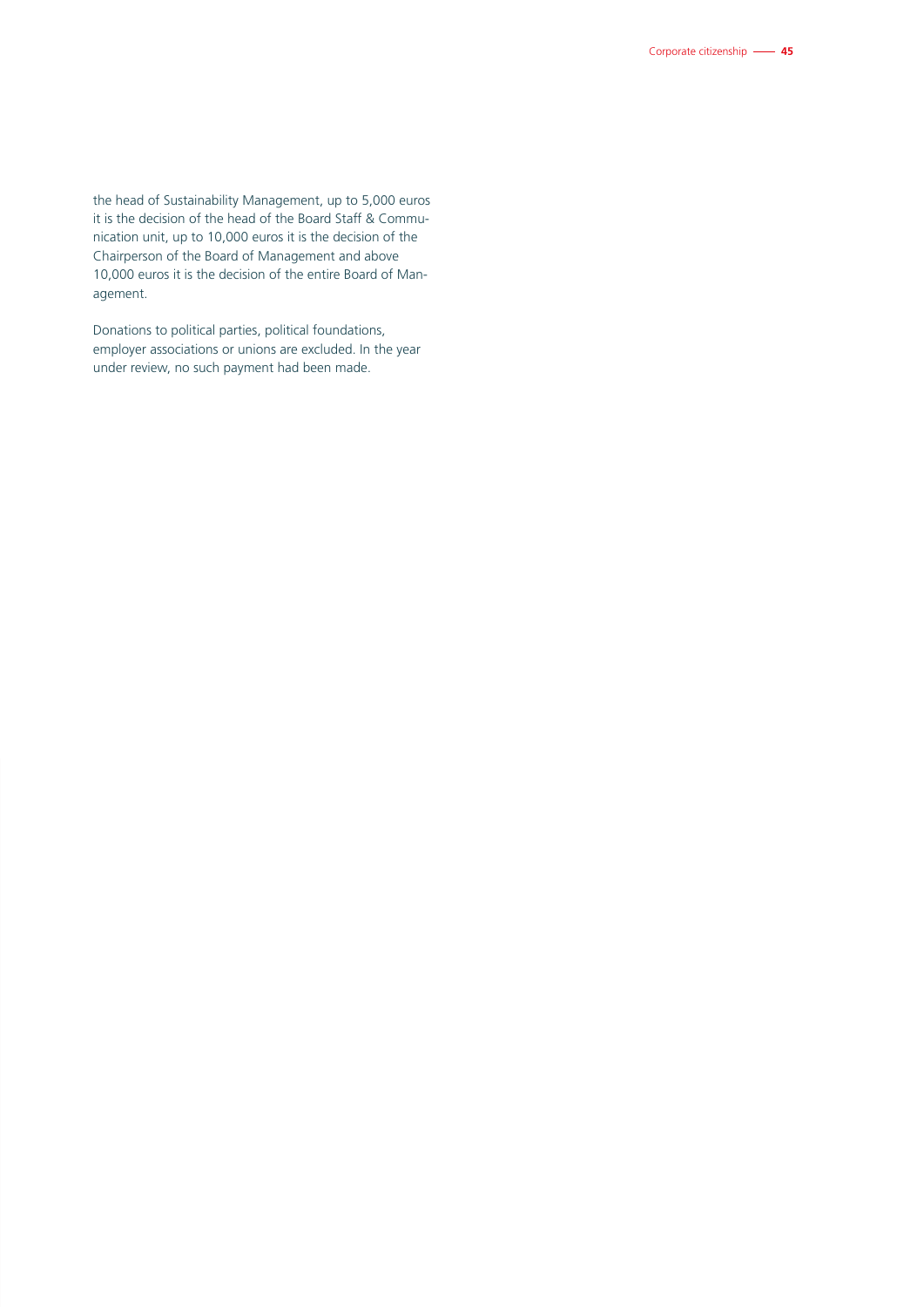the head of Sustainability Management, up to 5,000 euros it is the decision of the head of the Board Staff & Communication unit, up to 10,000 euros it is the decision of the Chairperson of the Board of Management and above 10,000 euros it is the decision of the entire Board of Management.

Donations to political parties, political foundations, employer associations or unions are excluded. In the year under review, no such payment had been made.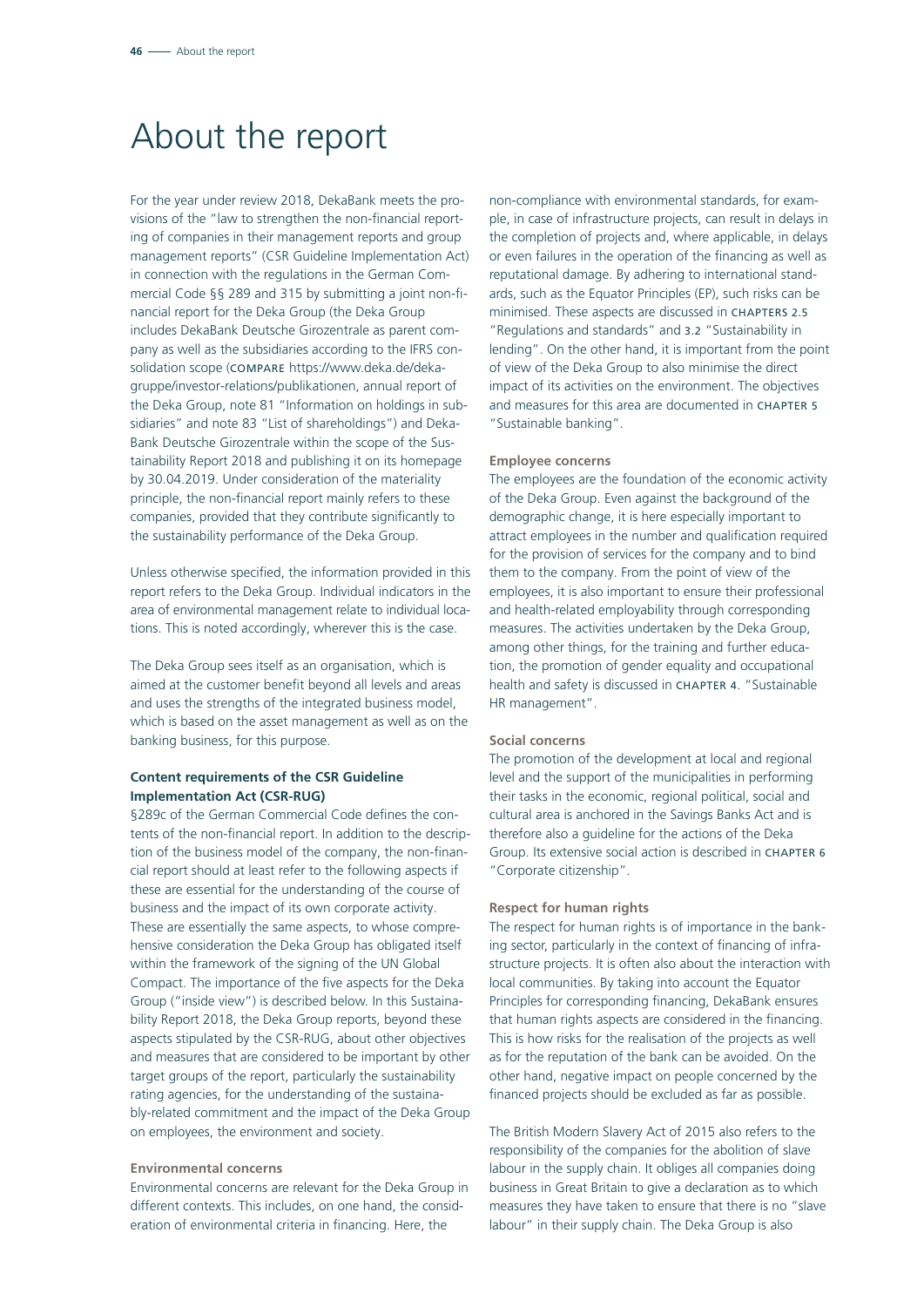## About the report

For the year under review 2018, DekaBank meets the provisions of the "law to strengthen the non-financial reporting of companies in their management reports and group management reports" (CSR Guideline Implementation Act) in connection with the regulations in the German Commercial Code §§ 289 and 315 by submitting a joint non-financial report for the Deka Group (the Deka Group includes DekaBank Deutsche Girozentrale as parent company as well as the subsidiaries according to the IFRS consolidation scope (COMPARE https://www.deka.de/dekagruppe/investor-relations/publikationen, annual report of the Deka Group, note 81 "Information on holdings in subsidiaries" and note 83 "List of shareholdings") and Deka-Bank Deutsche Girozentrale within the scope of the Sustainability Report 2018 and publishing it on its homepage by 30.04.2019. Under consideration of the materiality principle, the non-financial report mainly refers to these companies, provided that they contribute significantly to the sustainability performance of the Deka Group.

Unless otherwise specified, the information provided in this report refers to the Deka Group. Individual indicators in the area of environmental management relate to individual locations. This is noted accordingly, wherever this is the case.

The Deka Group sees itself as an organisation, which is aimed at the customer benefit beyond all levels and areas and uses the strengths of the integrated business model, which is based on the asset management as well as on the banking business, for this purpose.

#### **Content requirements of the CSR Guideline Implementation Act (CSR-RUG)**

§289c of the German Commercial Code defines the contents of the non-financial report. In addition to the description of the business model of the company, the non-financial report should at least refer to the following aspects if these are essential for the understanding of the course of business and the impact of its own corporate activity. These are essentially the same aspects, to whose comprehensive consideration the Deka Group has obligated itself within the framework of the signing of the UN Global Compact. The importance of the five aspects for the Deka Group ("inside view") is described below. In this Sustainability Report 2018, the Deka Group reports, beyond these aspects stipulated by the CSR-RUG, about other objectives and measures that are considered to be important by other target groups of the report, particularly the sustainability rating agencies, for the understanding of the sustainably-related commitment and the impact of the Deka Group on employees, the environment and society.

#### **Environmental concerns**

Environmental concerns are relevant for the Deka Group in different contexts. This includes, on one hand, the consideration of environmental criteria in financing. Here, the

non-compliance with environmental standards, for example, in case of infrastructure projects, can result in delays in the completion of projects and, where applicable, in delays or even failures in the operation of the financing as well as reputational damage. By adhering to international standards, such as the Equator Principles (EP), such risks can be minimised. These aspects are discussed in CHAPTERS 2.5 "Regulations and standards" and 3.2 "Sustainability in lending". On the other hand, it is important from the point of view of the Deka Group to also minimise the direct impact of its activities on the environment. The objectives and measures for this area are documented in CHAPTER 5 "Sustainable banking".

#### **Employee concerns**

The employees are the foundation of the economic activity of the Deka Group. Even against the background of the demographic change, it is here especially important to attract employees in the number and qualification required for the provision of services for the company and to bind them to the company. From the point of view of the employees, it is also important to ensure their professional and health-related employability through corresponding measures. The activities undertaken by the Deka Group, among other things, for the training and further education, the promotion of gender equality and occupational health and safety is discussed in CHAPTER 4. "Sustainable HR management".

#### **Social concerns**

The promotion of the development at local and regional level and the support of the municipalities in performing their tasks in the economic, regional political, social and cultural area is anchored in the Savings Banks Act and is therefore also a guideline for the actions of the Deka Group. Its extensive social action is described in CHAPTER 6 "Corporate citizenship".

## **Respect for human rights**

The respect for human rights is of importance in the banking sector, particularly in the context of financing of infrastructure projects. It is often also about the interaction with local communities. By taking into account the Equator Principles for corresponding financing, DekaBank ensures that human rights aspects are considered in the financing. This is how risks for the realisation of the projects as well as for the reputation of the bank can be avoided. On the other hand, negative impact on people concerned by the financed projects should be excluded as far as possible.

The British Modern Slavery Act of 2015 also refers to the responsibility of the companies for the abolition of slave labour in the supply chain. It obliges all companies doing business in Great Britain to give a declaration as to which measures they have taken to ensure that there is no "slave labour" in their supply chain. The Deka Group is also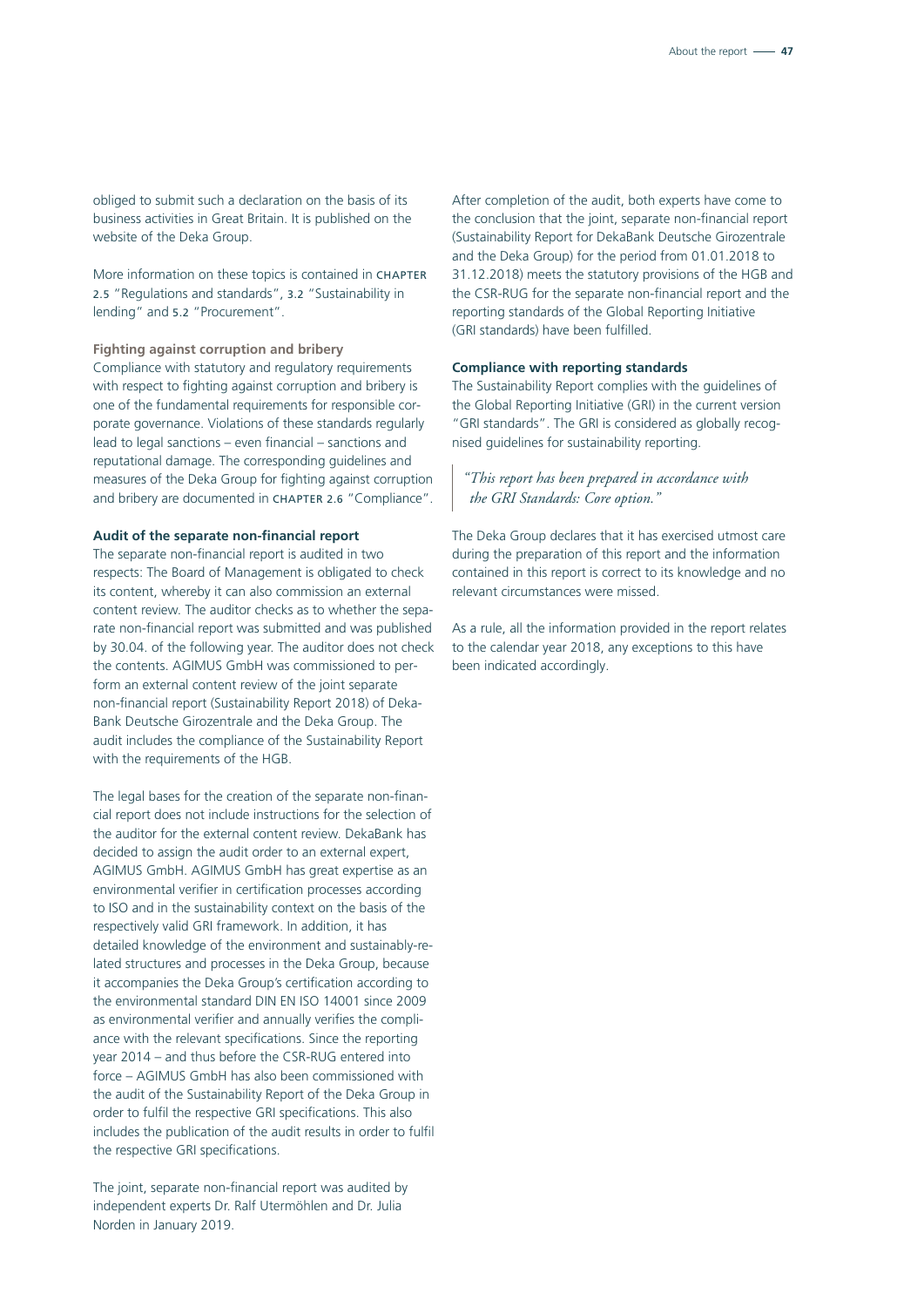obliged to submit such a declaration on the basis of its business activities in Great Britain. It is published on the website of the Deka Group.

More information on these topics is contained in CHAPTER 2.5 "Regulations and standards", 3.2 "Sustainability in lending" and 5.2 "Procurement".

**Fighting against corruption and bribery**  Compliance with statutory and regulatory requirements with respect to fighting against corruption and bribery is one of the fundamental requirements for responsible corporate governance. Violations of these standards regularly lead to legal sanctions – even financial – sanctions and reputational damage. The corresponding guidelines and measures of the Deka Group for fighting against corruption and bribery are documented in CHAPTER 2.6 "Compliance".

#### **Audit of the separate non-financial report**

The separate non-financial report is audited in two respects: The Board of Management is obligated to check its content, whereby it can also commission an external content review. The auditor checks as to whether the separate non-financial report was submitted and was published by 30.04. of the following year. The auditor does not check the contents. AGIMUS GmbH was commissioned to perform an external content review of the joint separate non-financial report (Sustainability Report 2018) of Deka-Bank Deutsche Girozentrale and the Deka Group. The audit includes the compliance of the Sustainability Report with the requirements of the HGB.

The legal bases for the creation of the separate non-financial report does not include instructions for the selection of the auditor for the external content review. DekaBank has decided to assign the audit order to an external expert, AGIMUS GmbH. AGIMUS GmbH has great expertise as an environmental verifier in certification processes according to ISO and in the sustainability context on the basis of the respectively valid GRI framework. In addition, it has detailed knowledge of the environment and sustainably-related structures and processes in the Deka Group, because it accompanies the Deka Group's certification according to the environmental standard DIN EN ISO 14001 since 2009 as environmental verifier and annually verifies the compliance with the relevant specifications. Since the reporting year 2014 – and thus before the CSR-RUG entered into force – AGIMUS GmbH has also been commissioned with the audit of the Sustainability Report of the Deka Group in order to fulfil the respective GRI specifications. This also includes the publication of the audit results in order to fulfil the respective GRI specifications.

The joint, separate non-financial report was audited by independent experts Dr. Ralf Utermöhlen and Dr. Julia Norden in January 2019.

After completion of the audit, both experts have come to the conclusion that the joint, separate non-financial report (Sustainability Report for DekaBank Deutsche Girozentrale and the Deka Group) for the period from 01.01.2018 to 31.12.2018) meets the statutory provisions of the HGB and the CSR-RUG for the separate non-financial report and the reporting standards of the Global Reporting Initiative (GRI standards) have been fulfilled.

#### **Compliance with reporting standards**

The Sustainability Report complies with the guidelines of the Global Reporting Initiative (GRI) in the current version "GRI standards". The GRI is considered as globally recognised guidelines for sustainability reporting.

## *"This report has been prepared in accordance with the GRI Standards: Core option."*

The Deka Group declares that it has exercised utmost care during the preparation of this report and the information contained in this report is correct to its knowledge and no relevant circumstances were missed.

As a rule, all the information provided in the report relates to the calendar year 2018, any exceptions to this have been indicated accordingly.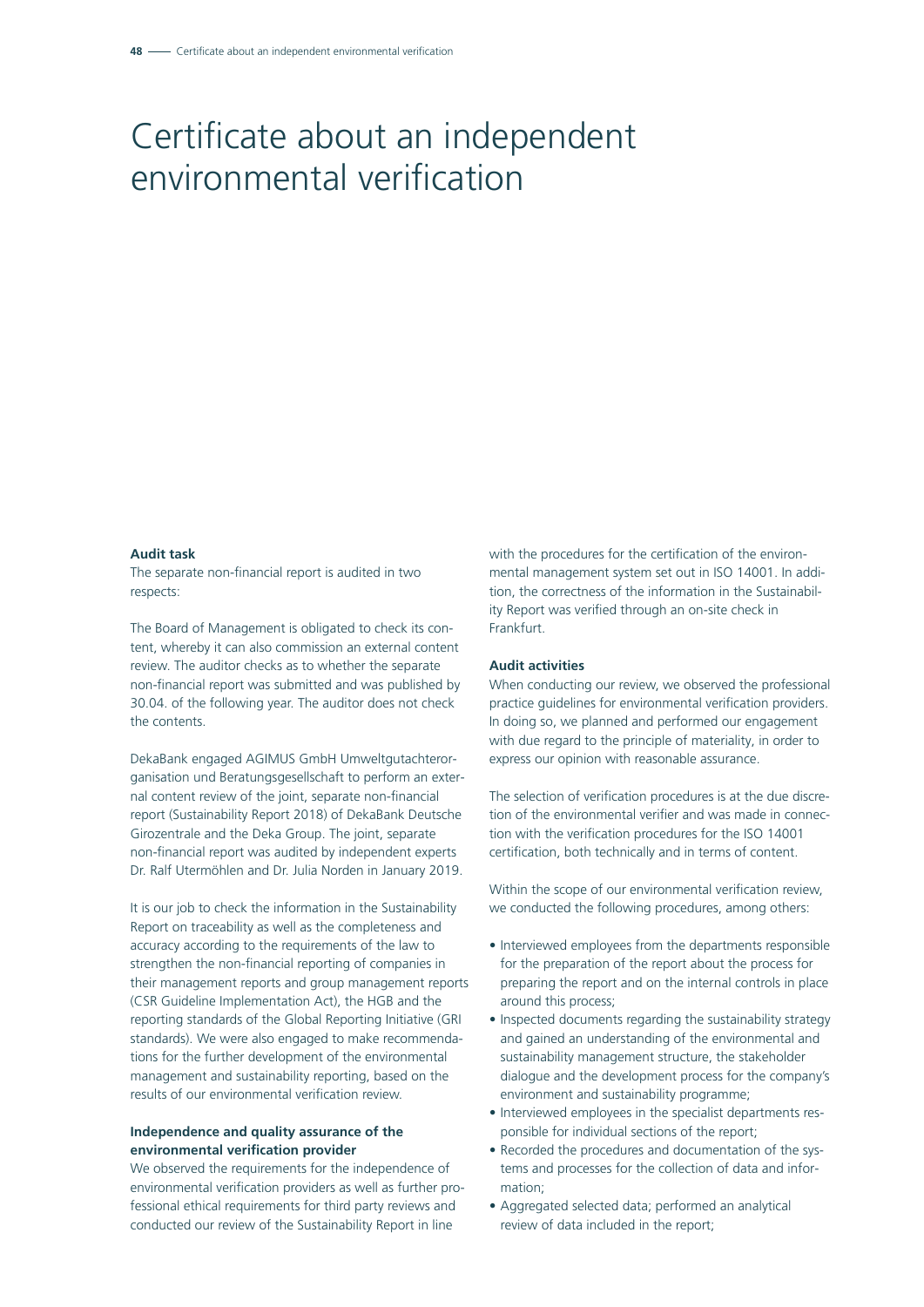## Certificate about an independent environmental verification

#### **Audit task**

The separate non-financial report is audited in two respects:

The Board of Management is obligated to check its content, whereby it can also commission an external content review. The auditor checks as to whether the separate non-financial report was submitted and was published by 30.04. of the following year. The auditor does not check the contents.

DekaBank engaged AGIMUS GmbH Umweltgutachterorganisation und Beratungsgesellschaft to perform an external content review of the joint, separate non-financial report (Sustainability Report 2018) of DekaBank Deutsche Girozentrale and the Deka Group. The joint, separate non-financial report was audited by independent experts Dr. Ralf Utermöhlen and Dr. Julia Norden in January 2019.

It is our job to check the information in the Sustainability Report on traceability as well as the completeness and accuracy according to the requirements of the law to strengthen the non-financial reporting of companies in their management reports and group management reports (CSR Guideline Implementation Act), the HGB and the reporting standards of the Global Reporting Initiative (GRI standards). We were also engaged to make recommendations for the further development of the environmental management and sustainability reporting, based on the results of our environmental verification review.

#### **Independence and quality assurance of the environmental verification provider**

We observed the requirements for the independence of environmental verification providers as well as further professional ethical requirements for third party reviews and conducted our review of the Sustainability Report in line

with the procedures for the certification of the environmental management system set out in ISO 14001. In addition, the correctness of the information in the Sustainability Report was verified through an on-site check in Frankfurt.

#### **Audit activities**

When conducting our review, we observed the professional practice guidelines for environmental verification providers. In doing so, we planned and performed our engagement with due regard to the principle of materiality, in order to express our opinion with reasonable assurance.

The selection of verification procedures is at the due discretion of the environmental verifier and was made in connection with the verification procedures for the ISO 14001 certification, both technically and in terms of content.

Within the scope of our environmental verification review, we conducted the following procedures, among others:

- Interviewed employees from the departments responsible for the preparation of the report about the process for preparing the report and on the internal controls in place around this process;
- Inspected documents regarding the sustainability strategy and gained an understanding of the environmental and sustainability management structure, the stakeholder dialogue and the development process for the company's environment and sustainability programme;
- Interviewed employees in the specialist departments responsible for individual sections of the report;
- Recorded the procedures and documentation of the systems and processes for the collection of data and information;
- Aggregated selected data; performed an analytical review of data included in the report;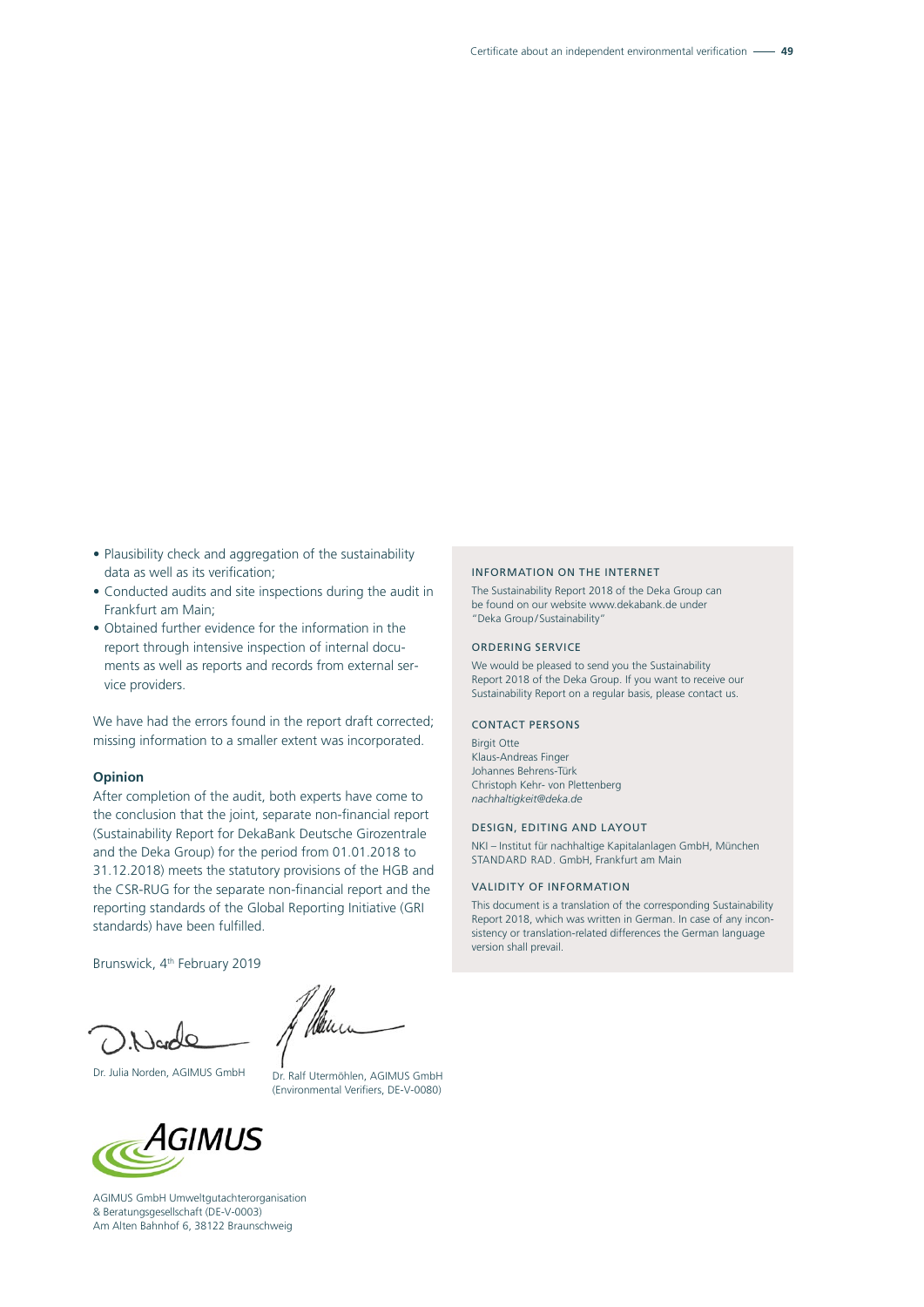- Plausibility check and aggregation of the sustainability data as well as its verification;
- Conducted audits and site inspections during the audit in Frankfurt am Main;
- Obtained further evidence for the information in the report through intensive inspection of internal documents as well as reports and records from external service providers.

We have had the errors found in the report draft corrected; missing information to a smaller extent was incorporated.

#### **Opinion**

After completion of the audit, both experts have come to the conclusion that the joint, separate non-financial report (Sustainability Report for DekaBank Deutsche Girozentrale and the Deka Group) for the period from 01.01.2018 to 31.12.2018) meets the statutory provisions of the HGB and the CSR-RUG for the separate non-financial report and the reporting standards of the Global Reporting Initiative (GRI standards) have been fulfilled.

Brunswick, 4th February 2019

Dr. Julia Norden, AGIMUS GmbH

Dr. Ralf Utermöhlen, AGIMUS GmbH (Environmental Verifiers, DE-V-0080)



AGIMUS GmbH Umweltgutachterorganisation & Beratungsgesellschaft (DE-V-0003) Am Alten Bahnhof 6, 38122 Braunschweig

#### INFORMATION ON THE INTERNET

The Sustainability Report 2018 of the Deka Group can be found on our website www.dekabank.de under "Deka Group/Sustainability"

#### ORDERING SERVICE

We would be pleased to send you the Sustainability Report 2018 of the Deka Group. If you want to receive our Sustainability Report on a regular basis, please contact us.

#### CONTACT PERSONS

Birgit Otte Klaus-Andreas Finger Johannes Behrens-Türk Christoph Kehr- von Plettenberg *nachhaltigkeit@deka.de*

#### DESIGN, EDITING AND LAYOUT

NKI – Institut für nachhaltige Kapitalanlagen GmbH, München STANDARD RAD. GmbH, Frankfurt am Main

#### VALIDITY OF INFORMATION

This document is a translation of the corresponding Sustainability Report 2018, which was written in German. In case of any inconsistency or translation-related differences the German language version shall prevail.